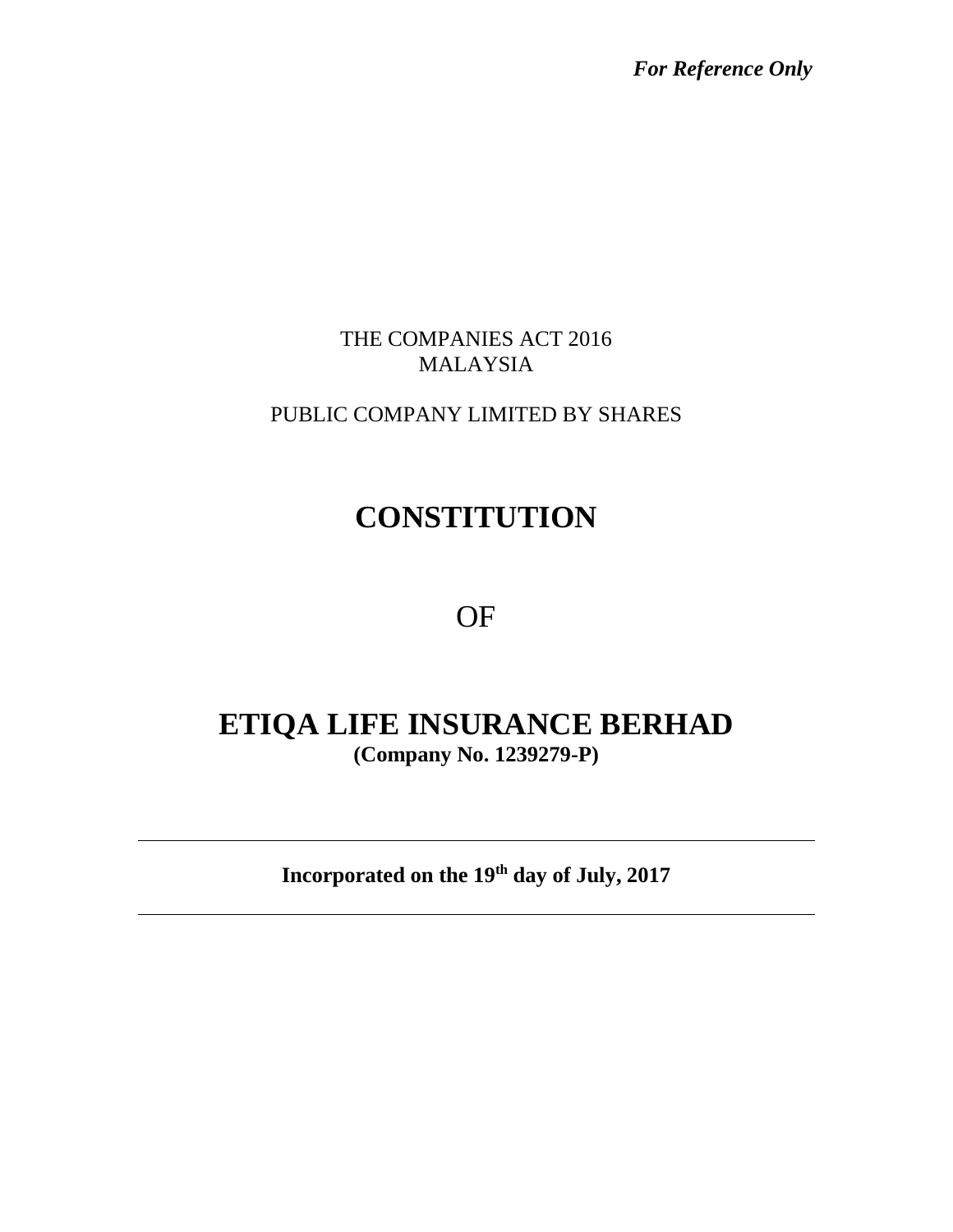*For Reference Only*

# THE COMPANIES ACT 2016 MALAYSIA

# PUBLIC COMPANY LIMITED BY SHARES

# **CONSTITUTION**

OF

# **ETIQA LIFE INSURANCE BERHAD (Company No. 1239279-P)**

**Incorporated on the 19th day of July, 2017**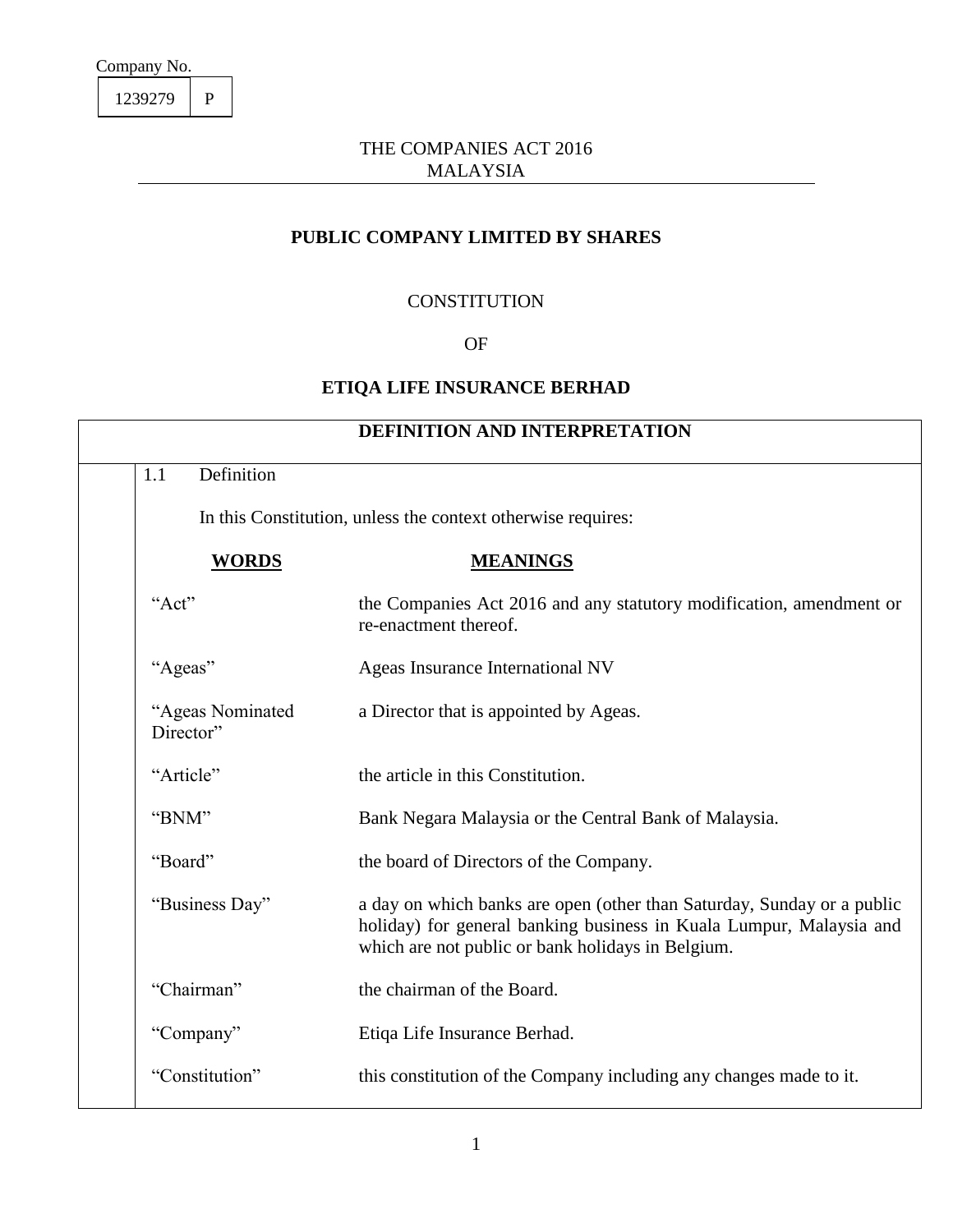1239279 P

## THE COMPANIES ACT 2016 MALAYSIA

# **PUBLIC COMPANY LIMITED BY SHARES**

#### **CONSTITUTION**

## OF

## **ETIQA LIFE INSURANCE BERHAD**

| <b>DEFINITION AND INTERPRETATION</b> |                                                              |                                                                                                                                                                                                    |  |  |
|--------------------------------------|--------------------------------------------------------------|----------------------------------------------------------------------------------------------------------------------------------------------------------------------------------------------------|--|--|
| Definition<br>1.1                    |                                                              |                                                                                                                                                                                                    |  |  |
|                                      | In this Constitution, unless the context otherwise requires: |                                                                                                                                                                                                    |  |  |
|                                      | <b>WORDS</b>                                                 | <b>MEANINGS</b>                                                                                                                                                                                    |  |  |
| "Act"                                | re-enactment thereof.                                        | the Companies Act 2016 and any statutory modification, amendment or                                                                                                                                |  |  |
| "Ageas"                              |                                                              | Ageas Insurance International NV                                                                                                                                                                   |  |  |
| "Ageas Nominated<br>Director"        |                                                              | a Director that is appointed by Ageas.                                                                                                                                                             |  |  |
| "Article"                            | the article in this Constitution.                            |                                                                                                                                                                                                    |  |  |
| "BNM"                                |                                                              | Bank Negara Malaysia or the Central Bank of Malaysia.                                                                                                                                              |  |  |
| "Board"                              |                                                              | the board of Directors of the Company.                                                                                                                                                             |  |  |
| "Business Day"                       |                                                              | a day on which banks are open (other than Saturday, Sunday or a public<br>holiday) for general banking business in Kuala Lumpur, Malaysia and<br>which are not public or bank holidays in Belgium. |  |  |
| "Chairman"                           | the chairman of the Board.                                   |                                                                                                                                                                                                    |  |  |
| "Company"                            | Etiqa Life Insurance Berhad.                                 |                                                                                                                                                                                                    |  |  |
| "Constitution"                       |                                                              | this constitution of the Company including any changes made to it.                                                                                                                                 |  |  |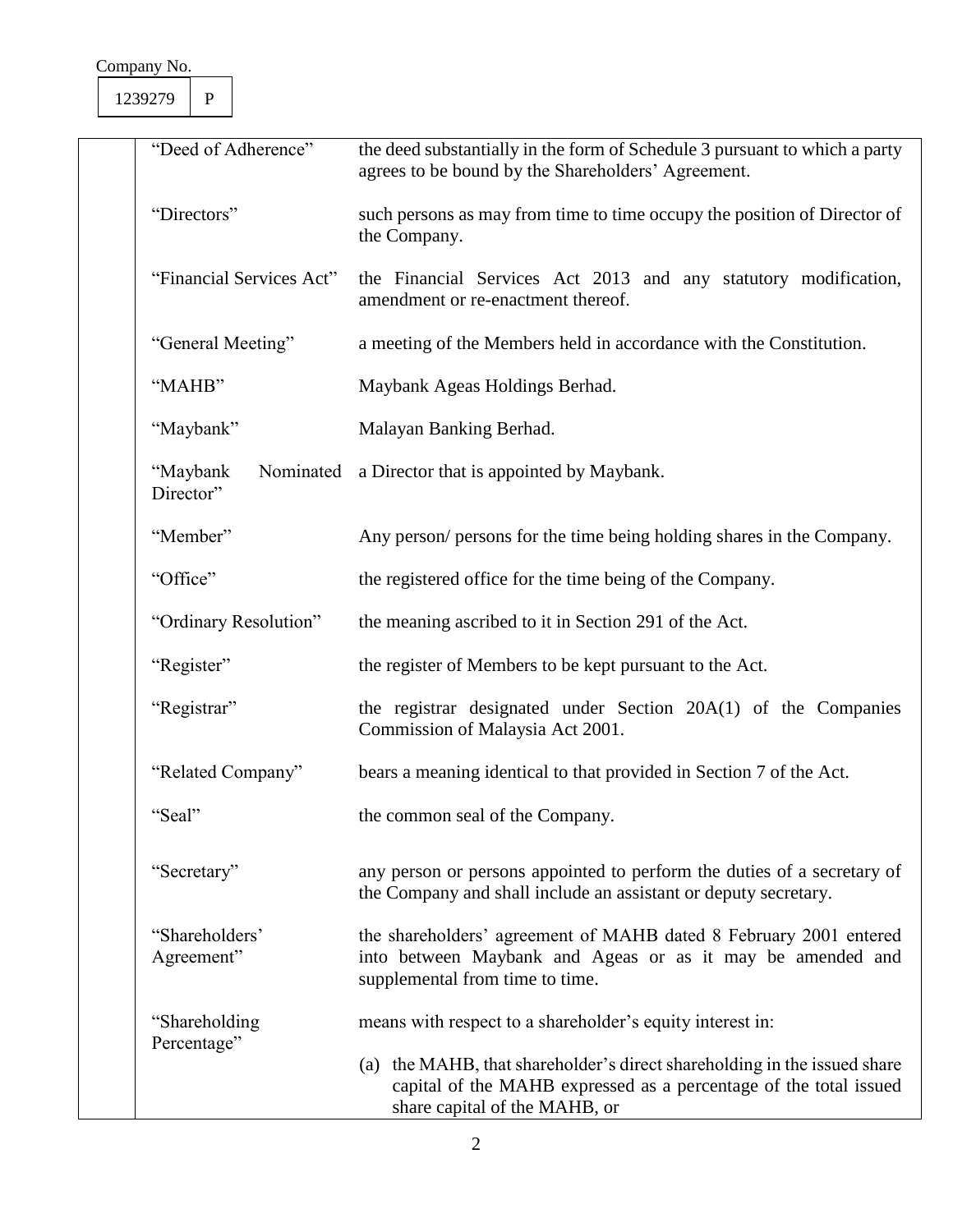1239279 P

|             | "Deed of Adherence"                | the deed substantially in the form of Schedule 3 pursuant to which a party<br>agrees to be bound by the Shareholders' Agreement.                                               |  |
|-------------|------------------------------------|--------------------------------------------------------------------------------------------------------------------------------------------------------------------------------|--|
| "Directors" |                                    | such persons as may from time to time occupy the position of Director of<br>the Company.                                                                                       |  |
|             | "Financial Services Act"           | the Financial Services Act 2013 and any statutory modification,<br>amendment or re-enactment thereof.                                                                          |  |
|             | "General Meeting"                  | a meeting of the Members held in accordance with the Constitution.                                                                                                             |  |
|             | "MAHB"                             | Maybank Ageas Holdings Berhad.                                                                                                                                                 |  |
|             | "Maybank"                          | Malayan Banking Berhad.                                                                                                                                                        |  |
|             | Nominated<br>"Maybank<br>Director" | a Director that is appointed by Maybank.                                                                                                                                       |  |
|             | "Member"                           | Any person/ persons for the time being holding shares in the Company.                                                                                                          |  |
| "Office"    |                                    | the registered office for the time being of the Company.                                                                                                                       |  |
|             | "Ordinary Resolution"              | the meaning ascribed to it in Section 291 of the Act.                                                                                                                          |  |
|             | "Register"                         | the register of Members to be kept pursuant to the Act.                                                                                                                        |  |
|             | "Registrar"                        | the registrar designated under Section 20A(1) of the Companies<br>Commission of Malaysia Act 2001.                                                                             |  |
|             | "Related Company"                  | bears a meaning identical to that provided in Section 7 of the Act.                                                                                                            |  |
|             | "Seal"                             | the common seal of the Company.                                                                                                                                                |  |
| "Secretary" |                                    | any person or persons appointed to perform the duties of a secretary of<br>the Company and shall include an assistant or deputy secretary.                                     |  |
|             | "Shareholders"<br>Agreement"       | the shareholders' agreement of MAHB dated 8 February 2001 entered<br>into between Maybank and Ageas or as it may be amended and<br>supplemental from time to time.             |  |
|             | "Shareholding"                     | means with respect to a shareholder's equity interest in:                                                                                                                      |  |
| Percentage" |                                    | (a) the MAHB, that shareholder's direct shareholding in the issued share<br>capital of the MAHB expressed as a percentage of the total issued<br>share capital of the MAHB, or |  |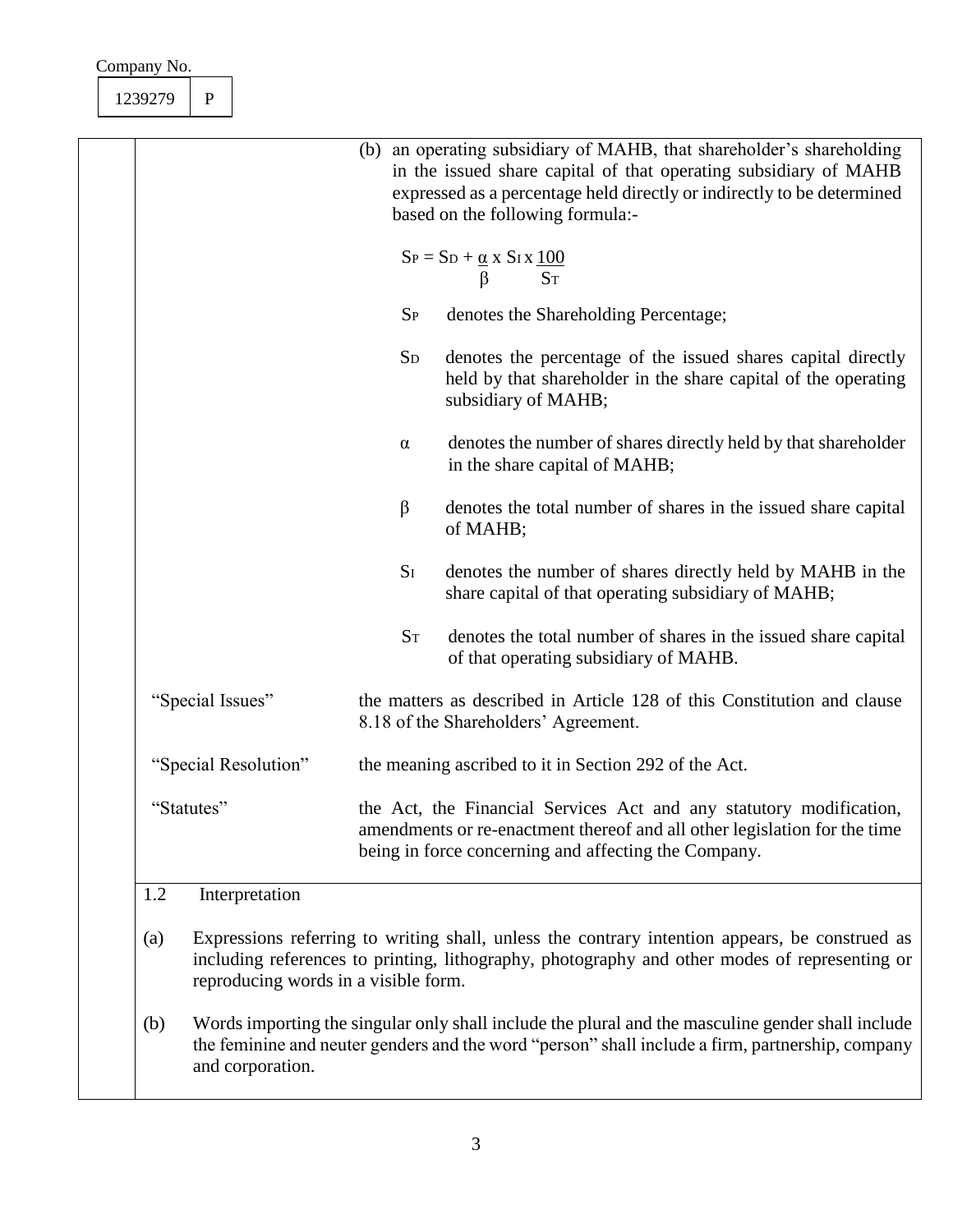|            |                                                                                                                                                                                                          | (b) an operating subsidiary of MAHB, that shareholder's shareholding<br>in the issued share capital of that operating subsidiary of MAHB<br>expressed as a percentage held directly or indirectly to be determined |  |
|------------|----------------------------------------------------------------------------------------------------------------------------------------------------------------------------------------------------------|--------------------------------------------------------------------------------------------------------------------------------------------------------------------------------------------------------------------|--|
|            |                                                                                                                                                                                                          | based on the following formula:-                                                                                                                                                                                   |  |
|            |                                                                                                                                                                                                          | $S_P = S_D + \frac{\alpha}{\beta} x S_I x \frac{100}{S_T}$                                                                                                                                                         |  |
|            | $S_{P}$                                                                                                                                                                                                  | denotes the Shareholding Percentage;                                                                                                                                                                               |  |
|            | <b>SD</b>                                                                                                                                                                                                | denotes the percentage of the issued shares capital directly<br>held by that shareholder in the share capital of the operating<br>subsidiary of MAHB;                                                              |  |
|            | $\alpha$                                                                                                                                                                                                 | denotes the number of shares directly held by that shareholder<br>in the share capital of MAHB;                                                                                                                    |  |
|            | β                                                                                                                                                                                                        | denotes the total number of shares in the issued share capital<br>of MAHB;                                                                                                                                         |  |
|            | $S_I$                                                                                                                                                                                                    | denotes the number of shares directly held by MAHB in the<br>share capital of that operating subsidiary of MAHB;                                                                                                   |  |
|            | $S_T$                                                                                                                                                                                                    | denotes the total number of shares in the issued share capital<br>of that operating subsidiary of MAHB.                                                                                                            |  |
|            |                                                                                                                                                                                                          | the matters as described in Article 128 of this Constitution and clause<br>8.18 of the Shareholders' Agreement.                                                                                                    |  |
|            |                                                                                                                                                                                                          | the meaning ascribed to it in Section 292 of the Act.                                                                                                                                                              |  |
| "Statutes" | the Act, the Financial Services Act and any statutory modification,<br>amendments or re-enactment thereof and all other legislation for the time<br>being in force concerning and affecting the Company. |                                                                                                                                                                                                                    |  |
|            | "Special Issues"<br>"Special Resolution"<br>Interpretation                                                                                                                                               |                                                                                                                                                                                                                    |  |

- (a) Expressions referring to writing shall, unless the contrary intention appears, be construed as including references to printing, lithography, photography and other modes of representing or reproducing words in a visible form.
- (b) Words importing the singular only shall include the plural and the masculine gender shall include the feminine and neuter genders and the word "person" shall include a firm, partnership, company and corporation.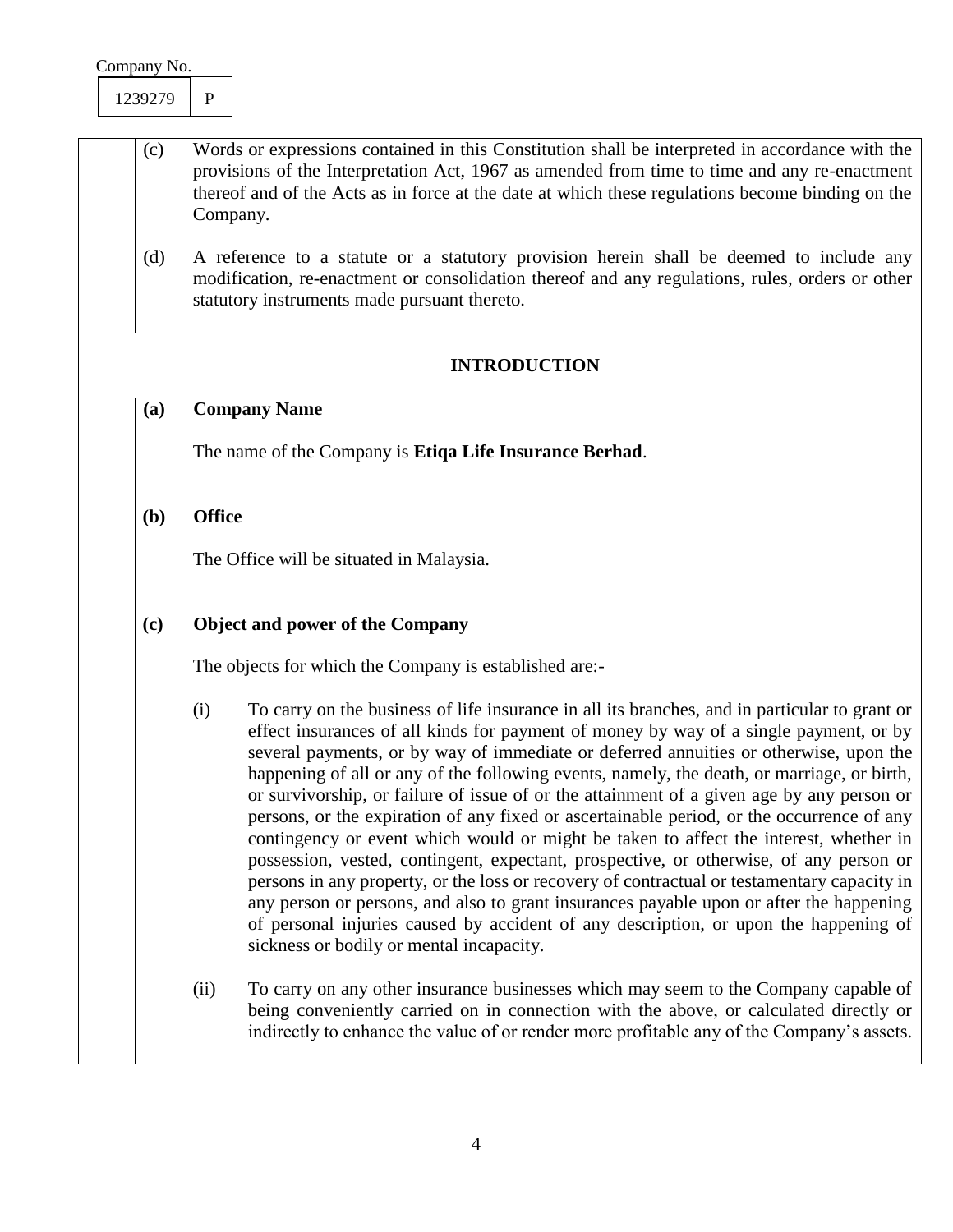- (c) Words or expressions contained in this Constitution shall be interpreted in accordance with the provisions of the Interpretation Act, 1967 as amended from time to time and any re-enactment thereof and of the Acts as in force at the date at which these regulations become binding on the Company.
	- (d) A reference to a statute or a statutory provision herein shall be deemed to include any modification, re-enactment or consolidation thereof and any regulations, rules, orders or other statutory instruments made pursuant thereto.

## **INTRODUCTION**

#### **(a) Company Name**

The name of the Company is **Etiqa Life Insurance Berhad**.

#### **(b) Office**

The Office will be situated in Malaysia.

### **(c) Object and power of the Company**

The objects for which the Company is established are:-

- (i) To carry on the business of life insurance in all its branches, and in particular to grant or effect insurances of all kinds for payment of money by way of a single payment, or by several payments, or by way of immediate or deferred annuities or otherwise, upon the happening of all or any of the following events, namely, the death, or marriage, or birth, or survivorship, or failure of issue of or the attainment of a given age by any person or persons, or the expiration of any fixed or ascertainable period, or the occurrence of any contingency or event which would or might be taken to affect the interest, whether in possession, vested, contingent, expectant, prospective, or otherwise, of any person or persons in any property, or the loss or recovery of contractual or testamentary capacity in any person or persons, and also to grant insurances payable upon or after the happening of personal injuries caused by accident of any description, or upon the happening of sickness or bodily or mental incapacity.
- (ii) To carry on any other insurance businesses which may seem to the Company capable of being conveniently carried on in connection with the above, or calculated directly or indirectly to enhance the value of or render more profitable any of the Company's assets.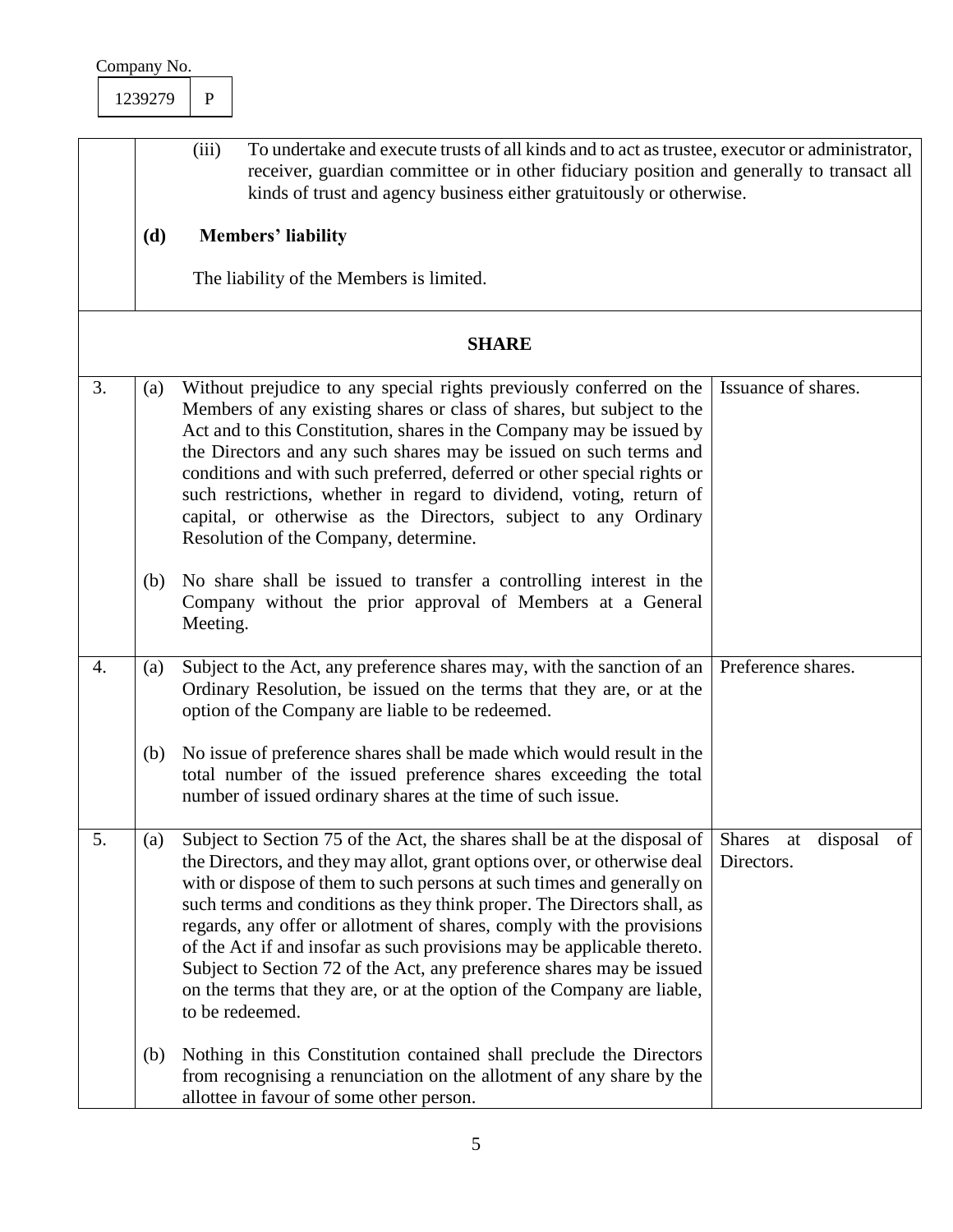|    | Company No. |                                                                                                                                                                                                                                                                                                                                                                                                                                                                                                                                                                                                                                      |                                        |
|----|-------------|--------------------------------------------------------------------------------------------------------------------------------------------------------------------------------------------------------------------------------------------------------------------------------------------------------------------------------------------------------------------------------------------------------------------------------------------------------------------------------------------------------------------------------------------------------------------------------------------------------------------------------------|----------------------------------------|
|    | 1239279     | $\mathbf{P}$                                                                                                                                                                                                                                                                                                                                                                                                                                                                                                                                                                                                                         |                                        |
|    | (d)         | (iii)<br>To undertake and execute trusts of all kinds and to act as trustee, executor or administrator,<br>receiver, guardian committee or in other fiduciary position and generally to transact all<br>kinds of trust and agency business either gratuitously or otherwise.<br><b>Members' liability</b><br>The liability of the Members is limited.                                                                                                                                                                                                                                                                                |                                        |
|    |             | <b>SHARE</b>                                                                                                                                                                                                                                                                                                                                                                                                                                                                                                                                                                                                                         |                                        |
| 3. | (a)         | Without prejudice to any special rights previously conferred on the<br>Members of any existing shares or class of shares, but subject to the<br>Act and to this Constitution, shares in the Company may be issued by<br>the Directors and any such shares may be issued on such terms and<br>conditions and with such preferred, deferred or other special rights or<br>such restrictions, whether in regard to dividend, voting, return of<br>capital, or otherwise as the Directors, subject to any Ordinary<br>Resolution of the Company, determine.                                                                              | Issuance of shares.                    |
|    | (b)         | No share shall be issued to transfer a controlling interest in the<br>Company without the prior approval of Members at a General<br>Meeting.                                                                                                                                                                                                                                                                                                                                                                                                                                                                                         |                                        |
| 4. | (a)         | Subject to the Act, any preference shares may, with the sanction of an<br>Ordinary Resolution, be issued on the terms that they are, or at the<br>option of the Company are liable to be redeemed.                                                                                                                                                                                                                                                                                                                                                                                                                                   | Preference shares.                     |
|    |             | (b) No issue of preference shares shall be made which would result in the<br>total number of the issued preference shares exceeding the total<br>number of issued ordinary shares at the time of such issue.                                                                                                                                                                                                                                                                                                                                                                                                                         |                                        |
| 5. | (a)         | Subject to Section 75 of the Act, the shares shall be at the disposal of<br>the Directors, and they may allot, grant options over, or otherwise deal<br>with or dispose of them to such persons at such times and generally on<br>such terms and conditions as they think proper. The Directors shall, as<br>regards, any offer or allotment of shares, comply with the provisions<br>of the Act if and insofar as such provisions may be applicable thereto.<br>Subject to Section 72 of the Act, any preference shares may be issued<br>on the terms that they are, or at the option of the Company are liable,<br>to be redeemed. | Shares at disposal<br>of<br>Directors. |
|    | (b)         | Nothing in this Constitution contained shall preclude the Directors<br>from recognising a renunciation on the allotment of any share by the<br>allottee in favour of some other person.                                                                                                                                                                                                                                                                                                                                                                                                                                              |                                        |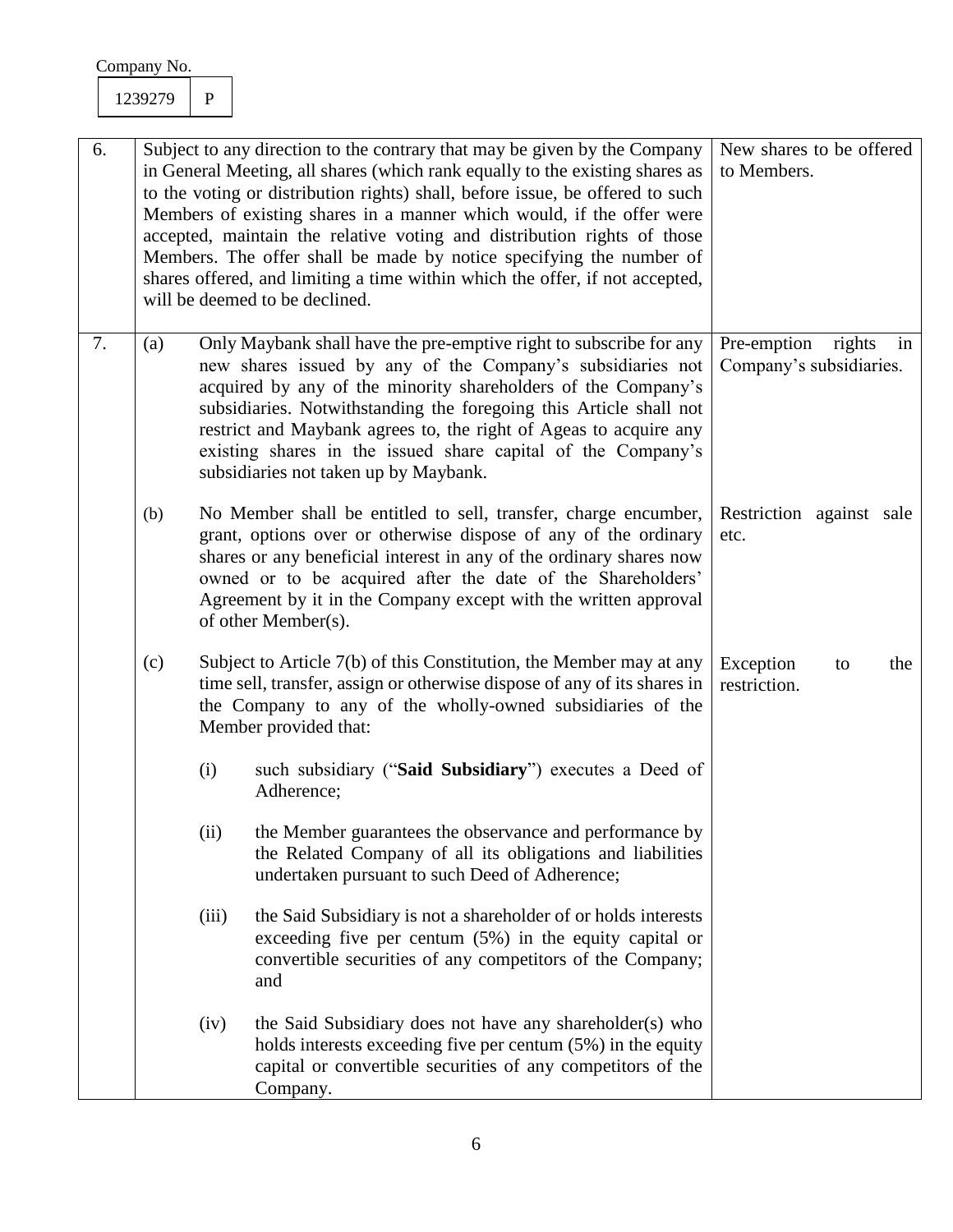| 6. |     | Subject to any direction to the contrary that may be given by the Company<br>in General Meeting, all shares (which rank equally to the existing shares as<br>to the voting or distribution rights) shall, before issue, be offered to such<br>Members of existing shares in a manner which would, if the offer were<br>accepted, maintain the relative voting and distribution rights of those<br>Members. The offer shall be made by notice specifying the number of<br>shares offered, and limiting a time within which the offer, if not accepted,<br>will be deemed to be declined. | New shares to be offered<br>to Members.                                                                                                                                                                                                                                                                                                                                                                                                               |                                                     |
|----|-----|-----------------------------------------------------------------------------------------------------------------------------------------------------------------------------------------------------------------------------------------------------------------------------------------------------------------------------------------------------------------------------------------------------------------------------------------------------------------------------------------------------------------------------------------------------------------------------------------|-------------------------------------------------------------------------------------------------------------------------------------------------------------------------------------------------------------------------------------------------------------------------------------------------------------------------------------------------------------------------------------------------------------------------------------------------------|-----------------------------------------------------|
| 7. | (a) |                                                                                                                                                                                                                                                                                                                                                                                                                                                                                                                                                                                         | Only Maybank shall have the pre-emptive right to subscribe for any<br>new shares issued by any of the Company's subsidiaries not<br>acquired by any of the minority shareholders of the Company's<br>subsidiaries. Notwithstanding the foregoing this Article shall not<br>restrict and Maybank agrees to, the right of Ageas to acquire any<br>existing shares in the issued share capital of the Company's<br>subsidiaries not taken up by Maybank. | Pre-emption rights<br>in<br>Company's subsidiaries. |
|    | (b) |                                                                                                                                                                                                                                                                                                                                                                                                                                                                                                                                                                                         | No Member shall be entitled to sell, transfer, charge encumber,<br>grant, options over or otherwise dispose of any of the ordinary<br>shares or any beneficial interest in any of the ordinary shares now<br>owned or to be acquired after the date of the Shareholders'<br>Agreement by it in the Company except with the written approval<br>of other Member(s).                                                                                    | Restriction against sale<br>etc.                    |
|    | (c) |                                                                                                                                                                                                                                                                                                                                                                                                                                                                                                                                                                                         | Subject to Article 7(b) of this Constitution, the Member may at any<br>time sell, transfer, assign or otherwise dispose of any of its shares in<br>the Company to any of the wholly-owned subsidiaries of the<br>Member provided that:                                                                                                                                                                                                                | Exception<br>the<br>to<br>restriction.              |
|    |     | (i)                                                                                                                                                                                                                                                                                                                                                                                                                                                                                                                                                                                     | such subsidiary ("Said Subsidiary") executes a Deed of<br>Adherence;                                                                                                                                                                                                                                                                                                                                                                                  |                                                     |
|    |     | (ii)                                                                                                                                                                                                                                                                                                                                                                                                                                                                                                                                                                                    | the Member guarantees the observance and performance by<br>the Related Company of all its obligations and liabilities<br>undertaken pursuant to such Deed of Adherence;                                                                                                                                                                                                                                                                               |                                                     |
|    |     | (iii)                                                                                                                                                                                                                                                                                                                                                                                                                                                                                                                                                                                   | the Said Subsidiary is not a shareholder of or holds interests<br>exceeding five per centum $(5%)$ in the equity capital or<br>convertible securities of any competitors of the Company;<br>and                                                                                                                                                                                                                                                       |                                                     |
|    |     | (iv)                                                                                                                                                                                                                                                                                                                                                                                                                                                                                                                                                                                    | the Said Subsidiary does not have any shareholder(s) who<br>holds interests exceeding five per centum (5%) in the equity<br>capital or convertible securities of any competitors of the<br>Company.                                                                                                                                                                                                                                                   |                                                     |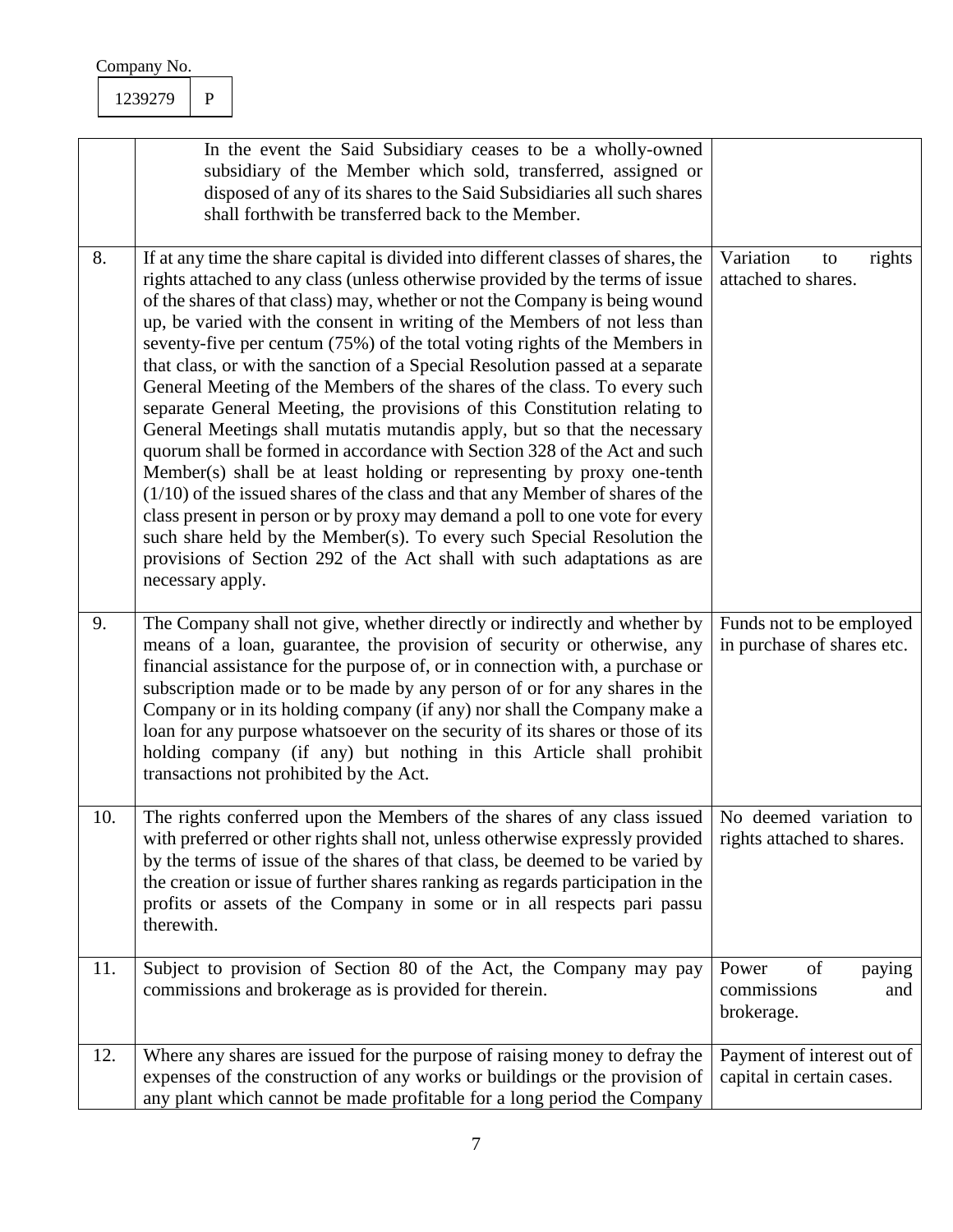| Company No. |  |
|-------------|--|
|             |  |

|     | In the event the Said Subsidiary ceases to be a wholly-owned<br>subsidiary of the Member which sold, transferred, assigned or<br>disposed of any of its shares to the Said Subsidiaries all such shares<br>shall forthwith be transferred back to the Member.                                                                                                                                                                                                                                                                                                                                                                                                                                                                                                                                                                                                                                                                                                                                                                                                                                                                                                                                                                        |                                                           |
|-----|--------------------------------------------------------------------------------------------------------------------------------------------------------------------------------------------------------------------------------------------------------------------------------------------------------------------------------------------------------------------------------------------------------------------------------------------------------------------------------------------------------------------------------------------------------------------------------------------------------------------------------------------------------------------------------------------------------------------------------------------------------------------------------------------------------------------------------------------------------------------------------------------------------------------------------------------------------------------------------------------------------------------------------------------------------------------------------------------------------------------------------------------------------------------------------------------------------------------------------------|-----------------------------------------------------------|
| 8.  | If at any time the share capital is divided into different classes of shares, the<br>rights attached to any class (unless otherwise provided by the terms of issue<br>of the shares of that class) may, whether or not the Company is being wound<br>up, be varied with the consent in writing of the Members of not less than<br>seventy-five per centum (75%) of the total voting rights of the Members in<br>that class, or with the sanction of a Special Resolution passed at a separate<br>General Meeting of the Members of the shares of the class. To every such<br>separate General Meeting, the provisions of this Constitution relating to<br>General Meetings shall mutatis mutandis apply, but so that the necessary<br>quorum shall be formed in accordance with Section 328 of the Act and such<br>Member(s) shall be at least holding or representing by proxy one-tenth<br>$(1/10)$ of the issued shares of the class and that any Member of shares of the<br>class present in person or by proxy may demand a poll to one vote for every<br>such share held by the Member(s). To every such Special Resolution the<br>provisions of Section 292 of the Act shall with such adaptations as are<br>necessary apply. | Variation<br>rights<br>to<br>attached to shares.          |
| 9.  | The Company shall not give, whether directly or indirectly and whether by<br>means of a loan, guarantee, the provision of security or otherwise, any<br>financial assistance for the purpose of, or in connection with, a purchase or<br>subscription made or to be made by any person of or for any shares in the<br>Company or in its holding company (if any) nor shall the Company make a<br>loan for any purpose whatsoever on the security of its shares or those of its<br>holding company (if any) but nothing in this Article shall prohibit<br>transactions not prohibited by the Act.                                                                                                                                                                                                                                                                                                                                                                                                                                                                                                                                                                                                                                     | Funds not to be employed<br>in purchase of shares etc.    |
| 10. | The rights conferred upon the Members of the shares of any class issued   No deemed variation to<br>with preferred or other rights shall not, unless otherwise expressly provided<br>by the terms of issue of the shares of that class, be deemed to be varied by<br>the creation or issue of further shares ranking as regards participation in the<br>profits or assets of the Company in some or in all respects pari passu<br>therewith.                                                                                                                                                                                                                                                                                                                                                                                                                                                                                                                                                                                                                                                                                                                                                                                         | rights attached to shares.                                |
| 11. | Subject to provision of Section 80 of the Act, the Company may pay<br>commissions and brokerage as is provided for therein.                                                                                                                                                                                                                                                                                                                                                                                                                                                                                                                                                                                                                                                                                                                                                                                                                                                                                                                                                                                                                                                                                                          | Power<br>of<br>paying<br>commissions<br>and<br>brokerage. |
| 12. | Where any shares are issued for the purpose of raising money to defray the<br>expenses of the construction of any works or buildings or the provision of<br>any plant which cannot be made profitable for a long period the Company                                                                                                                                                                                                                                                                                                                                                                                                                                                                                                                                                                                                                                                                                                                                                                                                                                                                                                                                                                                                  | Payment of interest out of<br>capital in certain cases.   |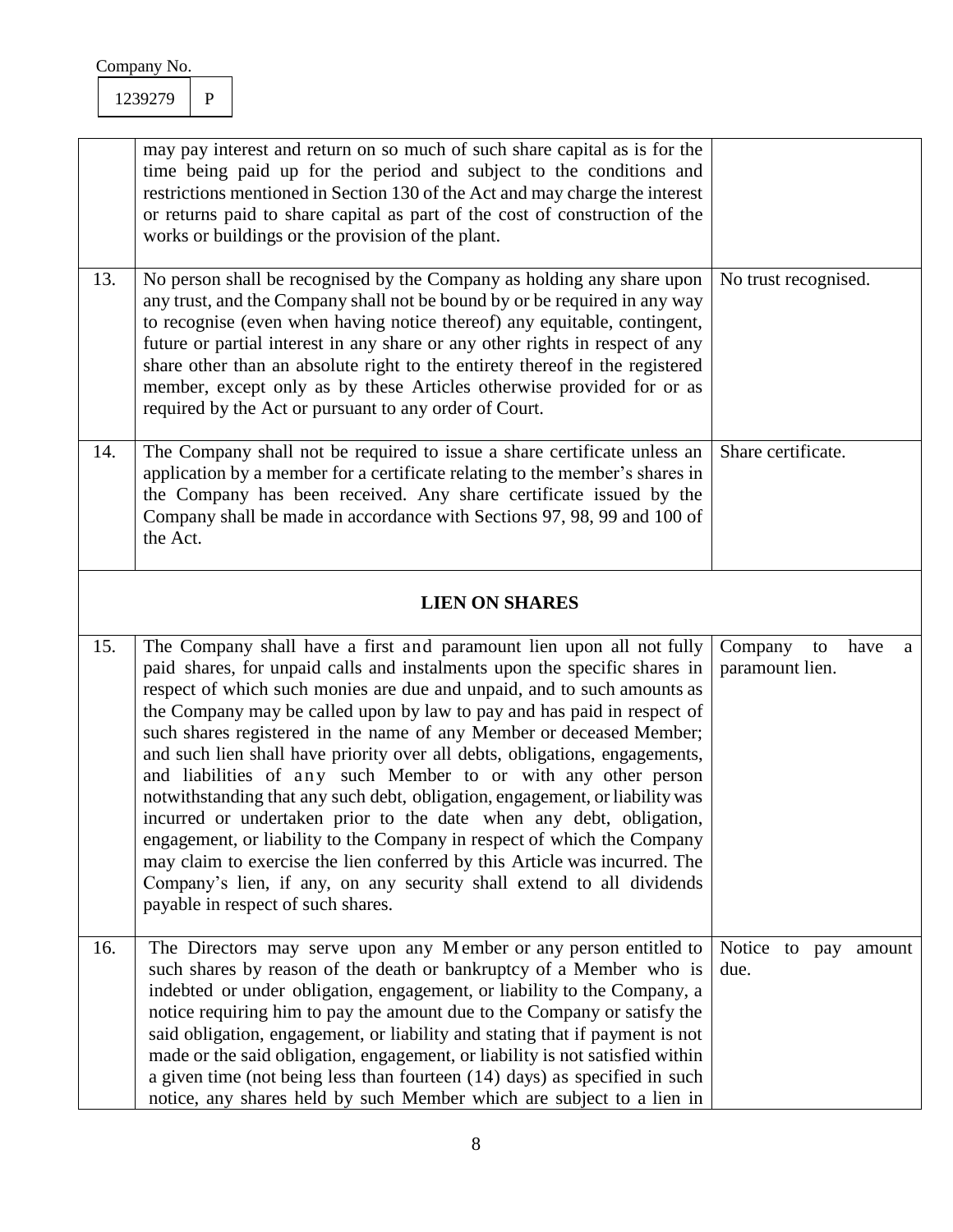|     | may pay interest and return on so much of such share capital as is for the<br>time being paid up for the period and subject to the conditions and<br>restrictions mentioned in Section 130 of the Act and may charge the interest<br>or returns paid to share capital as part of the cost of construction of the<br>works or buildings or the provision of the plant.                                                                                                                                                                                                                                                                                                                                                                                                                                                                                                                                                     |                                               |
|-----|---------------------------------------------------------------------------------------------------------------------------------------------------------------------------------------------------------------------------------------------------------------------------------------------------------------------------------------------------------------------------------------------------------------------------------------------------------------------------------------------------------------------------------------------------------------------------------------------------------------------------------------------------------------------------------------------------------------------------------------------------------------------------------------------------------------------------------------------------------------------------------------------------------------------------|-----------------------------------------------|
| 13. | No person shall be recognised by the Company as holding any share upon<br>any trust, and the Company shall not be bound by or be required in any way<br>to recognise (even when having notice thereof) any equitable, contingent,<br>future or partial interest in any share or any other rights in respect of any<br>share other than an absolute right to the entirety thereof in the registered<br>member, except only as by these Articles otherwise provided for or as<br>required by the Act or pursuant to any order of Court.                                                                                                                                                                                                                                                                                                                                                                                     | No trust recognised.                          |
| 14. | The Company shall not be required to issue a share certificate unless an<br>application by a member for a certificate relating to the member's shares in<br>the Company has been received. Any share certificate issued by the<br>Company shall be made in accordance with Sections 97, 98, 99 and 100 of<br>the Act.                                                                                                                                                                                                                                                                                                                                                                                                                                                                                                                                                                                                     | Share certificate.                            |
|     | <b>LIEN ON SHARES</b>                                                                                                                                                                                                                                                                                                                                                                                                                                                                                                                                                                                                                                                                                                                                                                                                                                                                                                     |                                               |
| 15. | The Company shall have a first and paramount lien upon all not fully<br>paid shares, for unpaid calls and instalments upon the specific shares in<br>respect of which such monies are due and unpaid, and to such amounts as<br>the Company may be called upon by law to pay and has paid in respect of<br>such shares registered in the name of any Member or deceased Member;<br>and such lien shall have priority over all debts, obligations, engagements,<br>and liabilities of any such Member to or with any other person<br>notwithstanding that any such debt, obligation, engagement, or liability was<br>incurred or undertaken prior to the date when any debt, obligation,<br>engagement, or liability to the Company in respect of which the Company<br>may claim to exercise the lien conferred by this Article was incurred. The<br>Company's lien, if any, on any security shall extend to all dividends | Company<br>to<br>have<br>a<br>paramount lien. |

|     | payable in respect of such shares.                                              |  |        |
|-----|---------------------------------------------------------------------------------|--|--------|
|     |                                                                                 |  |        |
| 16. | The Directors may serve upon any Member or any person entitled to Notice to pay |  | amount |
|     | such shares by reason of the death or bankruptcy of a Member who is due.        |  |        |
|     | indebted or under obligation, engagement, or liability to the Company, a        |  |        |
|     | notice requiring him to pay the amount due to the Company or satisfy the        |  |        |
|     | said obligation, engagement, or liability and stating that if payment is not    |  |        |
|     | made or the said obligation, engagement, or liability is not satisfied within   |  |        |
|     | a given time (not being less than fourteen $(14)$ days) as specified in such    |  |        |
|     | notice, any shares held by such Member which are subject to a lien in           |  |        |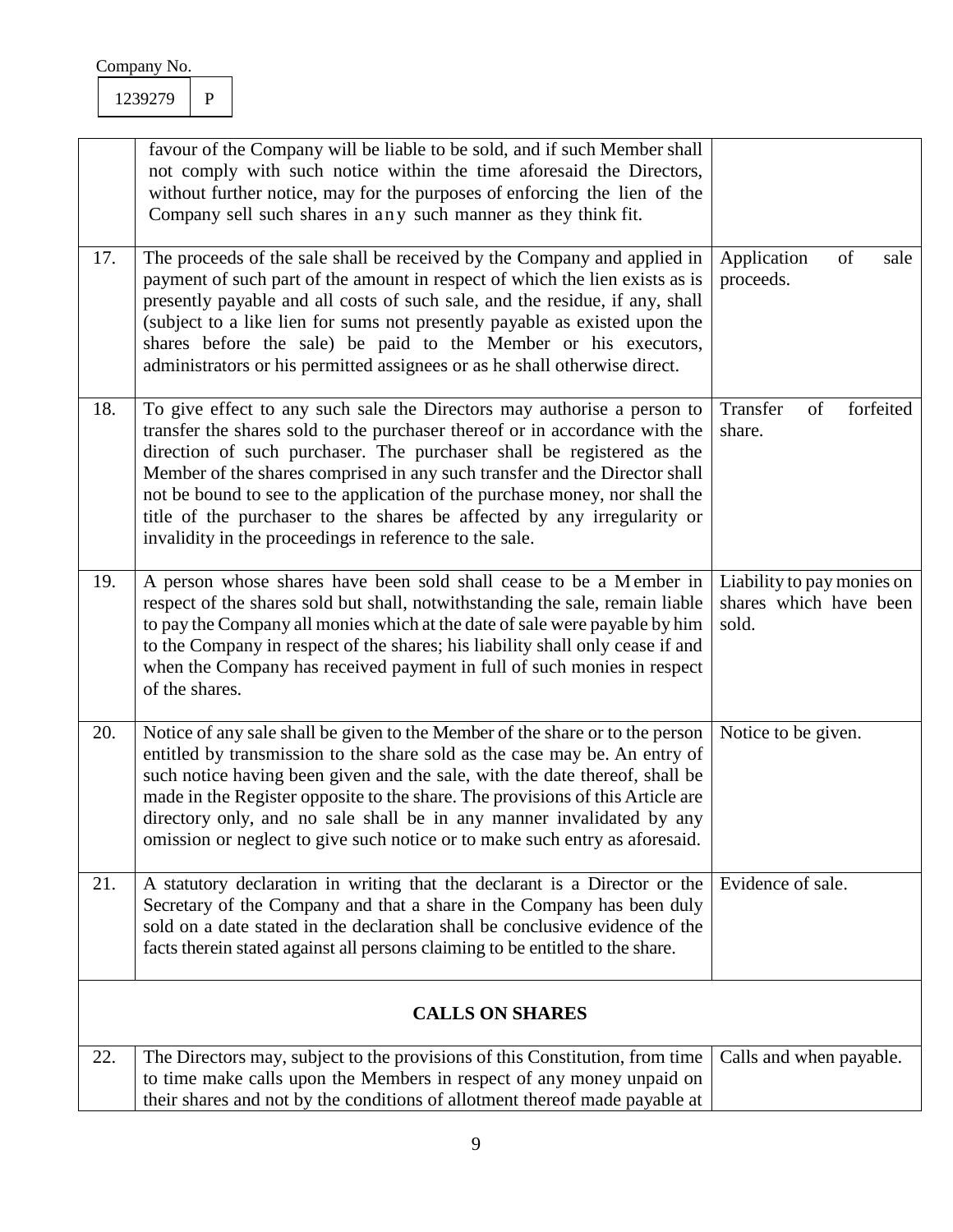|     | favour of the Company will be liable to be sold, and if such Member shall<br>not comply with such notice within the time aforesaid the Directors,<br>without further notice, may for the purposes of enforcing the lien of the<br>Company sell such shares in any such manner as they think fit.                                                                                                                                                                                                                                   |                                                               |
|-----|------------------------------------------------------------------------------------------------------------------------------------------------------------------------------------------------------------------------------------------------------------------------------------------------------------------------------------------------------------------------------------------------------------------------------------------------------------------------------------------------------------------------------------|---------------------------------------------------------------|
| 17. | The proceeds of the sale shall be received by the Company and applied in<br>payment of such part of the amount in respect of which the lien exists as is<br>presently payable and all costs of such sale, and the residue, if any, shall<br>(subject to a like lien for sums not presently payable as existed upon the<br>shares before the sale) be paid to the Member or his executors,<br>administrators or his permitted assignees or as he shall otherwise direct.                                                            | of<br>Application<br>sale<br>proceeds.                        |
| 18. | To give effect to any such sale the Directors may authorise a person to<br>transfer the shares sold to the purchaser thereof or in accordance with the<br>direction of such purchaser. The purchaser shall be registered as the<br>Member of the shares comprised in any such transfer and the Director shall<br>not be bound to see to the application of the purchase money, nor shall the<br>title of the purchaser to the shares be affected by any irregularity or<br>invalidity in the proceedings in reference to the sale. | forfeited<br>Transfer<br>of<br>share.                         |
| 19. | A person whose shares have been sold shall cease to be a Member in<br>respect of the shares sold but shall, notwithstanding the sale, remain liable<br>to pay the Company all monies which at the date of sale were payable by him<br>to the Company in respect of the shares; his liability shall only cease if and<br>when the Company has received payment in full of such monies in respect<br>of the shares.                                                                                                                  | Liability to pay monies on<br>shares which have been<br>sold. |
| 20. | Notice of any sale shall be given to the Member of the share or to the person<br>entitled by transmission to the share sold as the case may be. An entry of<br>such notice having been given and the sale, with the date thereof, shall be<br>made in the Register opposite to the share. The provisions of this Article are<br>directory only, and no sale shall be in any manner invalidated by any<br>omission or neglect to give such notice or to make such entry as aforesaid.                                               | Notice to be given.                                           |
| 21. | A statutory declaration in writing that the declarant is a Director or the<br>Secretary of the Company and that a share in the Company has been duly<br>sold on a date stated in the declaration shall be conclusive evidence of the<br>facts therein stated against all persons claiming to be entitled to the share.                                                                                                                                                                                                             | Evidence of sale.                                             |
|     | <b>CALLS ON SHARES</b>                                                                                                                                                                                                                                                                                                                                                                                                                                                                                                             |                                                               |
| 22. | The Directors may, subject to the provisions of this Constitution, from time<br>to time make calls upon the Members in respect of any money unpaid on<br>their shares and not by the conditions of allotment thereof made payable at                                                                                                                                                                                                                                                                                               | Calls and when payable.                                       |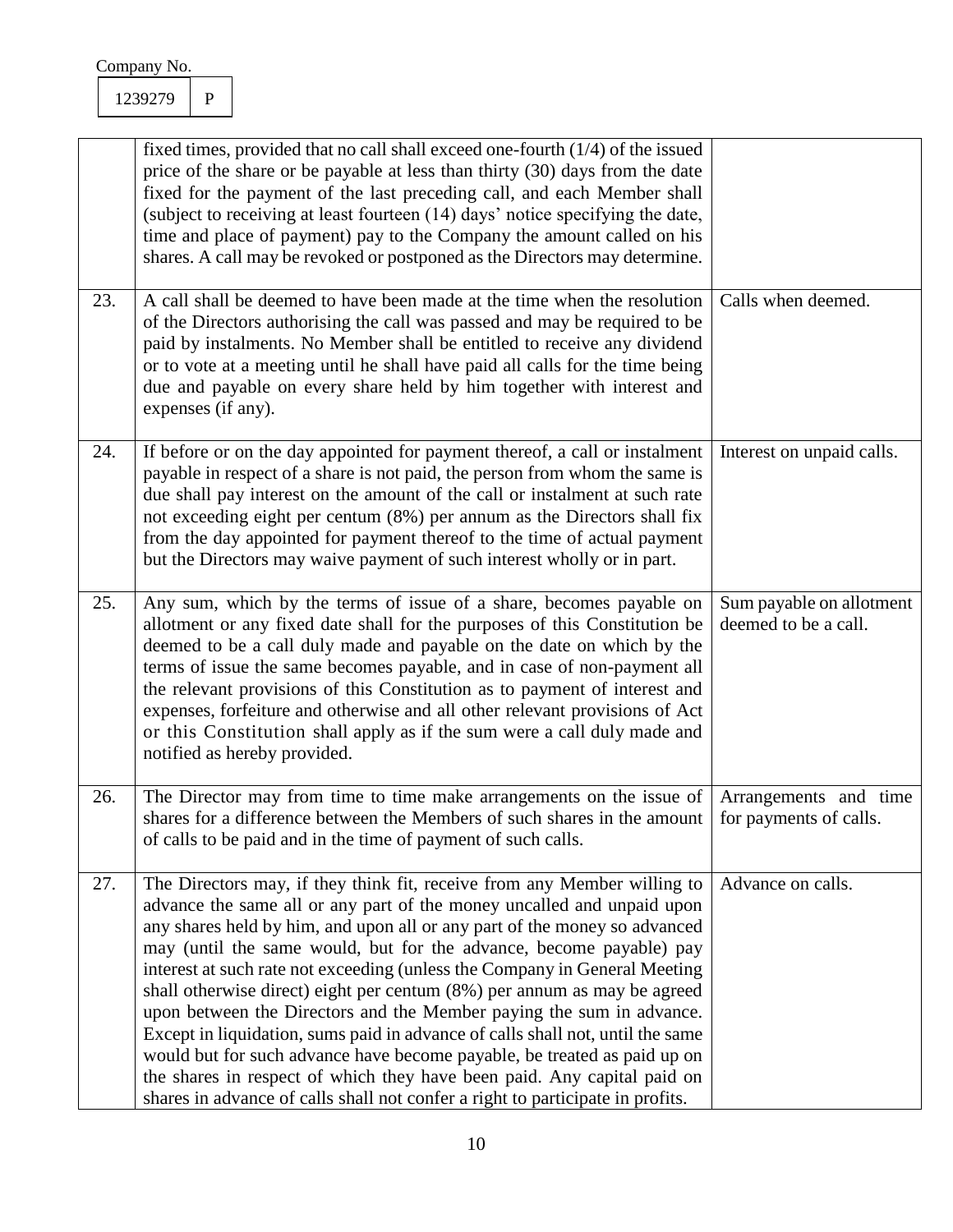|     | fixed times, provided that no call shall exceed one-fourth $(1/4)$ of the issued<br>price of the share or be payable at less than thirty (30) days from the date<br>fixed for the payment of the last preceding call, and each Member shall<br>(subject to receiving at least fourteen (14) days' notice specifying the date,<br>time and place of payment) pay to the Company the amount called on his<br>shares. A call may be revoked or postponed as the Directors may determine.                                                                                                                                                                                                                                                                                                                                                                               |                                                  |
|-----|---------------------------------------------------------------------------------------------------------------------------------------------------------------------------------------------------------------------------------------------------------------------------------------------------------------------------------------------------------------------------------------------------------------------------------------------------------------------------------------------------------------------------------------------------------------------------------------------------------------------------------------------------------------------------------------------------------------------------------------------------------------------------------------------------------------------------------------------------------------------|--------------------------------------------------|
| 23. | A call shall be deemed to have been made at the time when the resolution<br>of the Directors authorising the call was passed and may be required to be<br>paid by instalments. No Member shall be entitled to receive any dividend<br>or to vote at a meeting until he shall have paid all calls for the time being<br>due and payable on every share held by him together with interest and<br>expenses (if any).                                                                                                                                                                                                                                                                                                                                                                                                                                                  | Calls when deemed.                               |
| 24. | If before or on the day appointed for payment thereof, a call or instalment<br>payable in respect of a share is not paid, the person from whom the same is<br>due shall pay interest on the amount of the call or instalment at such rate<br>not exceeding eight per centum (8%) per annum as the Directors shall fix<br>from the day appointed for payment thereof to the time of actual payment<br>but the Directors may waive payment of such interest wholly or in part.                                                                                                                                                                                                                                                                                                                                                                                        | Interest on unpaid calls.                        |
| 25. | Any sum, which by the terms of issue of a share, becomes payable on<br>allotment or any fixed date shall for the purposes of this Constitution be<br>deemed to be a call duly made and payable on the date on which by the<br>terms of issue the same becomes payable, and in case of non-payment all<br>the relevant provisions of this Constitution as to payment of interest and<br>expenses, forfeiture and otherwise and all other relevant provisions of Act<br>or this Constitution shall apply as if the sum were a call duly made and<br>notified as hereby provided.                                                                                                                                                                                                                                                                                      | Sum payable on allotment<br>deemed to be a call. |
| 26. | The Director may from time to time make arrangements on the issue of<br>shares for a difference between the Members of such shares in the amount<br>of calls to be paid and in the time of payment of such calls.                                                                                                                                                                                                                                                                                                                                                                                                                                                                                                                                                                                                                                                   | Arrangements and time<br>for payments of calls.  |
| 27. | The Directors may, if they think fit, receive from any Member willing to<br>advance the same all or any part of the money uncalled and unpaid upon<br>any shares held by him, and upon all or any part of the money so advanced<br>may (until the same would, but for the advance, become payable) pay<br>interest at such rate not exceeding (unless the Company in General Meeting<br>shall otherwise direct) eight per centum (8%) per annum as may be agreed<br>upon between the Directors and the Member paying the sum in advance.<br>Except in liquidation, sums paid in advance of calls shall not, until the same<br>would but for such advance have become payable, be treated as paid up on<br>the shares in respect of which they have been paid. Any capital paid on<br>shares in advance of calls shall not confer a right to participate in profits. | Advance on calls.                                |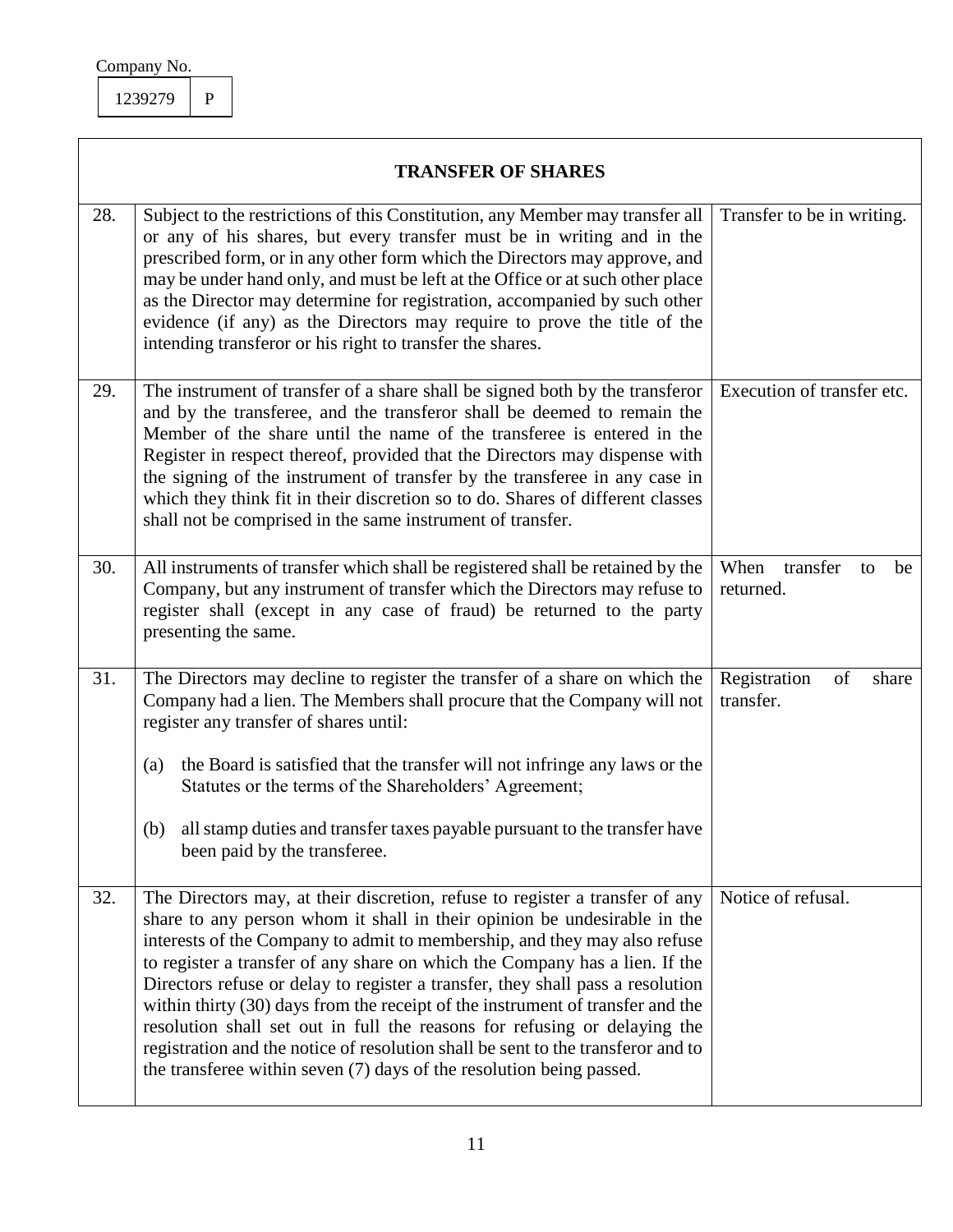$\overline{\phantom{a}}$ 

1239279 P

|     | <b>TRANSFER OF SHARES</b>                                                                                                                                                                                                                                                                                                                                                                                                                                                                                                                                                                                                                                                                                                         |                                           |  |  |  |  |  |
|-----|-----------------------------------------------------------------------------------------------------------------------------------------------------------------------------------------------------------------------------------------------------------------------------------------------------------------------------------------------------------------------------------------------------------------------------------------------------------------------------------------------------------------------------------------------------------------------------------------------------------------------------------------------------------------------------------------------------------------------------------|-------------------------------------------|--|--|--|--|--|
| 28. | Subject to the restrictions of this Constitution, any Member may transfer all<br>or any of his shares, but every transfer must be in writing and in the<br>prescribed form, or in any other form which the Directors may approve, and<br>may be under hand only, and must be left at the Office or at such other place<br>as the Director may determine for registration, accompanied by such other<br>evidence (if any) as the Directors may require to prove the title of the<br>intending transferor or his right to transfer the shares.                                                                                                                                                                                      | Transfer to be in writing.                |  |  |  |  |  |
| 29. | The instrument of transfer of a share shall be signed both by the transferor<br>and by the transferee, and the transferor shall be deemed to remain the<br>Member of the share until the name of the transferee is entered in the<br>Register in respect thereof, provided that the Directors may dispense with<br>the signing of the instrument of transfer by the transferee in any case in<br>which they think fit in their discretion so to do. Shares of different classes<br>shall not be comprised in the same instrument of transfer.                                                                                                                                                                                     | Execution of transfer etc.                |  |  |  |  |  |
| 30. | All instruments of transfer which shall be registered shall be retained by the<br>Company, but any instrument of transfer which the Directors may refuse to<br>register shall (except in any case of fraud) be returned to the party<br>presenting the same.                                                                                                                                                                                                                                                                                                                                                                                                                                                                      | transfer<br>When<br>be<br>to<br>returned. |  |  |  |  |  |
| 31. | The Directors may decline to register the transfer of a share on which the<br>Company had a lien. The Members shall procure that the Company will not<br>register any transfer of shares until:<br>the Board is satisfied that the transfer will not infringe any laws or the<br>(a)<br>Statutes or the terms of the Shareholders' Agreement;<br>all stamp duties and transfer taxes payable pursuant to the transfer have<br>(b)<br>been paid by the transferee.                                                                                                                                                                                                                                                                 | Registration<br>of<br>share<br>transfer.  |  |  |  |  |  |
| 32. | The Directors may, at their discretion, refuse to register a transfer of any<br>share to any person whom it shall in their opinion be undesirable in the<br>interests of the Company to admit to membership, and they may also refuse<br>to register a transfer of any share on which the Company has a lien. If the<br>Directors refuse or delay to register a transfer, they shall pass a resolution<br>within thirty (30) days from the receipt of the instrument of transfer and the<br>resolution shall set out in full the reasons for refusing or delaying the<br>registration and the notice of resolution shall be sent to the transferor and to<br>the transferee within seven (7) days of the resolution being passed. | Notice of refusal.                        |  |  |  |  |  |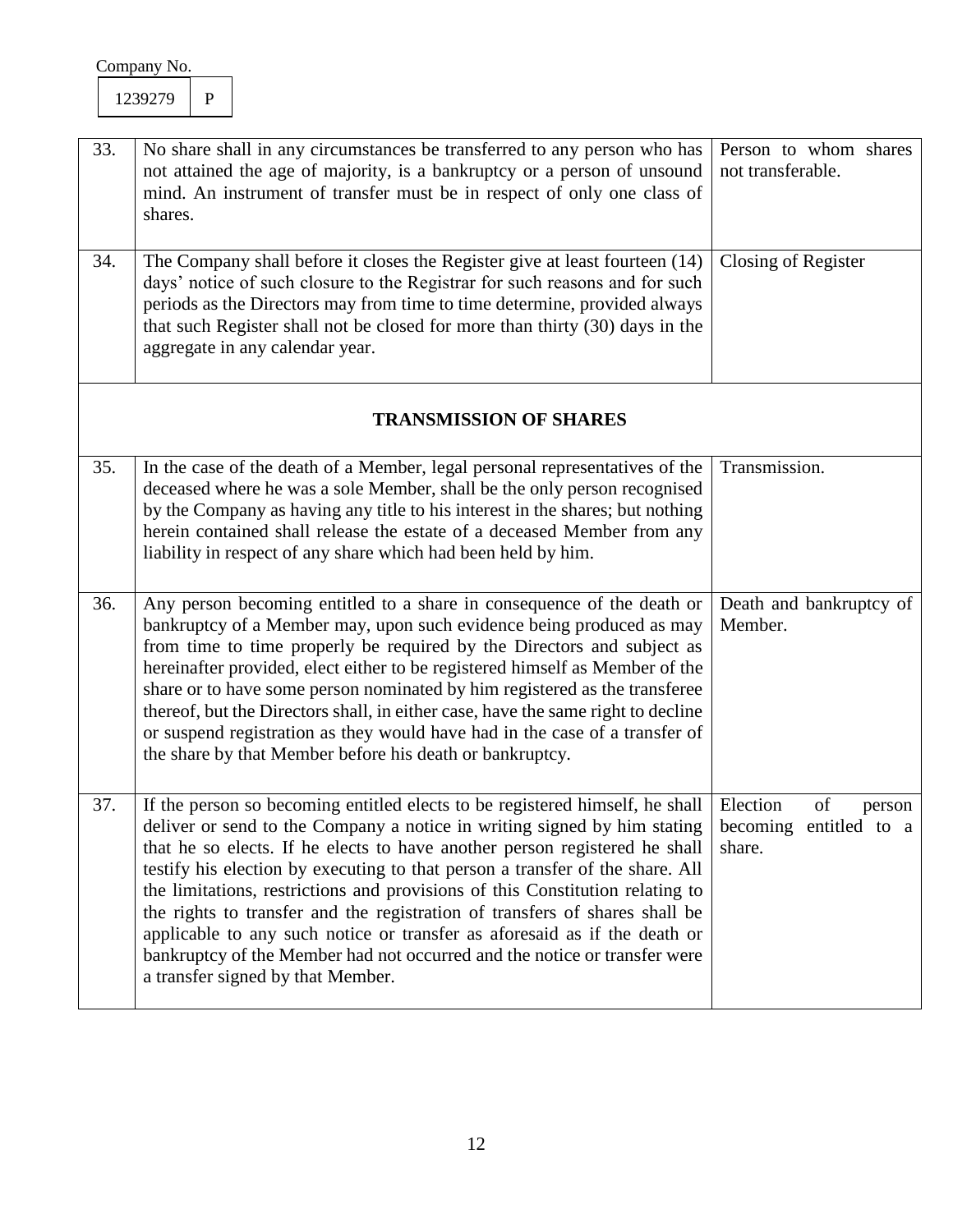| 33.<br>34. | No share shall in any circumstances be transferred to any person who has<br>not attained the age of majority, is a bankruptcy or a person of unsound<br>mind. An instrument of transfer must be in respect of only one class of<br>shares.<br>The Company shall before it closes the Register give at least fourteen (14)<br>days' notice of such closure to the Registrar for such reasons and for such<br>periods as the Directors may from time to time determine, provided always<br>that such Register shall not be closed for more than thirty (30) days in the<br>aggregate in any calendar year.                                                                                                               | Person to whom shares<br>not transferable.<br>Closing of Register |
|------------|------------------------------------------------------------------------------------------------------------------------------------------------------------------------------------------------------------------------------------------------------------------------------------------------------------------------------------------------------------------------------------------------------------------------------------------------------------------------------------------------------------------------------------------------------------------------------------------------------------------------------------------------------------------------------------------------------------------------|-------------------------------------------------------------------|
|            | <b>TRANSMISSION OF SHARES</b>                                                                                                                                                                                                                                                                                                                                                                                                                                                                                                                                                                                                                                                                                          |                                                                   |
| 35.        | In the case of the death of a Member, legal personal representatives of the<br>deceased where he was a sole Member, shall be the only person recognised<br>by the Company as having any title to his interest in the shares; but nothing<br>herein contained shall release the estate of a deceased Member from any<br>liability in respect of any share which had been held by him.                                                                                                                                                                                                                                                                                                                                   | Transmission.                                                     |
| 36.        | Any person becoming entitled to a share in consequence of the death or<br>bankruptcy of a Member may, upon such evidence being produced as may<br>from time to time properly be required by the Directors and subject as<br>hereinafter provided, elect either to be registered himself as Member of the<br>share or to have some person nominated by him registered as the transferee<br>thereof, but the Directors shall, in either case, have the same right to decline<br>or suspend registration as they would have had in the case of a transfer of<br>the share by that Member before his death or bankruptcy.                                                                                                  | Death and bankruptcy of<br>Member.                                |
| 37.        | If the person so becoming entitled elects to be registered himself, he shall Election<br>deliver or send to the Company a notice in writing signed by him stating becoming entitled to a<br>that he so elects. If he elects to have another person registered he shall<br>testify his election by executing to that person a transfer of the share. All<br>the limitations, restrictions and provisions of this Constitution relating to<br>the rights to transfer and the registration of transfers of shares shall be<br>applicable to any such notice or transfer as aforesaid as if the death or<br>bankruptcy of the Member had not occurred and the notice or transfer were<br>a transfer signed by that Member. | of<br>person<br>share.                                            |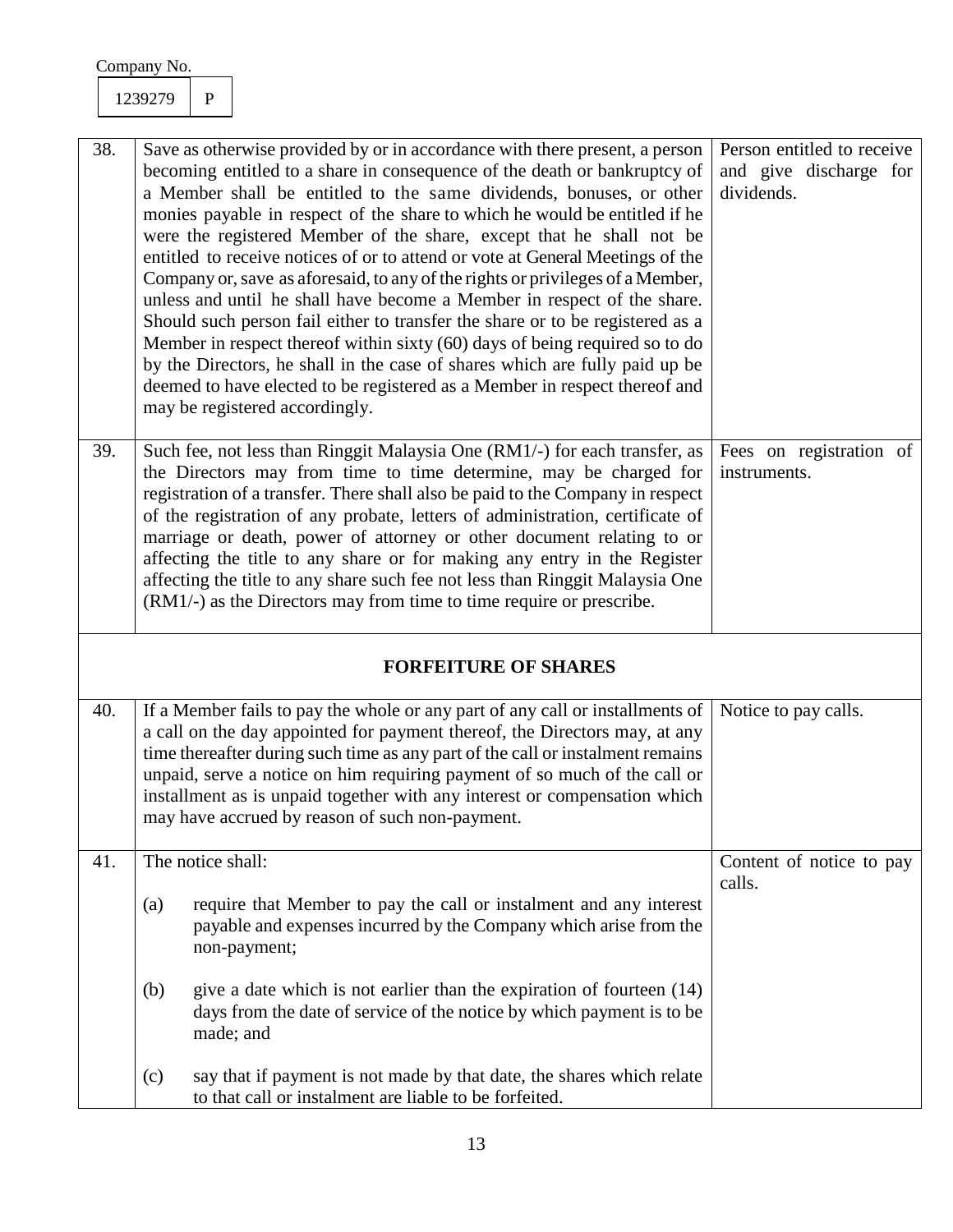| 38. | Save as otherwise provided by or in accordance with there present, a person<br>becoming entitled to a share in consequence of the death or bankruptcy of<br>a Member shall be entitled to the same dividends, bonuses, or other<br>monies payable in respect of the share to which he would be entitled if he<br>were the registered Member of the share, except that he shall not be<br>entitled to receive notices of or to attend or vote at General Meetings of the<br>Company or, save as aforesaid, to any of the rights or privileges of a Member,<br>unless and until he shall have become a Member in respect of the share.<br>Should such person fail either to transfer the share or to be registered as a<br>Member in respect thereof within sixty (60) days of being required so to do<br>by the Directors, he shall in the case of shares which are fully paid up be<br>deemed to have elected to be registered as a Member in respect thereof and<br>may be registered accordingly. | Person entitled to receive<br>and give discharge for<br>dividends. |
|-----|-----------------------------------------------------------------------------------------------------------------------------------------------------------------------------------------------------------------------------------------------------------------------------------------------------------------------------------------------------------------------------------------------------------------------------------------------------------------------------------------------------------------------------------------------------------------------------------------------------------------------------------------------------------------------------------------------------------------------------------------------------------------------------------------------------------------------------------------------------------------------------------------------------------------------------------------------------------------------------------------------------|--------------------------------------------------------------------|
| 39. | Such fee, not less than Ringgit Malaysia One (RM1/-) for each transfer, as<br>the Directors may from time to time determine, may be charged for<br>registration of a transfer. There shall also be paid to the Company in respect<br>of the registration of any probate, letters of administration, certificate of<br>marriage or death, power of attorney or other document relating to or<br>affecting the title to any share or for making any entry in the Register<br>affecting the title to any share such fee not less than Ringgit Malaysia One<br>(RM1/-) as the Directors may from time to time require or prescribe.                                                                                                                                                                                                                                                                                                                                                                     | Fees on registration of<br>instruments.                            |
|     | <b>FORFEITURE OF SHARES</b>                                                                                                                                                                                                                                                                                                                                                                                                                                                                                                                                                                                                                                                                                                                                                                                                                                                                                                                                                                         |                                                                    |
| 40. | If a Member fails to pay the whole or any part of any call or installments of<br>a call on the day appointed for payment thereof, the Directors may, at any<br>time thereafter during such time as any part of the call or instalment remains<br>unpaid, serve a notice on him requiring payment of so much of the call or<br>installment as is unpaid together with any interest or compensation which<br>may have accrued by reason of such non-payment.                                                                                                                                                                                                                                                                                                                                                                                                                                                                                                                                          | Notice to pay calls.                                               |
| 41. | The notice shall:                                                                                                                                                                                                                                                                                                                                                                                                                                                                                                                                                                                                                                                                                                                                                                                                                                                                                                                                                                                   | Content of notice to pay                                           |
|     | require that Member to pay the call or instalment and any interest<br>(a)<br>payable and expenses incurred by the Company which arise from the<br>non-payment;                                                                                                                                                                                                                                                                                                                                                                                                                                                                                                                                                                                                                                                                                                                                                                                                                                      | calls.                                                             |
|     | give a date which is not earlier than the expiration of fourteen $(14)$<br>(b)<br>days from the date of service of the notice by which payment is to be<br>made; and                                                                                                                                                                                                                                                                                                                                                                                                                                                                                                                                                                                                                                                                                                                                                                                                                                |                                                                    |
|     | say that if payment is not made by that date, the shares which relate<br>(c)<br>to that call or instalment are liable to be forfeited.                                                                                                                                                                                                                                                                                                                                                                                                                                                                                                                                                                                                                                                                                                                                                                                                                                                              |                                                                    |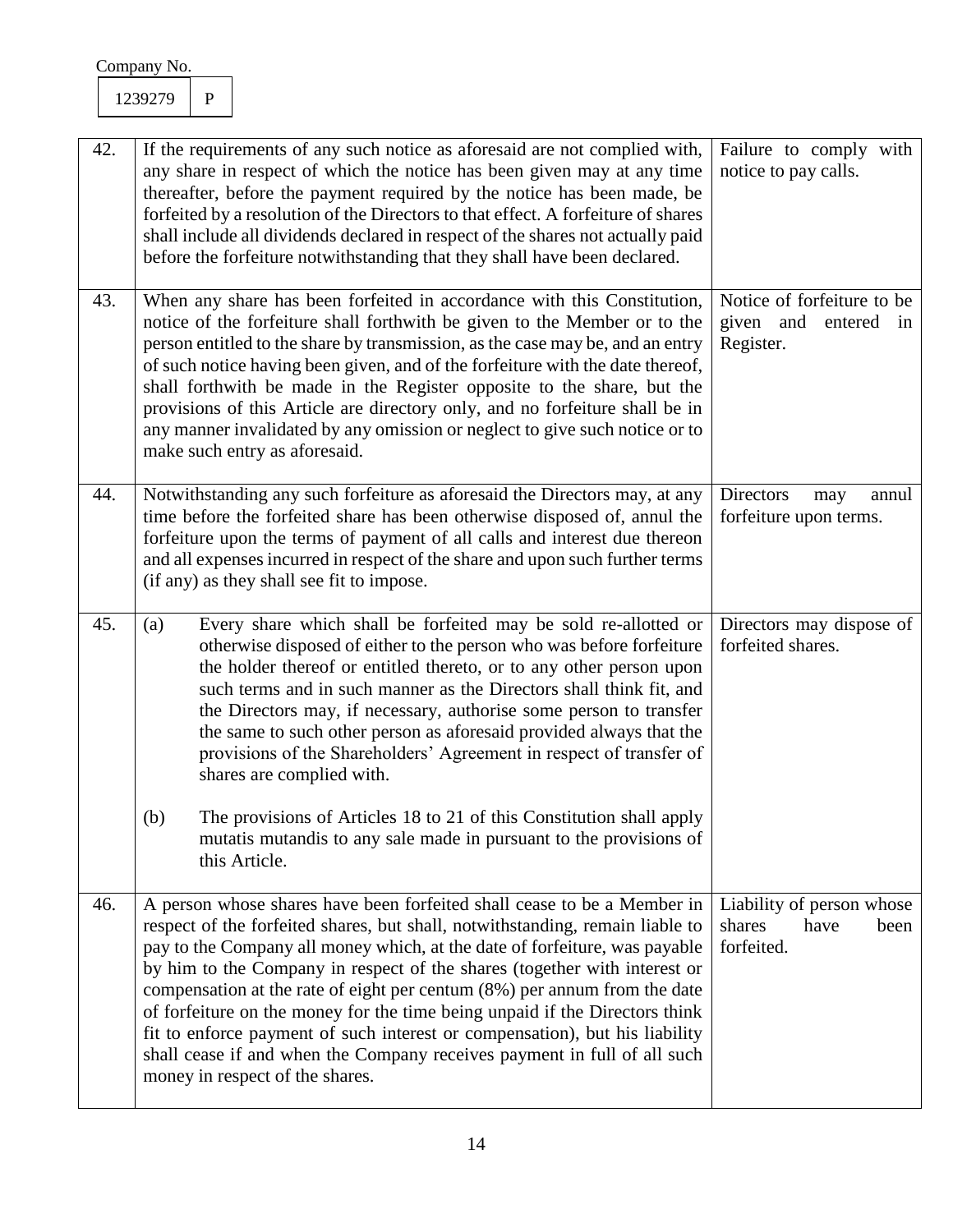| 42. | If the requirements of any such notice as aforesaid are not complied with,<br>any share in respect of which the notice has been given may at any time<br>thereafter, before the payment required by the notice has been made, be<br>forfeited by a resolution of the Directors to that effect. A forfeiture of shares<br>shall include all dividends declared in respect of the shares not actually paid<br>before the forfeiture notwithstanding that they shall have been declared.                                                                                                                                                                                            | Failure to comply with<br>notice to pay calls.                        |
|-----|----------------------------------------------------------------------------------------------------------------------------------------------------------------------------------------------------------------------------------------------------------------------------------------------------------------------------------------------------------------------------------------------------------------------------------------------------------------------------------------------------------------------------------------------------------------------------------------------------------------------------------------------------------------------------------|-----------------------------------------------------------------------|
| 43. | When any share has been forfeited in accordance with this Constitution,<br>notice of the forfeiture shall forthwith be given to the Member or to the<br>person entitled to the share by transmission, as the case may be, and an entry<br>of such notice having been given, and of the forfeiture with the date thereof,<br>shall forthwith be made in the Register opposite to the share, but the<br>provisions of this Article are directory only, and no forfeiture shall be in<br>any manner invalidated by any omission or neglect to give such notice or to<br>make such entry as aforesaid.                                                                               | Notice of forfeiture to be<br>given and<br>entered<br>in<br>Register. |
| 44. | Notwithstanding any such forfeiture as aforesaid the Directors may, at any<br>time before the forfeited share has been otherwise disposed of, annul the<br>forfeiture upon the terms of payment of all calls and interest due thereon<br>and all expenses incurred in respect of the share and upon such further terms<br>(if any) as they shall see fit to impose.                                                                                                                                                                                                                                                                                                              | <b>Directors</b><br>annul<br>may<br>forfeiture upon terms.            |
| 45. | Every share which shall be forfeited may be sold re-allotted or<br>(a)<br>otherwise disposed of either to the person who was before forfeiture<br>the holder thereof or entitled thereto, or to any other person upon<br>such terms and in such manner as the Directors shall think fit, and<br>the Directors may, if necessary, authorise some person to transfer<br>the same to such other person as aforesaid provided always that the<br>provisions of the Shareholders' Agreement in respect of transfer of<br>shares are complied with.                                                                                                                                    | Directors may dispose of<br>forfeited shares.                         |
|     | The provisions of Articles 18 to 21 of this Constitution shall apply<br>(b)<br>mutatis mutandis to any sale made in pursuant to the provisions of<br>this Article.                                                                                                                                                                                                                                                                                                                                                                                                                                                                                                               |                                                                       |
| 46. | A person whose shares have been forfeited shall cease to be a Member in<br>respect of the forfeited shares, but shall, notwithstanding, remain liable to<br>pay to the Company all money which, at the date of forfeiture, was payable<br>by him to the Company in respect of the shares (together with interest or<br>compensation at the rate of eight per centum $(8\%)$ per annum from the date<br>of forfeiture on the money for the time being unpaid if the Directors think<br>fit to enforce payment of such interest or compensation), but his liability<br>shall cease if and when the Company receives payment in full of all such<br>money in respect of the shares. | Liability of person whose<br>shares<br>have<br>been<br>forfeited.     |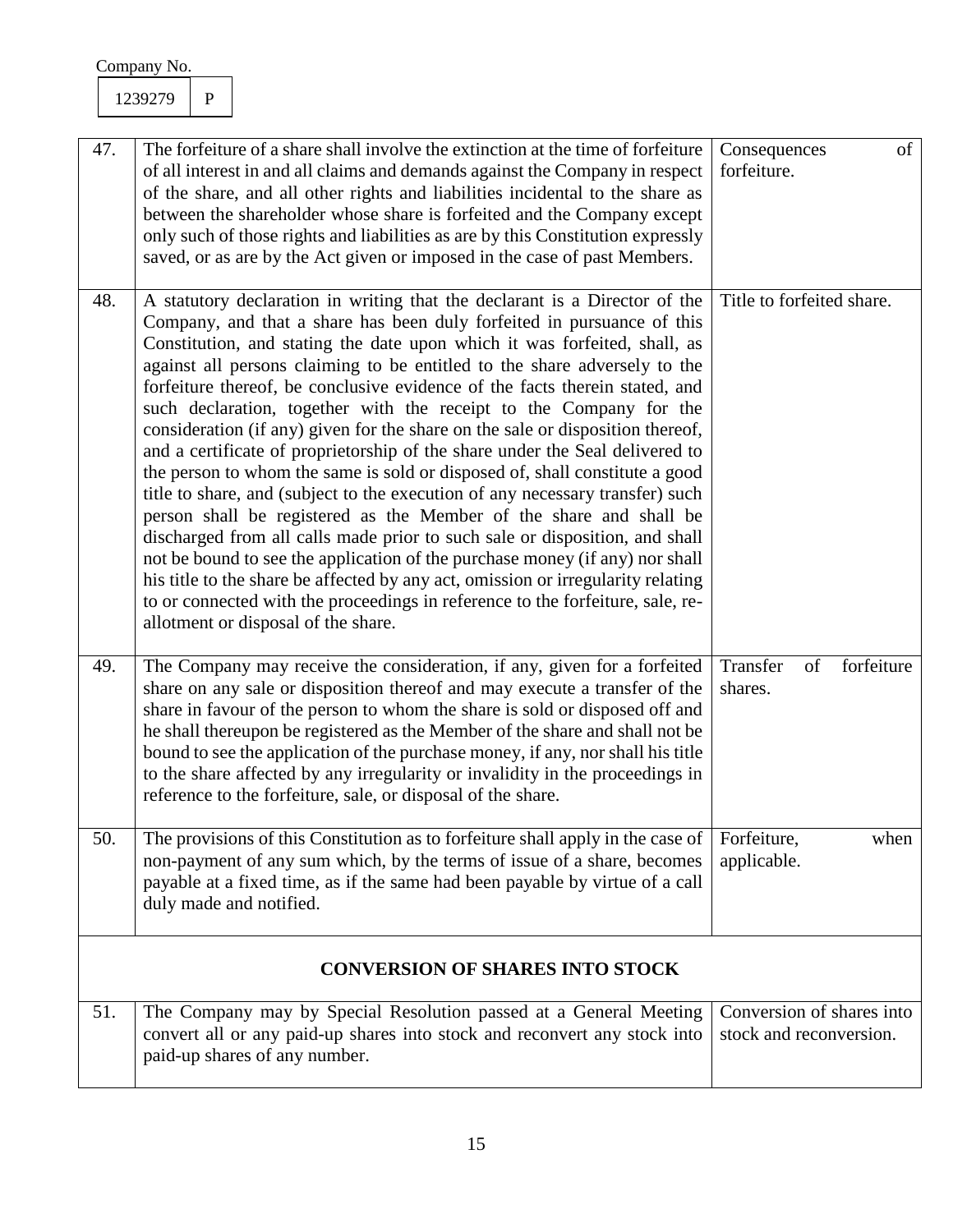| 47. | The forfeiture of a share shall involve the extinction at the time of forfeiture<br>of all interest in and all claims and demands against the Company in respect<br>of the share, and all other rights and liabilities incidental to the share as<br>between the shareholder whose share is forfeited and the Company except<br>only such of those rights and liabilities as are by this Constitution expressly<br>saved, or as are by the Act given or imposed in the case of past Members.                                                                                                                                                                                                                                                                                                                                                                                                                                                                                                                                                                                                                                                                                                                                                            | of<br>Consequences<br>forfeiture.                    |
|-----|---------------------------------------------------------------------------------------------------------------------------------------------------------------------------------------------------------------------------------------------------------------------------------------------------------------------------------------------------------------------------------------------------------------------------------------------------------------------------------------------------------------------------------------------------------------------------------------------------------------------------------------------------------------------------------------------------------------------------------------------------------------------------------------------------------------------------------------------------------------------------------------------------------------------------------------------------------------------------------------------------------------------------------------------------------------------------------------------------------------------------------------------------------------------------------------------------------------------------------------------------------|------------------------------------------------------|
| 48. | A statutory declaration in writing that the declarant is a Director of the<br>Company, and that a share has been duly forfeited in pursuance of this<br>Constitution, and stating the date upon which it was forfeited, shall, as<br>against all persons claiming to be entitled to the share adversely to the<br>forfeiture thereof, be conclusive evidence of the facts therein stated, and<br>such declaration, together with the receipt to the Company for the<br>consideration (if any) given for the share on the sale or disposition thereof,<br>and a certificate of proprietorship of the share under the Seal delivered to<br>the person to whom the same is sold or disposed of, shall constitute a good<br>title to share, and (subject to the execution of any necessary transfer) such<br>person shall be registered as the Member of the share and shall be<br>discharged from all calls made prior to such sale or disposition, and shall<br>not be bound to see the application of the purchase money (if any) nor shall<br>his title to the share be affected by any act, omission or irregularity relating<br>to or connected with the proceedings in reference to the forfeiture, sale, re-<br>allotment or disposal of the share. | Title to forfeited share.                            |
| 49. | The Company may receive the consideration, if any, given for a forfeited<br>share on any sale or disposition thereof and may execute a transfer of the<br>share in favour of the person to whom the share is sold or disposed off and<br>he shall thereupon be registered as the Member of the share and shall not be<br>bound to see the application of the purchase money, if any, nor shall his title<br>to the share affected by any irregularity or invalidity in the proceedings in<br>reference to the forfeiture, sale, or disposal of the share.                                                                                                                                                                                                                                                                                                                                                                                                                                                                                                                                                                                                                                                                                               | Transfer<br>forfeiture<br>of<br>shares.              |
| 50. | The provisions of this Constitution as to forfeiture shall apply in the case of<br>non-payment of any sum which, by the terms of issue of a share, becomes<br>payable at a fixed time, as if the same had been payable by virtue of a call<br>duly made and notified.                                                                                                                                                                                                                                                                                                                                                                                                                                                                                                                                                                                                                                                                                                                                                                                                                                                                                                                                                                                   | when<br>Forfeiture,<br>applicable.                   |
|     | <b>CONVERSION OF SHARES INTO STOCK</b>                                                                                                                                                                                                                                                                                                                                                                                                                                                                                                                                                                                                                                                                                                                                                                                                                                                                                                                                                                                                                                                                                                                                                                                                                  |                                                      |
| 51. | The Company may by Special Resolution passed at a General Meeting<br>convert all or any paid-up shares into stock and reconvert any stock into<br>paid-up shares of any number.                                                                                                                                                                                                                                                                                                                                                                                                                                                                                                                                                                                                                                                                                                                                                                                                                                                                                                                                                                                                                                                                         | Conversion of shares into<br>stock and reconversion. |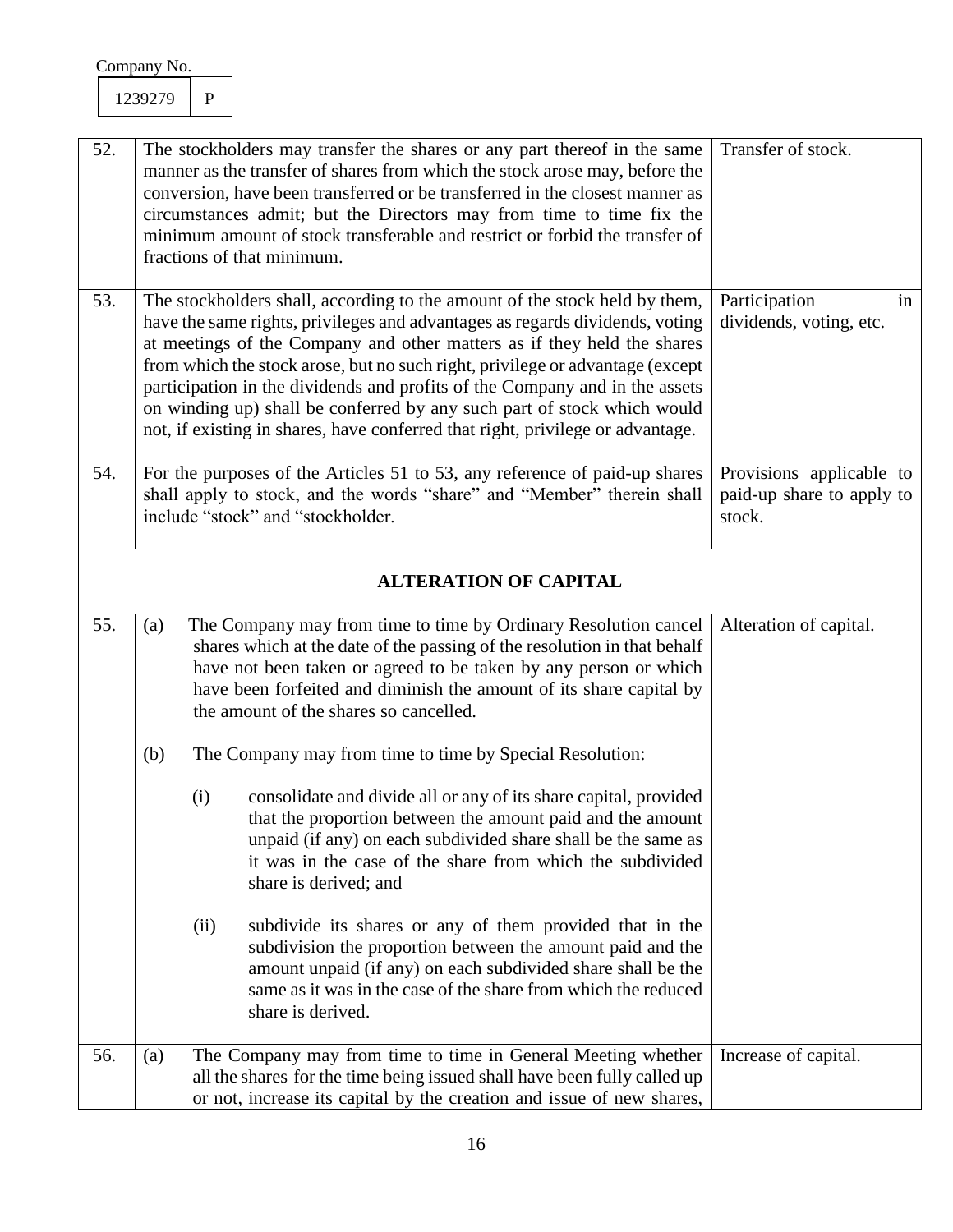| 52. |                              | The stockholders may transfer the shares or any part thereof in the same<br>manner as the transfer of shares from which the stock arose may, before the<br>conversion, have been transferred or be transferred in the closest manner as<br>circumstances admit; but the Directors may from time to time fix the<br>minimum amount of stock transferable and restrict or forbid the transfer of<br>fractions of that minimum.                                                                                                                                       | Transfer of stock.                                                                                                                                                                                                                                                                                                               |                                                                 |  |
|-----|------------------------------|--------------------------------------------------------------------------------------------------------------------------------------------------------------------------------------------------------------------------------------------------------------------------------------------------------------------------------------------------------------------------------------------------------------------------------------------------------------------------------------------------------------------------------------------------------------------|----------------------------------------------------------------------------------------------------------------------------------------------------------------------------------------------------------------------------------------------------------------------------------------------------------------------------------|-----------------------------------------------------------------|--|
| 53. |                              | The stockholders shall, according to the amount of the stock held by them,<br>have the same rights, privileges and advantages as regards dividends, voting<br>at meetings of the Company and other matters as if they held the shares<br>from which the stock arose, but no such right, privilege or advantage (except<br>participation in the dividends and profits of the Company and in the assets<br>on winding up) shall be conferred by any such part of stock which would<br>not, if existing in shares, have conferred that right, privilege or advantage. | Participation<br>in<br>dividends, voting, etc.                                                                                                                                                                                                                                                                                   |                                                                 |  |
| 54. |                              |                                                                                                                                                                                                                                                                                                                                                                                                                                                                                                                                                                    | For the purposes of the Articles 51 to 53, any reference of paid-up shares<br>shall apply to stock, and the words "share" and "Member" therein shall<br>include "stock" and "stockholder.                                                                                                                                        | Provisions applicable to<br>paid-up share to apply to<br>stock. |  |
|     | <b>ALTERATION OF CAPITAL</b> |                                                                                                                                                                                                                                                                                                                                                                                                                                                                                                                                                                    |                                                                                                                                                                                                                                                                                                                                  |                                                                 |  |
| 55. | (a)                          |                                                                                                                                                                                                                                                                                                                                                                                                                                                                                                                                                                    | The Company may from time to time by Ordinary Resolution cancel<br>shares which at the date of the passing of the resolution in that behalf<br>have not been taken or agreed to be taken by any person or which<br>have been forfeited and diminish the amount of its share capital by<br>the amount of the shares so cancelled. | Alteration of capital.                                          |  |
|     | (b)                          |                                                                                                                                                                                                                                                                                                                                                                                                                                                                                                                                                                    | The Company may from time to time by Special Resolution:                                                                                                                                                                                                                                                                         |                                                                 |  |
|     |                              | (i)                                                                                                                                                                                                                                                                                                                                                                                                                                                                                                                                                                | consolidate and divide all or any of its share capital, provided<br>that the proportion between the amount paid and the amount<br>unpaid (if any) on each subdivided share shall be the same as<br>it was in the case of the share from which the subdivided<br>share is derived; and                                            |                                                                 |  |
|     |                              | (ii)                                                                                                                                                                                                                                                                                                                                                                                                                                                                                                                                                               | subdivide its shares or any of them provided that in the<br>subdivision the proportion between the amount paid and the<br>amount unpaid (if any) on each subdivided share shall be the<br>same as it was in the case of the share from which the reduced<br>share is derived.                                                    |                                                                 |  |
| 56. | (a)                          |                                                                                                                                                                                                                                                                                                                                                                                                                                                                                                                                                                    | The Company may from time to time in General Meeting whether<br>all the shares for the time being issued shall have been fully called up<br>or not, increase its capital by the creation and issue of new shares,                                                                                                                | Increase of capital.                                            |  |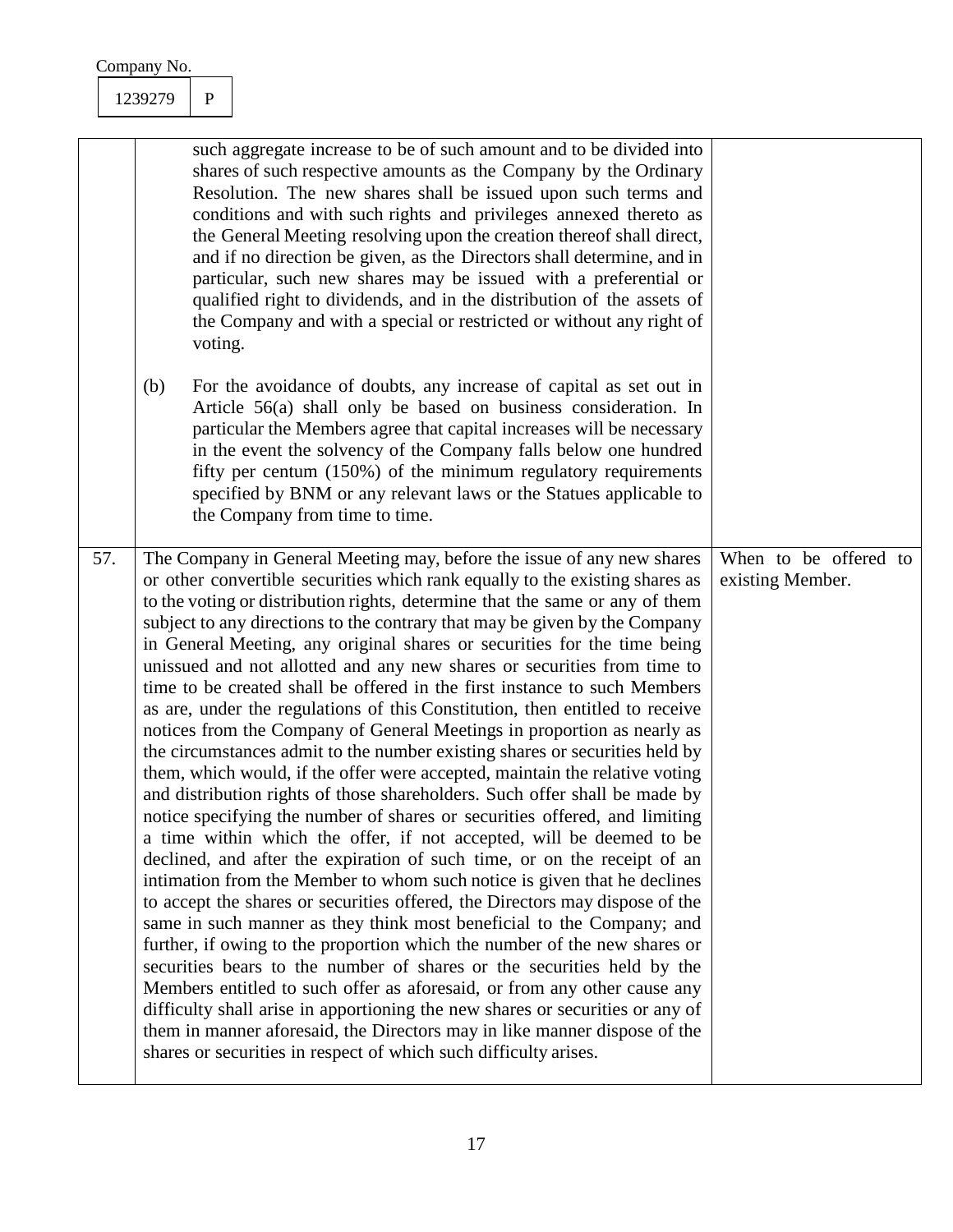| Company No. |  |
|-------------|--|
|             |  |

|     | (b) | such aggregate increase to be of such amount and to be divided into<br>shares of such respective amounts as the Company by the Ordinary<br>Resolution. The new shares shall be issued upon such terms and<br>conditions and with such rights and privileges annexed thereto as<br>the General Meeting resolving upon the creation thereof shall direct,<br>and if no direction be given, as the Directors shall determine, and in<br>particular, such new shares may be issued with a preferential or<br>qualified right to dividends, and in the distribution of the assets of<br>the Company and with a special or restricted or without any right of<br>voting.<br>For the avoidance of doubts, any increase of capital as set out in<br>Article 56(a) shall only be based on business consideration. In<br>particular the Members agree that capital increases will be necessary<br>in the event the solvency of the Company falls below one hundred                                                                                                                                                                                                                                                                                                                                                                                                                                                                                                                                                                                                                                                                                                                                                                                                                                                                                                                                                    |                                           |
|-----|-----|-------------------------------------------------------------------------------------------------------------------------------------------------------------------------------------------------------------------------------------------------------------------------------------------------------------------------------------------------------------------------------------------------------------------------------------------------------------------------------------------------------------------------------------------------------------------------------------------------------------------------------------------------------------------------------------------------------------------------------------------------------------------------------------------------------------------------------------------------------------------------------------------------------------------------------------------------------------------------------------------------------------------------------------------------------------------------------------------------------------------------------------------------------------------------------------------------------------------------------------------------------------------------------------------------------------------------------------------------------------------------------------------------------------------------------------------------------------------------------------------------------------------------------------------------------------------------------------------------------------------------------------------------------------------------------------------------------------------------------------------------------------------------------------------------------------------------------------------------------------------------------------------------------------|-------------------------------------------|
|     |     | fifty per centum (150%) of the minimum regulatory requirements<br>specified by BNM or any relevant laws or the Statues applicable to<br>the Company from time to time.                                                                                                                                                                                                                                                                                                                                                                                                                                                                                                                                                                                                                                                                                                                                                                                                                                                                                                                                                                                                                                                                                                                                                                                                                                                                                                                                                                                                                                                                                                                                                                                                                                                                                                                                      |                                           |
| 57. |     | The Company in General Meeting may, before the issue of any new shares<br>or other convertible securities which rank equally to the existing shares as<br>to the voting or distribution rights, determine that the same or any of them<br>subject to any directions to the contrary that may be given by the Company<br>in General Meeting, any original shares or securities for the time being<br>unissued and not allotted and any new shares or securities from time to<br>time to be created shall be offered in the first instance to such Members<br>as are, under the regulations of this Constitution, then entitled to receive<br>notices from the Company of General Meetings in proportion as nearly as<br>the circumstances admit to the number existing shares or securities held by<br>them, which would, if the offer were accepted, maintain the relative voting<br>and distribution rights of those shareholders. Such offer shall be made by<br>notice specifying the number of shares or securities offered, and limiting<br>a time within which the offer, if not accepted, will be deemed to be<br>declined, and after the expiration of such time, or on the receipt of an<br>intimation from the Member to whom such notice is given that he declines<br>to accept the shares or securities offered, the Directors may dispose of the<br>same in such manner as they think most beneficial to the Company; and<br>further, if owing to the proportion which the number of the new shares or<br>securities bears to the number of shares or the securities held by the<br>Members entitled to such offer as aforesaid, or from any other cause any<br>difficulty shall arise in apportioning the new shares or securities or any of<br>them in manner aforesaid, the Directors may in like manner dispose of the<br>shares or securities in respect of which such difficulty arises. | When to be offered to<br>existing Member. |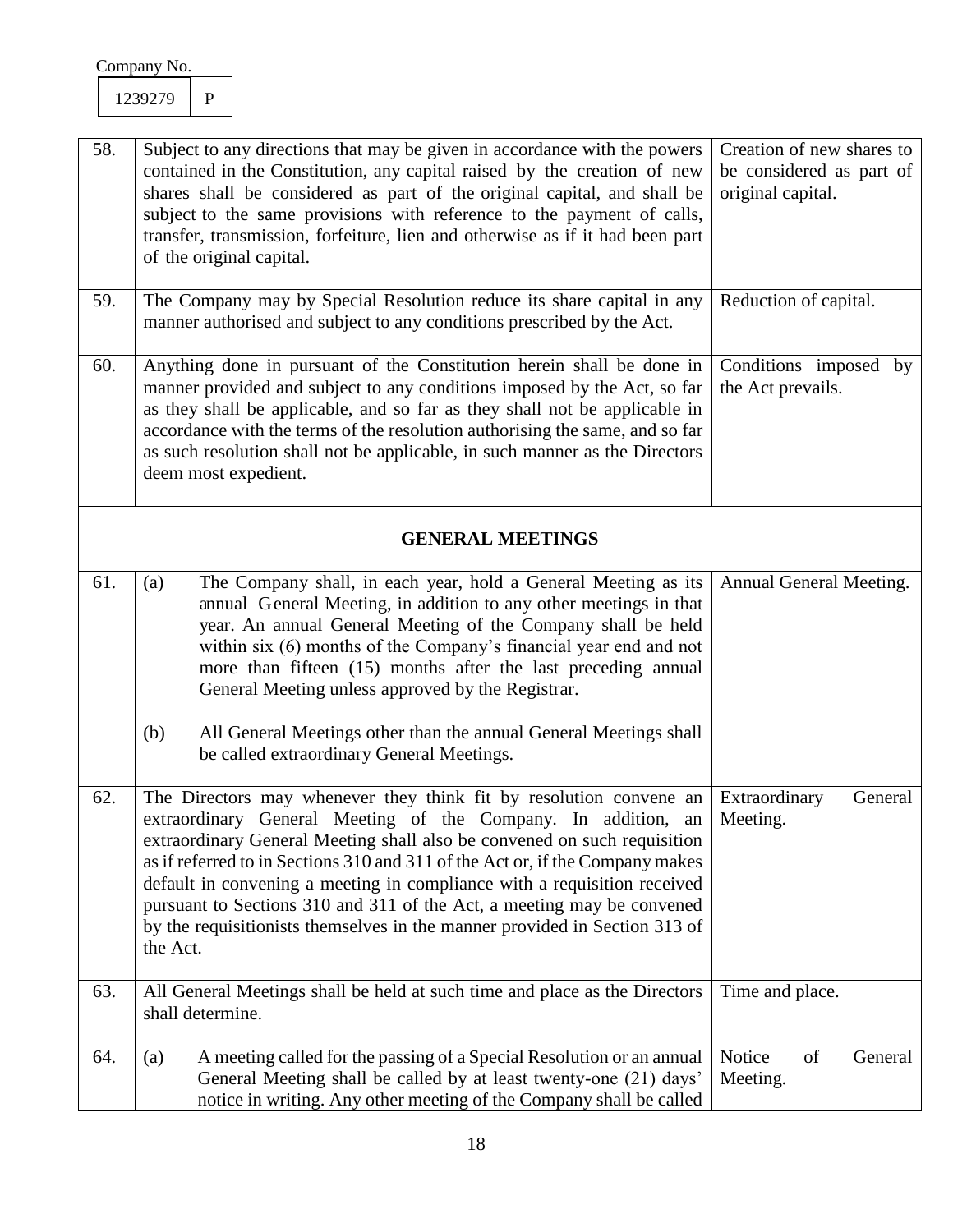| 58. | Subject to any directions that may be given in accordance with the powers<br>contained in the Constitution, any capital raised by the creation of new<br>shares shall be considered as part of the original capital, and shall be<br>subject to the same provisions with reference to the payment of calls,<br>transfer, transmission, forfeiture, lien and otherwise as if it had been part<br>of the original capital.                                                                                                                            | Creation of new shares to<br>be considered as part of<br>original capital. |
|-----|-----------------------------------------------------------------------------------------------------------------------------------------------------------------------------------------------------------------------------------------------------------------------------------------------------------------------------------------------------------------------------------------------------------------------------------------------------------------------------------------------------------------------------------------------------|----------------------------------------------------------------------------|
| 59. | The Company may by Special Resolution reduce its share capital in any<br>manner authorised and subject to any conditions prescribed by the Act.                                                                                                                                                                                                                                                                                                                                                                                                     | Reduction of capital.                                                      |
| 60. | Anything done in pursuant of the Constitution herein shall be done in<br>manner provided and subject to any conditions imposed by the Act, so far<br>as they shall be applicable, and so far as they shall not be applicable in<br>accordance with the terms of the resolution authorising the same, and so far<br>as such resolution shall not be applicable, in such manner as the Directors<br>deem most expedient.                                                                                                                              | Conditions imposed by<br>the Act prevails.                                 |
|     | <b>GENERAL MEETINGS</b>                                                                                                                                                                                                                                                                                                                                                                                                                                                                                                                             |                                                                            |
| 61. | The Company shall, in each year, hold a General Meeting as its<br>(a)<br>annual General Meeting, in addition to any other meetings in that<br>year. An annual General Meeting of the Company shall be held<br>within six (6) months of the Company's financial year end and not<br>more than fifteen (15) months after the last preceding annual<br>General Meeting unless approved by the Registrar.<br>(b)<br>All General Meetings other than the annual General Meetings shall<br>be called extraordinary General Meetings.                      | Annual General Meeting.                                                    |
| 62. | The Directors may whenever they think fit by resolution convene an<br>extraordinary General Meeting of the Company. In addition,<br>an<br>extraordinary General Meeting shall also be convened on such requisition<br>as if referred to in Sections 310 and 311 of the Act or, if the Company makes<br>default in convening a meeting in compliance with a requisition received<br>pursuant to Sections 310 and 311 of the Act, a meeting may be convened<br>by the requisitionists themselves in the manner provided in Section 313 of<br>the Act. | Extraordinary<br>General<br>Meeting.                                       |
| 63. | All General Meetings shall be held at such time and place as the Directors<br>shall determine.                                                                                                                                                                                                                                                                                                                                                                                                                                                      | Time and place.                                                            |
| 64. | A meeting called for the passing of a Special Resolution or an annual<br>(a)<br>General Meeting shall be called by at least twenty-one (21) days'<br>notice in writing. Any other meeting of the Company shall be called                                                                                                                                                                                                                                                                                                                            | Notice<br>of<br>General<br>Meeting.                                        |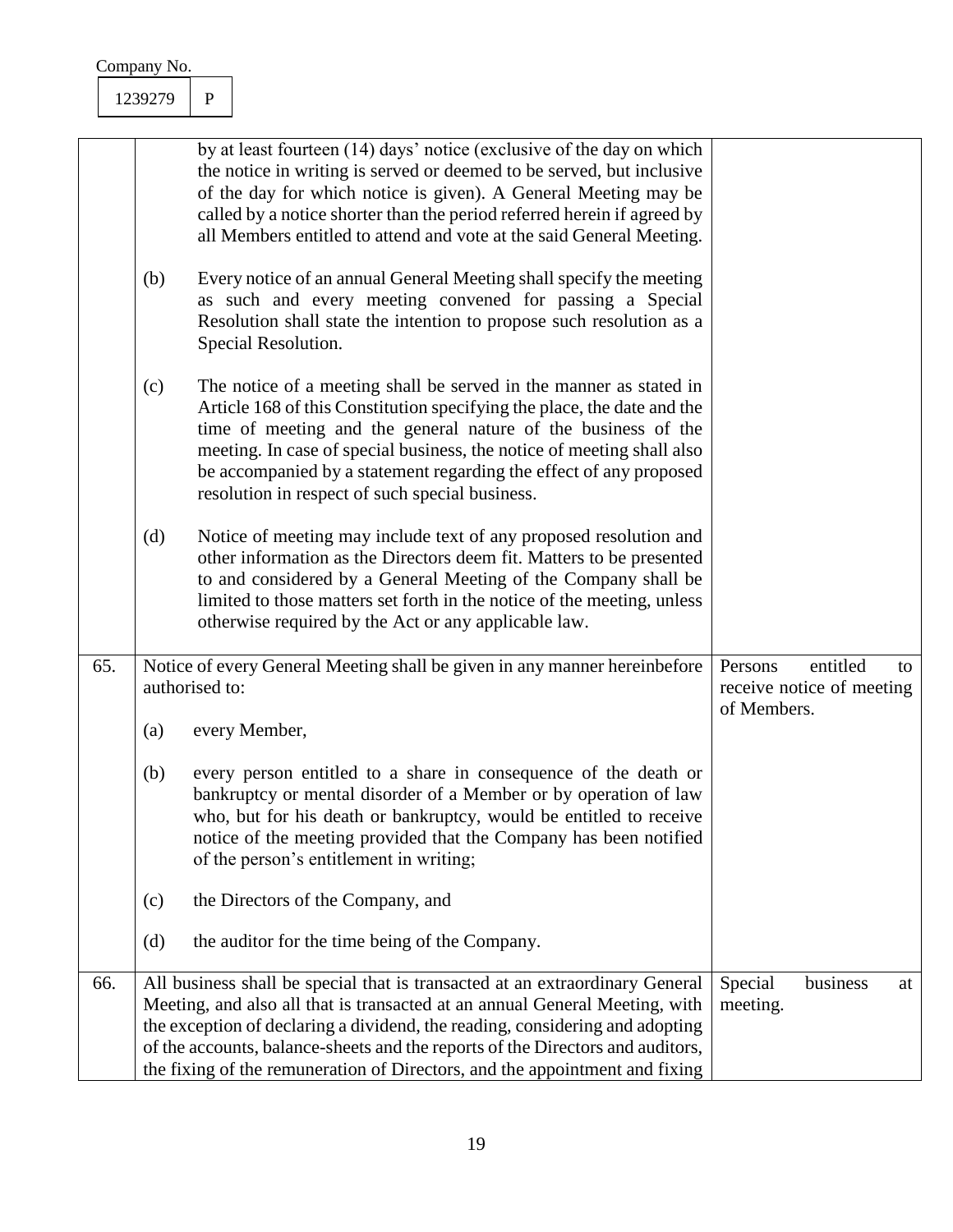|     | Company No.                         |              |                                                                                                                                                                                                                                                                                                                                                                                                                   |                        |                                       |    |
|-----|-------------------------------------|--------------|-------------------------------------------------------------------------------------------------------------------------------------------------------------------------------------------------------------------------------------------------------------------------------------------------------------------------------------------------------------------------------------------------------------------|------------------------|---------------------------------------|----|
|     | 1239279                             | $\mathbf{P}$ |                                                                                                                                                                                                                                                                                                                                                                                                                   |                        |                                       |    |
|     |                                     |              | by at least fourteen (14) days' notice (exclusive of the day on which<br>the notice in writing is served or deemed to be served, but inclusive<br>of the day for which notice is given). A General Meeting may be<br>called by a notice shorter than the period referred herein if agreed by<br>all Members entitled to attend and vote at the said General Meeting.                                              |                        |                                       |    |
|     | (b)                                 |              | Every notice of an annual General Meeting shall specify the meeting<br>as such and every meeting convened for passing a Special<br>Resolution shall state the intention to propose such resolution as a<br>Special Resolution.                                                                                                                                                                                    |                        |                                       |    |
|     | (c)                                 |              | The notice of a meeting shall be served in the manner as stated in<br>Article 168 of this Constitution specifying the place, the date and the<br>time of meeting and the general nature of the business of the<br>meeting. In case of special business, the notice of meeting shall also<br>be accompanied by a statement regarding the effect of any proposed<br>resolution in respect of such special business. |                        |                                       |    |
|     | (d)                                 |              | Notice of meeting may include text of any proposed resolution and<br>other information as the Directors deem fit. Matters to be presented<br>to and considered by a General Meeting of the Company shall be<br>limited to those matters set forth in the notice of the meeting, unless<br>otherwise required by the Act or any applicable law.                                                                    |                        |                                       |    |
| 65. | authorised to:<br>$\left( a\right)$ |              | Notice of every General Meeting shall be given in any manner hereinbefore<br>every Member,                                                                                                                                                                                                                                                                                                                        | Persons<br>of Members. | entitled<br>receive notice of meeting | to |
|     | (b)                                 |              | every person entitled to a share in consequence of the death or<br>bankruptcy or mental disorder of a Member or by operation of law<br>who, but for his death or bankruptcy, would be entitled to receive<br>notice of the meeting provided that the Company has been notified<br>of the person's entitlement in writing;                                                                                         |                        |                                       |    |
|     | (c)<br>(d)                          |              | the Directors of the Company, and<br>the auditor for the time being of the Company.                                                                                                                                                                                                                                                                                                                               |                        |                                       |    |
| 66. |                                     |              | All business shall be special that is transacted at an extraordinary General<br>Meeting, and also all that is transacted at an annual General Meeting, with<br>the exception of declaring a dividend, the reading, considering and adopting<br>of the accounts, balance-sheets and the reports of the Directors and auditors,<br>the fixing of the remuneration of Directors, and the appointment and fixing      | Special<br>meeting.    | business                              | at |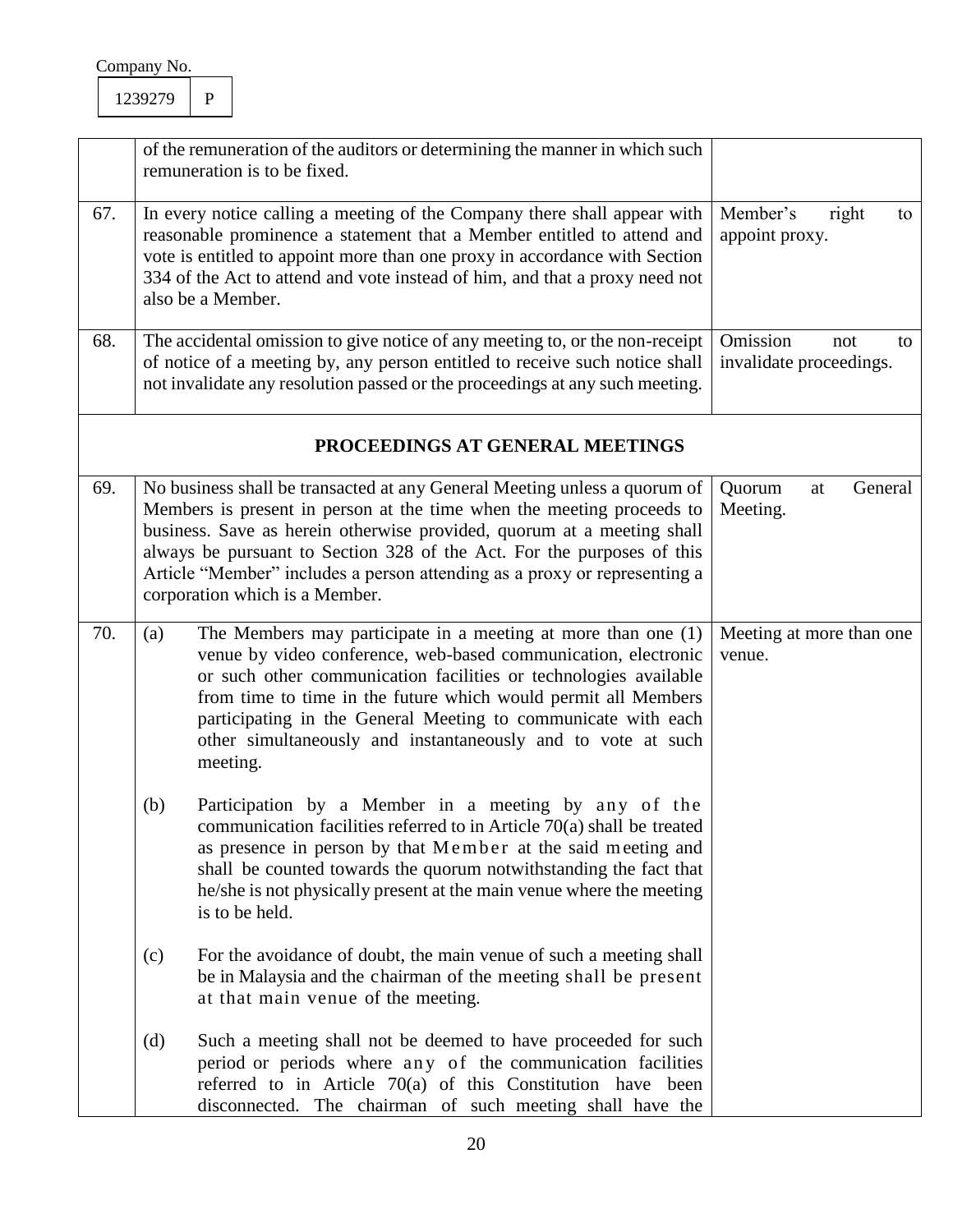|     |     | of the remuneration of the auditors or determining the manner in which such<br>remuneration is to be fixed.                                                                                                                                                                                                                                                                                                           |                                                  |
|-----|-----|-----------------------------------------------------------------------------------------------------------------------------------------------------------------------------------------------------------------------------------------------------------------------------------------------------------------------------------------------------------------------------------------------------------------------|--------------------------------------------------|
| 67. |     | In every notice calling a meeting of the Company there shall appear with<br>reasonable prominence a statement that a Member entitled to attend and<br>vote is entitled to appoint more than one proxy in accordance with Section<br>334 of the Act to attend and vote instead of him, and that a proxy need not<br>also be a Member.                                                                                  | Member's<br>right<br>to<br>appoint proxy.        |
| 68. |     | The accidental omission to give notice of any meeting to, or the non-receipt<br>of notice of a meeting by, any person entitled to receive such notice shall<br>not invalidate any resolution passed or the proceedings at any such meeting.                                                                                                                                                                           | Omission<br>not<br>to<br>invalidate proceedings. |
|     |     | PROCEEDINGS AT GENERAL MEETINGS                                                                                                                                                                                                                                                                                                                                                                                       |                                                  |
| 69. |     | No business shall be transacted at any General Meeting unless a quorum of<br>Members is present in person at the time when the meeting proceeds to<br>business. Save as herein otherwise provided, quorum at a meeting shall<br>always be pursuant to Section 328 of the Act. For the purposes of this<br>Article "Member" includes a person attending as a proxy or representing a<br>corporation which is a Member. | General<br>Quorum<br>at<br>Meeting.              |
| 70. | (a) | The Members may participate in a meeting at more than one (1)<br>venue by video conference, web-based communication, electronic<br>or such other communication facilities or technologies available<br>from time to time in the future which would permit all Members<br>participating in the General Meeting to communicate with each<br>other simultaneously and instantaneously and to vote at such<br>meeting.    | Meeting at more than one<br>venue.               |
|     | (b) | Participation by a Member in a meeting by any of the<br>communication facilities referred to in Article $70(a)$ shall be treated<br>as presence in person by that Member at the said meeting and<br>shall be counted towards the quorum notwithstanding the fact that<br>he/she is not physically present at the main venue where the meeting<br>is to be held.                                                       |                                                  |
|     | (c) | For the avoidance of doubt, the main venue of such a meeting shall<br>be in Malaysia and the chairman of the meeting shall be present<br>at that main venue of the meeting.                                                                                                                                                                                                                                           |                                                  |
|     | (d) | Such a meeting shall not be deemed to have proceeded for such<br>period or periods where any of the communication facilities<br>referred to in Article $70(a)$ of this Constitution have been<br>disconnected. The chairman of such meeting shall have the                                                                                                                                                            |                                                  |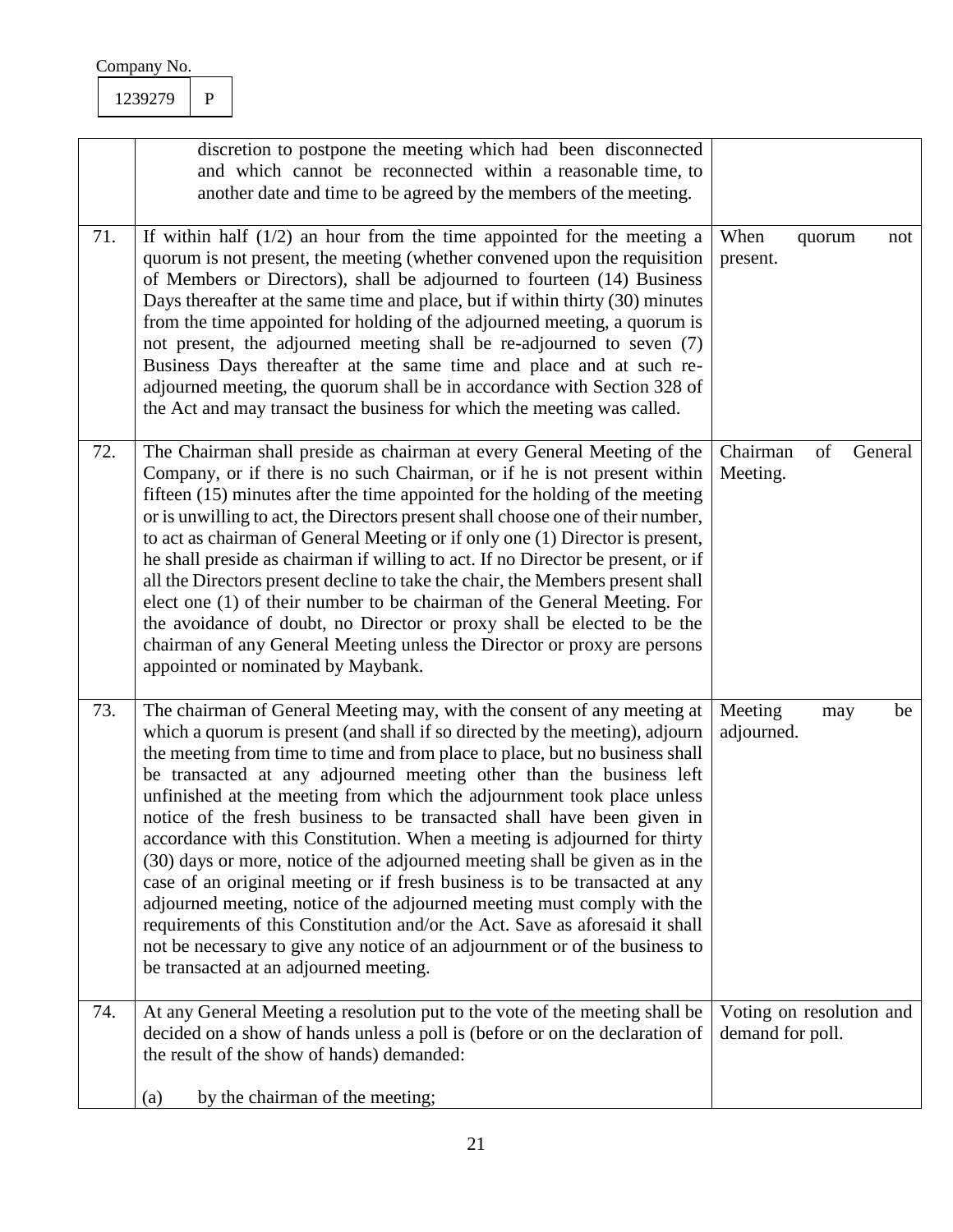| Company No. |  |
|-------------|--|
|             |  |

|     | discretion to postpone the meeting which had been disconnected<br>and which cannot be reconnected within a reasonable time, to<br>another date and time to be agreed by the members of the meeting.                                                                                                                                                                                                                                                                                                                                                                                                                                                                                                                                                                                                                                                                                                                                                                                               |                                              |
|-----|---------------------------------------------------------------------------------------------------------------------------------------------------------------------------------------------------------------------------------------------------------------------------------------------------------------------------------------------------------------------------------------------------------------------------------------------------------------------------------------------------------------------------------------------------------------------------------------------------------------------------------------------------------------------------------------------------------------------------------------------------------------------------------------------------------------------------------------------------------------------------------------------------------------------------------------------------------------------------------------------------|----------------------------------------------|
| 71. | If within half $(1/2)$ an hour from the time appointed for the meeting a<br>quorum is not present, the meeting (whether convened upon the requisition<br>of Members or Directors), shall be adjourned to fourteen (14) Business<br>Days thereafter at the same time and place, but if within thirty (30) minutes<br>from the time appointed for holding of the adjourned meeting, a quorum is<br>not present, the adjourned meeting shall be re-adjourned to seven (7)<br>Business Days thereafter at the same time and place and at such re-<br>adjourned meeting, the quorum shall be in accordance with Section 328 of<br>the Act and may transact the business for which the meeting was called.                                                                                                                                                                                                                                                                                              | When<br>quorum<br>not<br>present.            |
| 72. | The Chairman shall preside as chairman at every General Meeting of the<br>Company, or if there is no such Chairman, or if he is not present within<br>fifteen (15) minutes after the time appointed for the holding of the meeting<br>or is unwilling to act, the Directors present shall choose one of their number,<br>to act as chairman of General Meeting or if only one (1) Director is present,<br>he shall preside as chairman if willing to act. If no Director be present, or if<br>all the Directors present decline to take the chair, the Members present shall<br>elect one (1) of their number to be chairman of the General Meeting. For<br>the avoidance of doubt, no Director or proxy shall be elected to be the<br>chairman of any General Meeting unless the Director or proxy are persons<br>appointed or nominated by Maybank.                                                                                                                                             | Chairman<br>of<br>General<br>Meeting.        |
| 73. | The chairman of General Meeting may, with the consent of any meeting at<br>which a quorum is present (and shall if so directed by the meeting), adjourn<br>the meeting from time to time and from place to place, but no business shall<br>be transacted at any adjourned meeting other than the business left<br>unfinished at the meeting from which the adjournment took place unless<br>notice of the fresh business to be transacted shall have been given in<br>accordance with this Constitution. When a meeting is adjourned for thirty<br>(30) days or more, notice of the adjourned meeting shall be given as in the<br>case of an original meeting or if fresh business is to be transacted at any<br>adjourned meeting, notice of the adjourned meeting must comply with the<br>requirements of this Constitution and/or the Act. Save as aforesaid it shall<br>not be necessary to give any notice of an adjournment or of the business to<br>be transacted at an adjourned meeting. | Meeting<br>be<br>may<br>adjourned.           |
| 74. | At any General Meeting a resolution put to the vote of the meeting shall be<br>decided on a show of hands unless a poll is (before or on the declaration of<br>the result of the show of hands) demanded:<br>by the chairman of the meeting;<br>(a)                                                                                                                                                                                                                                                                                                                                                                                                                                                                                                                                                                                                                                                                                                                                               | Voting on resolution and<br>demand for poll. |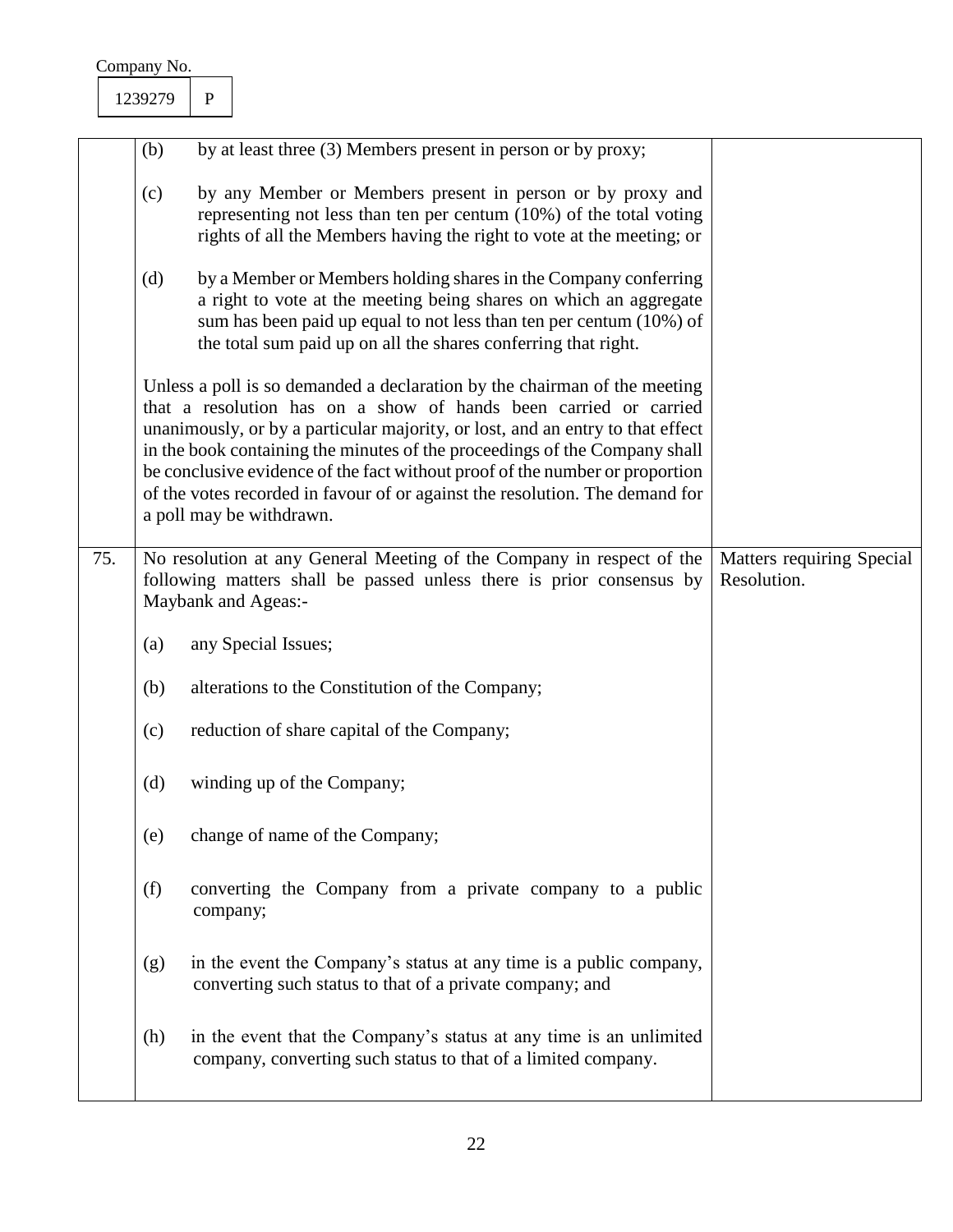| Matters requiring Special |
|---------------------------|
|                           |
|                           |
|                           |
|                           |
|                           |
|                           |
|                           |
|                           |
|                           |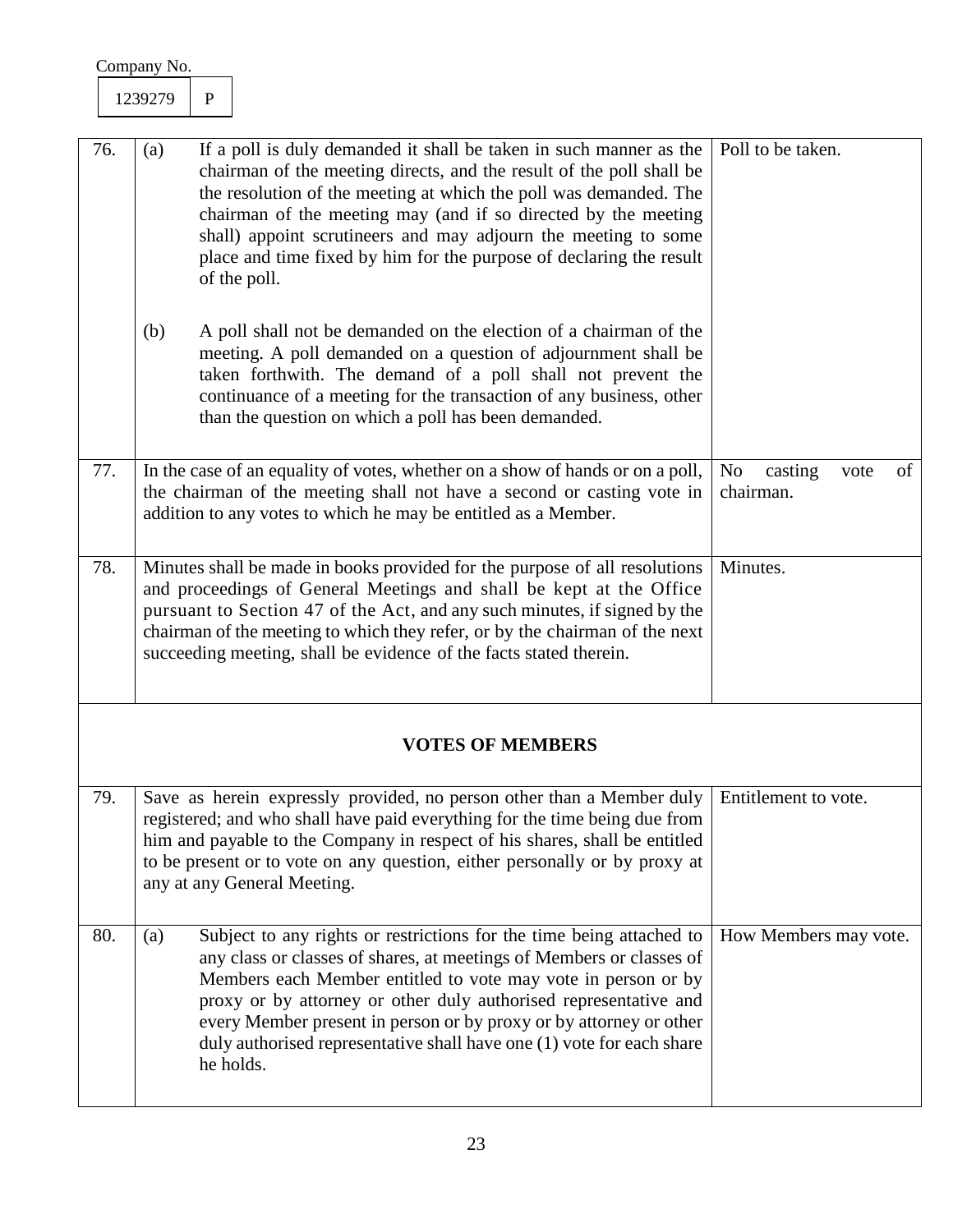|     | Company No.                                                                                                                                                                                                                                                                                                                                                                         |              |                                                                                                                                                                                                                                                                                                                                                                                                                                            |                                                      |
|-----|-------------------------------------------------------------------------------------------------------------------------------------------------------------------------------------------------------------------------------------------------------------------------------------------------------------------------------------------------------------------------------------|--------------|--------------------------------------------------------------------------------------------------------------------------------------------------------------------------------------------------------------------------------------------------------------------------------------------------------------------------------------------------------------------------------------------------------------------------------------------|------------------------------------------------------|
|     | 1239279                                                                                                                                                                                                                                                                                                                                                                             | $\mathbf{P}$ |                                                                                                                                                                                                                                                                                                                                                                                                                                            |                                                      |
|     |                                                                                                                                                                                                                                                                                                                                                                                     |              |                                                                                                                                                                                                                                                                                                                                                                                                                                            |                                                      |
| 76. | (a)                                                                                                                                                                                                                                                                                                                                                                                 |              | If a poll is duly demanded it shall be taken in such manner as the<br>chairman of the meeting directs, and the result of the poll shall be<br>the resolution of the meeting at which the poll was demanded. The<br>chairman of the meeting may (and if so directed by the meeting<br>shall) appoint scrutineers and may adjourn the meeting to some<br>place and time fixed by him for the purpose of declaring the result<br>of the poll. | Poll to be taken.                                    |
|     | (b)                                                                                                                                                                                                                                                                                                                                                                                 |              | A poll shall not be demanded on the election of a chairman of the<br>meeting. A poll demanded on a question of adjournment shall be<br>taken forthwith. The demand of a poll shall not prevent the<br>continuance of a meeting for the transaction of any business, other<br>than the question on which a poll has been demanded.                                                                                                          |                                                      |
| 77. |                                                                                                                                                                                                                                                                                                                                                                                     |              | In the case of an equality of votes, whether on a show of hands or on a poll,<br>the chairman of the meeting shall not have a second or casting vote in<br>addition to any votes to which he may be entitled as a Member.                                                                                                                                                                                                                  | N <sub>o</sub><br>of<br>casting<br>vote<br>chairman. |
| 78. | Minutes shall be made in books provided for the purpose of all resolutions<br>and proceedings of General Meetings and shall be kept at the Office<br>pursuant to Section 47 of the Act, and any such minutes, if signed by the<br>chairman of the meeting to which they refer, or by the chairman of the next<br>succeeding meeting, shall be evidence of the facts stated therein. |              |                                                                                                                                                                                                                                                                                                                                                                                                                                            | Minutes.                                             |
|     |                                                                                                                                                                                                                                                                                                                                                                                     |              | <b>VOTES OF MEMBERS</b>                                                                                                                                                                                                                                                                                                                                                                                                                    |                                                      |
| 79. |                                                                                                                                                                                                                                                                                                                                                                                     |              | Save as herein expressly provided, no person other than a Member duly<br>registered; and who shall have paid everything for the time being due from<br>him and payable to the Company in respect of his shares, shall be entitled<br>to be present or to vote on any question, either personally or by proxy at<br>any at any General Meeting.                                                                                             | Entitlement to vote.                                 |
| 80. | (a)                                                                                                                                                                                                                                                                                                                                                                                 | he holds.    | Subject to any rights or restrictions for the time being attached to<br>any class or classes of shares, at meetings of Members or classes of<br>Members each Member entitled to vote may vote in person or by<br>proxy or by attorney or other duly authorised representative and<br>every Member present in person or by proxy or by attorney or other<br>duly authorised representative shall have one (1) vote for each share           | How Members may vote.                                |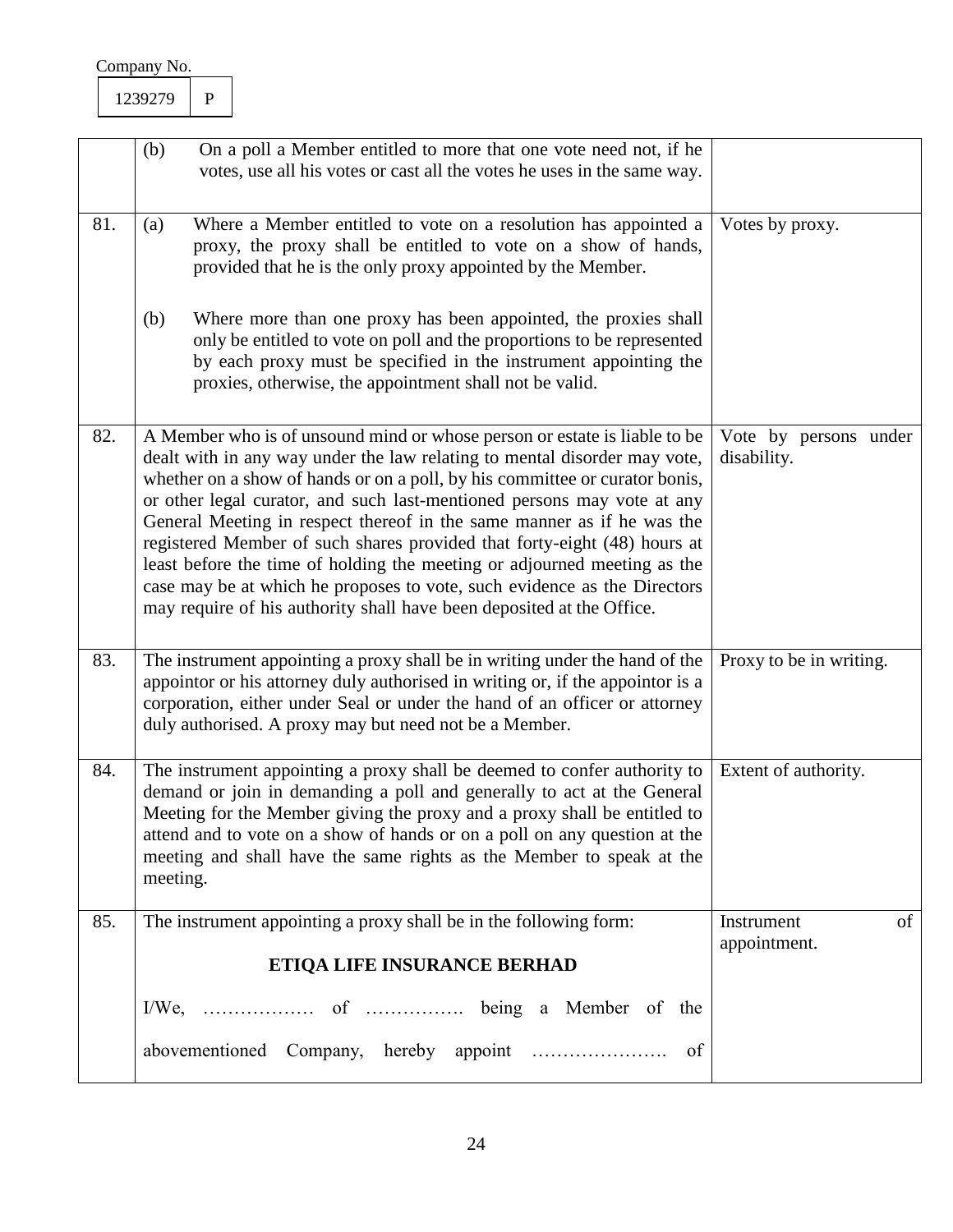| ∩<br>いつつ<br>17% |  |
|-----------------|--|
|                 |  |

|     | (b)<br>On a poll a Member entitled to more that one vote need not, if he<br>votes, use all his votes or cast all the votes he uses in the same way.                                                                                                                                                                                                                                                                                                                                                                                                                                                                                                                                                     |                                      |
|-----|---------------------------------------------------------------------------------------------------------------------------------------------------------------------------------------------------------------------------------------------------------------------------------------------------------------------------------------------------------------------------------------------------------------------------------------------------------------------------------------------------------------------------------------------------------------------------------------------------------------------------------------------------------------------------------------------------------|--------------------------------------|
| 81. | Where a Member entitled to vote on a resolution has appointed a<br>(a)<br>proxy, the proxy shall be entitled to vote on a show of hands,<br>provided that he is the only proxy appointed by the Member.                                                                                                                                                                                                                                                                                                                                                                                                                                                                                                 | Votes by proxy.                      |
|     | (b)<br>Where more than one proxy has been appointed, the proxies shall<br>only be entitled to vote on poll and the proportions to be represented<br>by each proxy must be specified in the instrument appointing the<br>proxies, otherwise, the appointment shall not be valid.                                                                                                                                                                                                                                                                                                                                                                                                                         |                                      |
| 82. | A Member who is of unsound mind or whose person or estate is liable to be<br>dealt with in any way under the law relating to mental disorder may vote,<br>whether on a show of hands or on a poll, by his committee or curator bonis,<br>or other legal curator, and such last-mentioned persons may vote at any<br>General Meeting in respect thereof in the same manner as if he was the<br>registered Member of such shares provided that forty-eight (48) hours at<br>least before the time of holding the meeting or adjourned meeting as the<br>case may be at which he proposes to vote, such evidence as the Directors<br>may require of his authority shall have been deposited at the Office. | Vote by persons under<br>disability. |
| 83. | The instrument appointing a proxy shall be in writing under the hand of the<br>appoint or his attorney duly authorised in writing or, if the appoint or is a<br>corporation, either under Seal or under the hand of an officer or attorney<br>duly authorised. A proxy may but need not be a Member.                                                                                                                                                                                                                                                                                                                                                                                                    | Proxy to be in writing.              |
| 84. | The instrument appointing a proxy shall be deemed to confer authority to<br>demand or join in demanding a poll and generally to act at the General<br>Meeting for the Member giving the proxy and a proxy shall be entitled to<br>attend and to vote on a show of hands or on a poll on any question at the<br>meeting and shall have the same rights as the Member to speak at the<br>meeting.                                                                                                                                                                                                                                                                                                         | Extent of authority.                 |
| 85. | The instrument appointing a proxy shall be in the following form:                                                                                                                                                                                                                                                                                                                                                                                                                                                                                                                                                                                                                                       | Instrument<br>of<br>appointment.     |
|     | ETIQA LIFE INSURANCE BERHAD                                                                                                                                                                                                                                                                                                                                                                                                                                                                                                                                                                                                                                                                             |                                      |
|     |                                                                                                                                                                                                                                                                                                                                                                                                                                                                                                                                                                                                                                                                                                         |                                      |
|     | of                                                                                                                                                                                                                                                                                                                                                                                                                                                                                                                                                                                                                                                                                                      |                                      |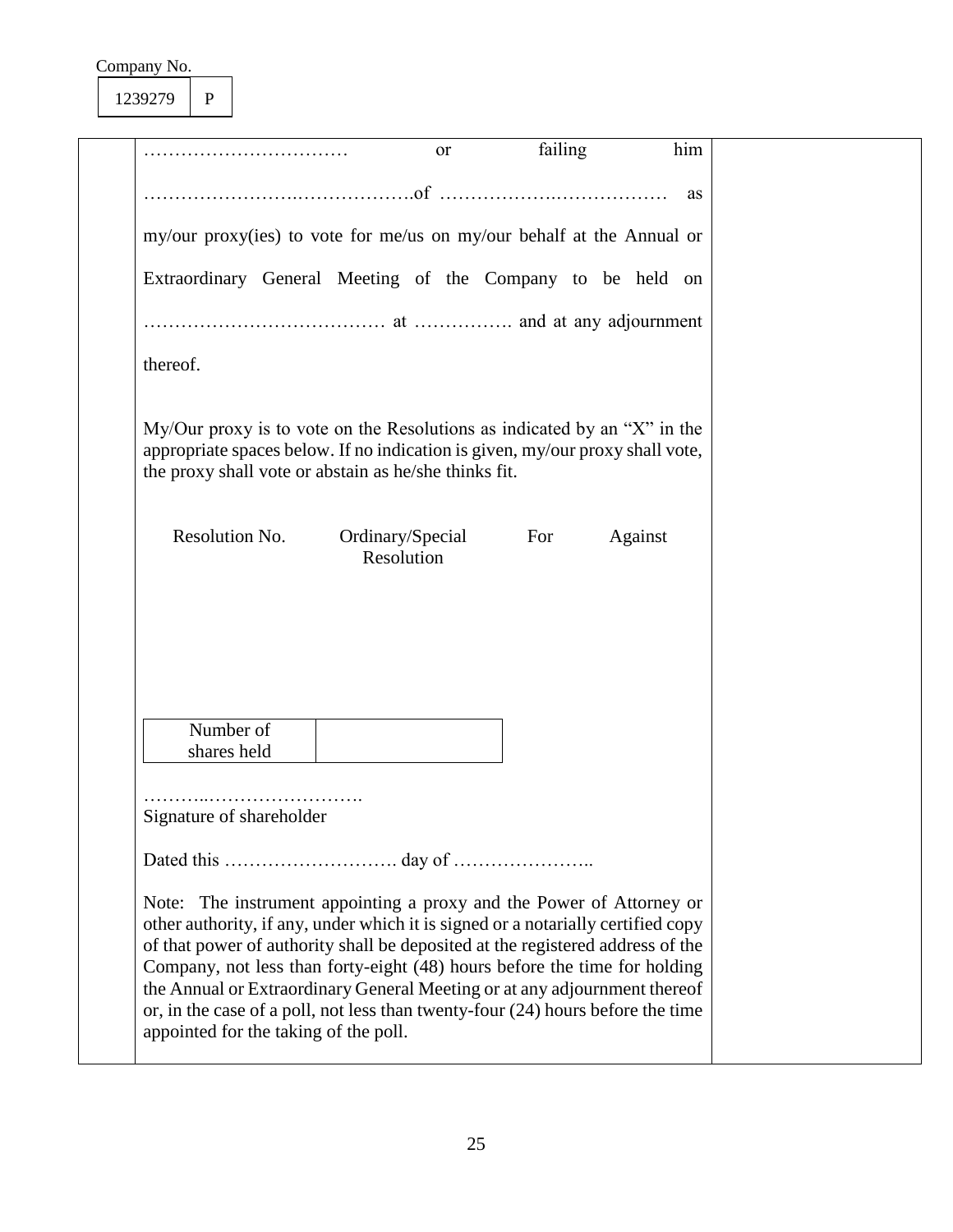1239279 P

|                          | <sub>or</sub>                                                                                                                                                                                                        | failing | him     |  |
|--------------------------|----------------------------------------------------------------------------------------------------------------------------------------------------------------------------------------------------------------------|---------|---------|--|
|                          |                                                                                                                                                                                                                      |         | as      |  |
|                          | my/our proxy(ies) to vote for me/us on my/our behalf at the Annual or                                                                                                                                                |         |         |  |
|                          | Extraordinary General Meeting of the Company to be held on                                                                                                                                                           |         |         |  |
|                          |                                                                                                                                                                                                                      |         |         |  |
| thereof.                 |                                                                                                                                                                                                                      |         |         |  |
|                          | $My/Our proxy$ is to vote on the Resolutions as indicated by an "X" in the<br>appropriate spaces below. If no indication is given, my/our proxy shall vote,<br>the proxy shall vote or abstain as he/she thinks fit. |         |         |  |
| Resolution No.           | Ordinary/Special<br>Resolution                                                                                                                                                                                       | For     | Against |  |
|                          |                                                                                                                                                                                                                      |         |         |  |
| Number of<br>shares held |                                                                                                                                                                                                                      |         |         |  |
| Signature of shareholder |                                                                                                                                                                                                                      |         |         |  |
|                          |                                                                                                                                                                                                                      |         |         |  |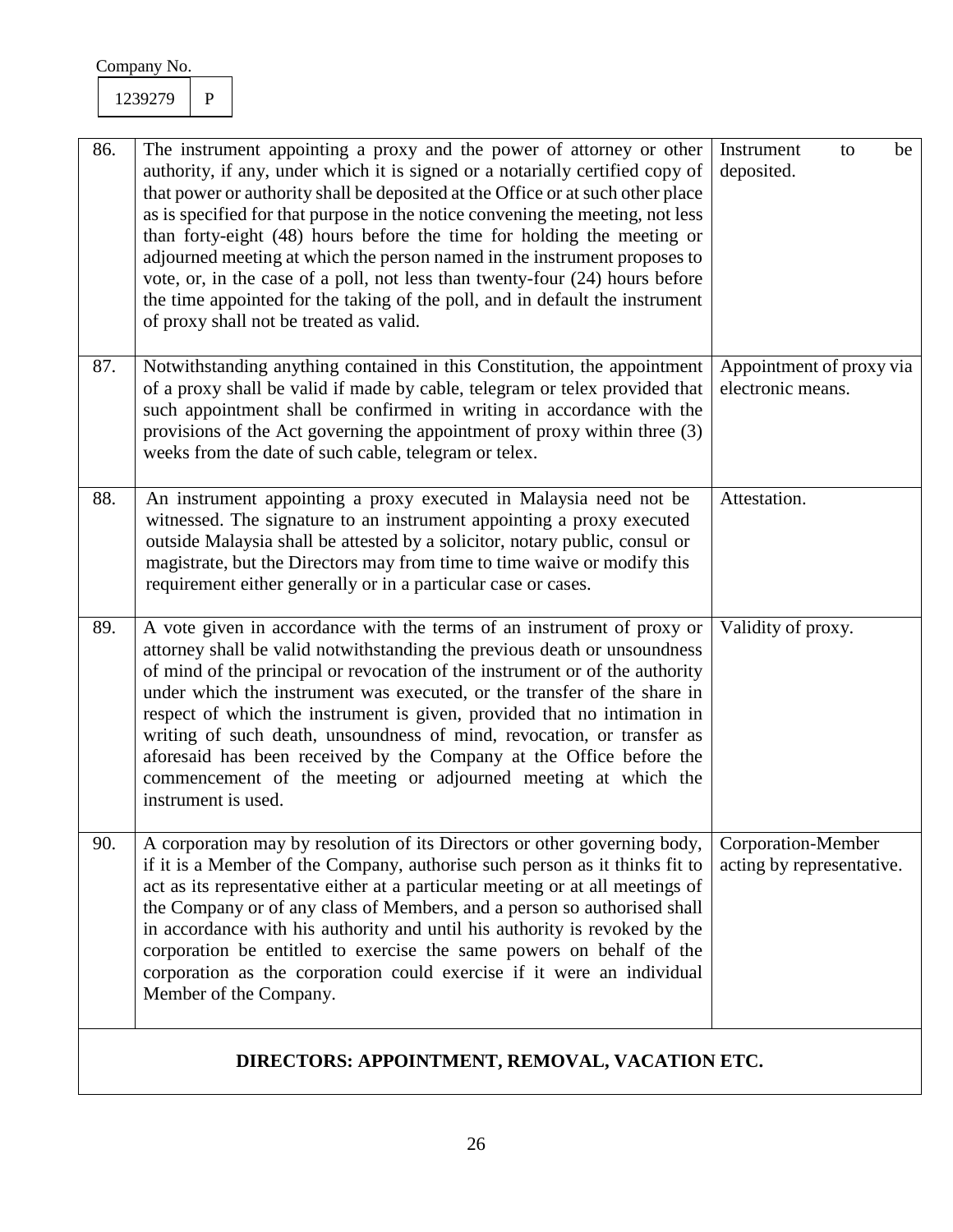| 86. | The instrument appointing a proxy and the power of attorney or other<br>authority, if any, under which it is signed or a notarially certified copy of<br>that power or authority shall be deposited at the Office or at such other place<br>as is specified for that purpose in the notice convening the meeting, not less<br>than forty-eight (48) hours before the time for holding the meeting or<br>adjourned meeting at which the person named in the instrument proposes to<br>vote, or, in the case of a poll, not less than twenty-four (24) hours before<br>the time appointed for the taking of the poll, and in default the instrument<br>of proxy shall not be treated as valid. | Instrument<br>be<br>to<br>deposited.            |
|-----|----------------------------------------------------------------------------------------------------------------------------------------------------------------------------------------------------------------------------------------------------------------------------------------------------------------------------------------------------------------------------------------------------------------------------------------------------------------------------------------------------------------------------------------------------------------------------------------------------------------------------------------------------------------------------------------------|-------------------------------------------------|
| 87. | Notwithstanding anything contained in this Constitution, the appointment<br>of a proxy shall be valid if made by cable, telegram or telex provided that<br>such appointment shall be confirmed in writing in accordance with the<br>provisions of the Act governing the appointment of proxy within three (3)<br>weeks from the date of such cable, telegram or telex.                                                                                                                                                                                                                                                                                                                       | Appointment of proxy via<br>electronic means.   |
| 88. | An instrument appointing a proxy executed in Malaysia need not be<br>witnessed. The signature to an instrument appointing a proxy executed<br>outside Malaysia shall be attested by a solicitor, notary public, consul or<br>magistrate, but the Directors may from time to time waive or modify this<br>requirement either generally or in a particular case or cases.                                                                                                                                                                                                                                                                                                                      | Attestation.                                    |
| 89. | A vote given in accordance with the terms of an instrument of proxy or<br>attorney shall be valid notwithstanding the previous death or unsoundness<br>of mind of the principal or revocation of the instrument or of the authority<br>under which the instrument was executed, or the transfer of the share in<br>respect of which the instrument is given, provided that no intimation in<br>writing of such death, unsoundness of mind, revocation, or transfer as<br>aforesaid has been received by the Company at the Office before the<br>commencement of the meeting or adjourned meeting at which the<br>instrument is used.                                                         | Validity of proxy.                              |
| 90. | A corporation may by resolution of its Directors or other governing body,<br>if it is a Member of the Company, authorise such person as it thinks fit to<br>act as its representative either at a particular meeting or at all meetings of<br>the Company or of any class of Members, and a person so authorised shall<br>in accordance with his authority and until his authority is revoked by the<br>corporation be entitled to exercise the same powers on behalf of the<br>corporation as the corporation could exercise if it were an individual<br>Member of the Company.                                                                                                             | Corporation-Member<br>acting by representative. |
|     |                                                                                                                                                                                                                                                                                                                                                                                                                                                                                                                                                                                                                                                                                              |                                                 |

# **DIRECTORS: APPOINTMENT, REMOVAL, VACATION ETC.**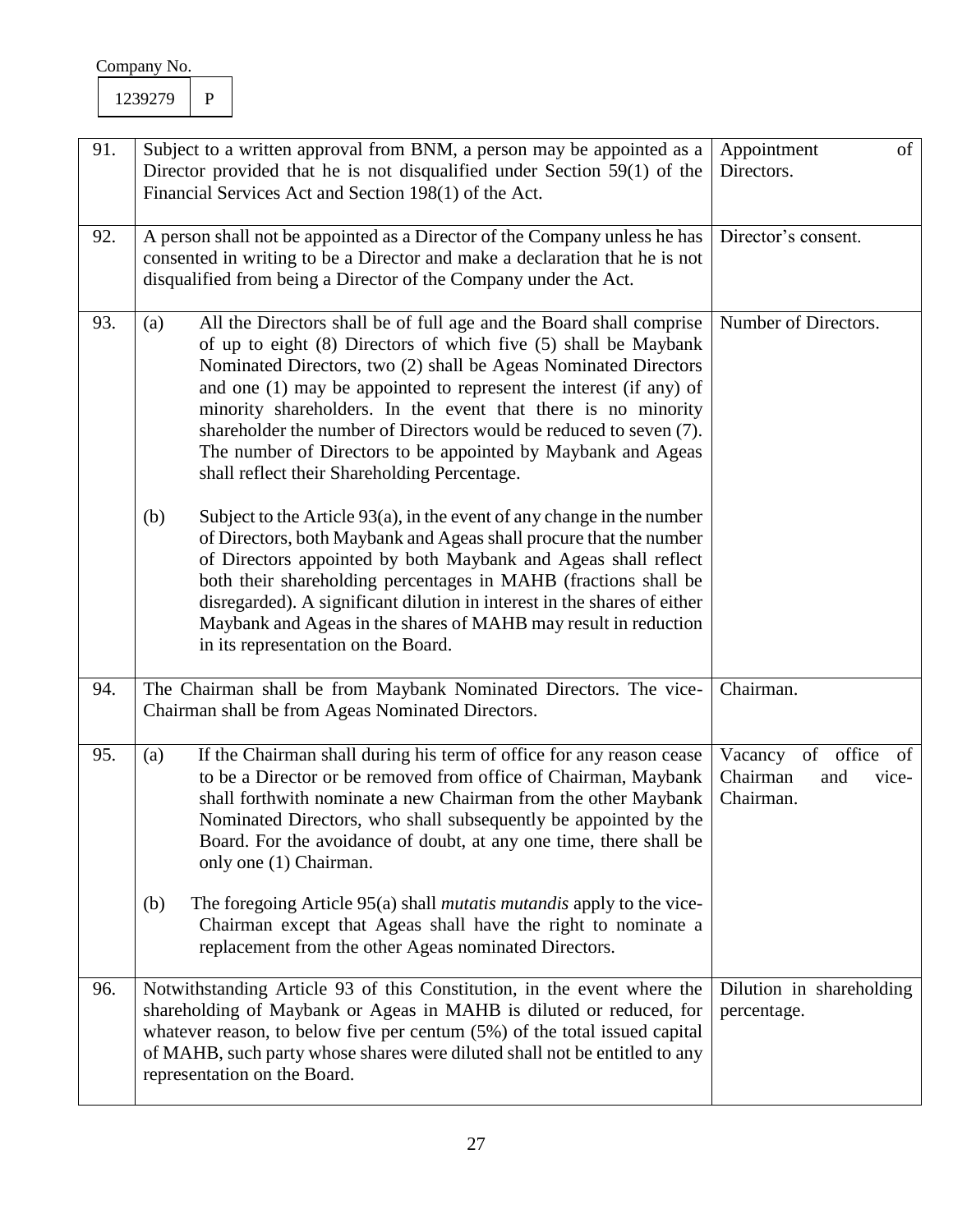| 91. | Subject to a written approval from BNM, a person may be appointed as a<br>Director provided that he is not disqualified under Section 59(1) of the<br>Financial Services Act and Section 198(1) of the Act.                                                                                                                                                                                                                                                                                                                                           | Appointment<br>of<br>Directors.                               |
|-----|-------------------------------------------------------------------------------------------------------------------------------------------------------------------------------------------------------------------------------------------------------------------------------------------------------------------------------------------------------------------------------------------------------------------------------------------------------------------------------------------------------------------------------------------------------|---------------------------------------------------------------|
| 92. | A person shall not be appointed as a Director of the Company unless he has<br>consented in writing to be a Director and make a declaration that he is not<br>disqualified from being a Director of the Company under the Act.                                                                                                                                                                                                                                                                                                                         | Director's consent.                                           |
| 93. | All the Directors shall be of full age and the Board shall comprise<br>(a)<br>of up to eight (8) Directors of which five (5) shall be Maybank<br>Nominated Directors, two (2) shall be Ageas Nominated Directors<br>and one $(1)$ may be appointed to represent the interest $($ if any $)$ of<br>minority shareholders. In the event that there is no minority<br>shareholder the number of Directors would be reduced to seven (7).<br>The number of Directors to be appointed by Maybank and Ageas<br>shall reflect their Shareholding Percentage. | Number of Directors.                                          |
|     | (b)<br>Subject to the Article $93(a)$ , in the event of any change in the number<br>of Directors, both Maybank and Ageas shall procure that the number<br>of Directors appointed by both Maybank and Ageas shall reflect<br>both their shareholding percentages in MAHB (fractions shall be<br>disregarded). A significant dilution in interest in the shares of either<br>Maybank and Ageas in the shares of MAHB may result in reduction<br>in its representation on the Board.                                                                     |                                                               |
| 94. | The Chairman shall be from Maybank Nominated Directors. The vice-<br>Chairman shall be from Ageas Nominated Directors.                                                                                                                                                                                                                                                                                                                                                                                                                                | Chairman.                                                     |
| 95. | If the Chairman shall during his term of office for any reason cease<br>(a)<br>to be a Director or be removed from office of Chairman, Maybank<br>shall forthwith nominate a new Chairman from the other Maybank<br>Nominated Directors, who shall subsequently be appointed by the<br>Board. For the avoidance of doubt, at any one time, there shall be<br>only one (1) Chairman.                                                                                                                                                                   | Vacancy of office of<br>Chairman<br>and<br>vice-<br>Chairman. |
|     | The foregoing Article 95(a) shall <i>mutatis mutandis</i> apply to the vice-<br>(b)<br>Chairman except that Ageas shall have the right to nominate a<br>replacement from the other Ageas nominated Directors.                                                                                                                                                                                                                                                                                                                                         |                                                               |
| 96. | Notwithstanding Article 93 of this Constitution, in the event where the<br>shareholding of Maybank or Ageas in MAHB is diluted or reduced, for<br>whatever reason, to below five per centum $(5%)$ of the total issued capital<br>of MAHB, such party whose shares were diluted shall not be entitled to any<br>representation on the Board.                                                                                                                                                                                                          | Dilution in shareholding<br>percentage.                       |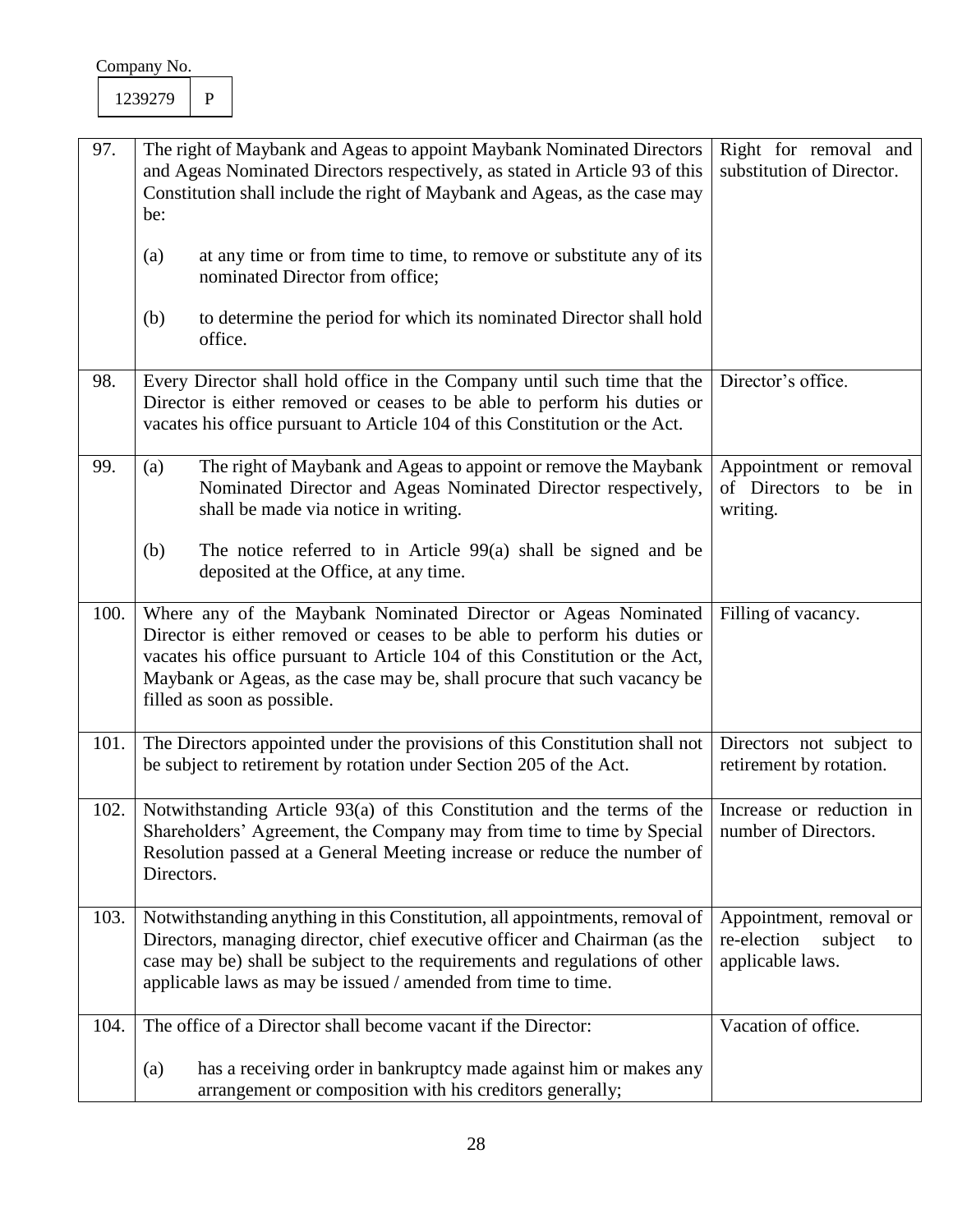| 97.  | The right of Maybank and Ageas to appoint Maybank Nominated Directors<br>and Ageas Nominated Directors respectively, as stated in Article 93 of this<br>Constitution shall include the right of Maybank and Ageas, as the case may<br>be:                                                                                            | Right for removal and<br>substitution of Director.                          |
|------|--------------------------------------------------------------------------------------------------------------------------------------------------------------------------------------------------------------------------------------------------------------------------------------------------------------------------------------|-----------------------------------------------------------------------------|
|      | at any time or from time to time, to remove or substitute any of its<br>(a)<br>nominated Director from office;                                                                                                                                                                                                                       |                                                                             |
|      | (b)<br>to determine the period for which its nominated Director shall hold<br>office.                                                                                                                                                                                                                                                |                                                                             |
| 98.  | Every Director shall hold office in the Company until such time that the<br>Director is either removed or ceases to be able to perform his duties or<br>vacates his office pursuant to Article 104 of this Constitution or the Act.                                                                                                  | Director's office.                                                          |
| 99.  | The right of Maybank and Ageas to appoint or remove the Maybank<br>(a)<br>Nominated Director and Ageas Nominated Director respectively,<br>shall be made via notice in writing.                                                                                                                                                      | Appointment or removal<br>of Directors to be in<br>writing.                 |
|      | The notice referred to in Article $99(a)$ shall be signed and be<br>(b)<br>deposited at the Office, at any time.                                                                                                                                                                                                                     |                                                                             |
| 100. | Where any of the Maybank Nominated Director or Ageas Nominated<br>Director is either removed or ceases to be able to perform his duties or<br>vacates his office pursuant to Article 104 of this Constitution or the Act,<br>Maybank or Ageas, as the case may be, shall procure that such vacancy be<br>filled as soon as possible. | Filling of vacancy.                                                         |
| 101. | The Directors appointed under the provisions of this Constitution shall not<br>be subject to retirement by rotation under Section 205 of the Act.                                                                                                                                                                                    | Directors not subject to<br>retirement by rotation.                         |
| 102. | Notwithstanding Article 93(a) of this Constitution and the terms of the<br>Shareholders' Agreement, the Company may from time to time by Special   number of Directors.<br>Resolution passed at a General Meeting increase or reduce the number of<br>Directors.                                                                     | Increase or reduction in                                                    |
| 103. | Notwithstanding anything in this Constitution, all appointments, removal of<br>Directors, managing director, chief executive officer and Chairman (as the<br>case may be) shall be subject to the requirements and regulations of other<br>applicable laws as may be issued / amended from time to time.                             | Appointment, removal or<br>re-election<br>subject<br>to<br>applicable laws. |
| 104. | The office of a Director shall become vacant if the Director:<br>has a receiving order in bankruptcy made against him or makes any<br>(a)<br>arrangement or composition with his creditors generally;                                                                                                                                | Vacation of office.                                                         |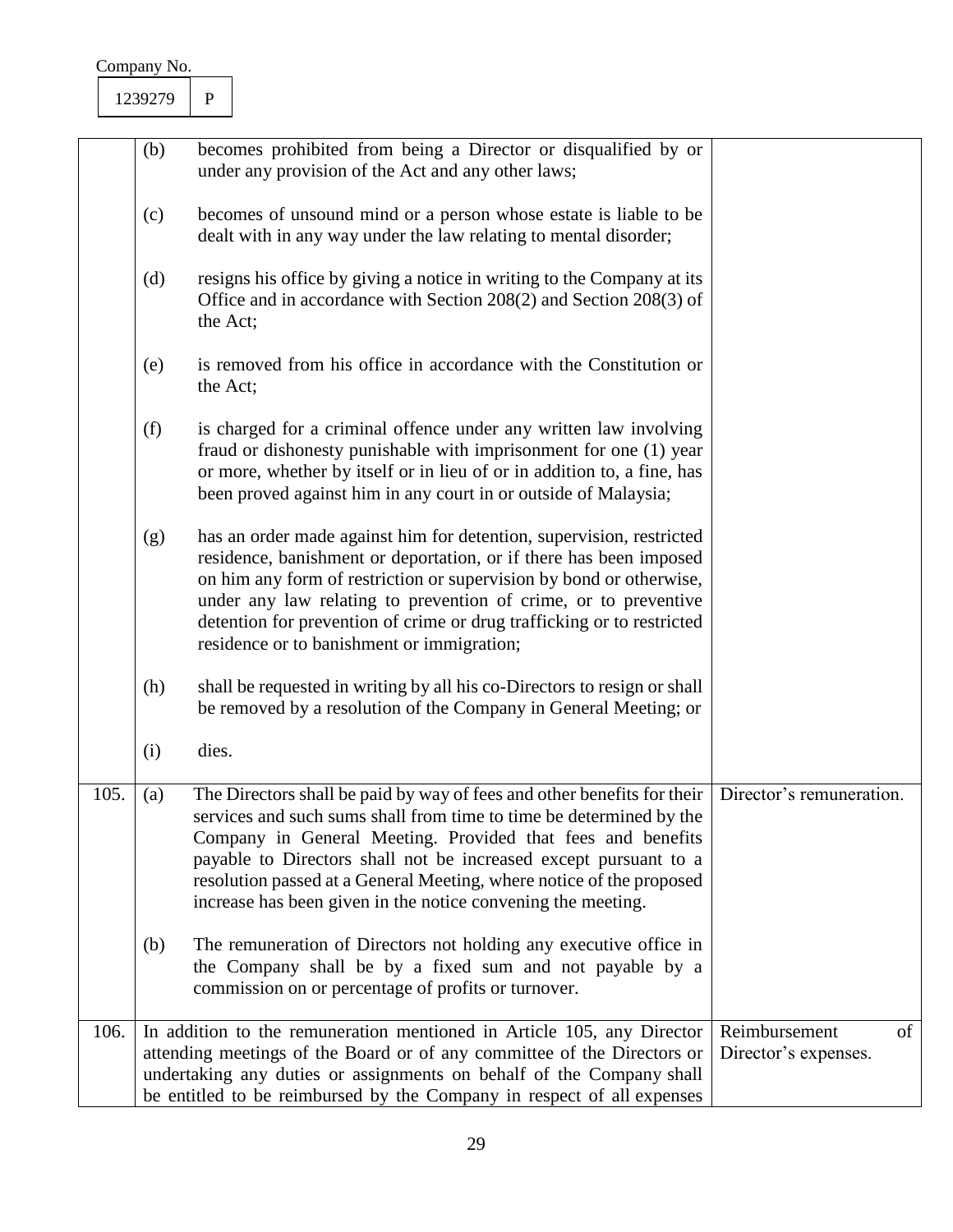| Company No. |
|-------------|
|-------------|

|      | (b) | becomes prohibited from being a Director or disqualified by or<br>under any provision of the Act and any other laws;                                                                                                                                                                                                                                                                                                      |                                             |
|------|-----|---------------------------------------------------------------------------------------------------------------------------------------------------------------------------------------------------------------------------------------------------------------------------------------------------------------------------------------------------------------------------------------------------------------------------|---------------------------------------------|
|      | (c) | becomes of unsound mind or a person whose estate is liable to be<br>dealt with in any way under the law relating to mental disorder;                                                                                                                                                                                                                                                                                      |                                             |
|      | (d) | resigns his office by giving a notice in writing to the Company at its<br>Office and in accordance with Section 208(2) and Section 208(3) of<br>the Act;                                                                                                                                                                                                                                                                  |                                             |
|      | (e) | is removed from his office in accordance with the Constitution or<br>the Act;                                                                                                                                                                                                                                                                                                                                             |                                             |
|      | (f) | is charged for a criminal offence under any written law involving<br>fraud or dishonesty punishable with imprisonment for one (1) year<br>or more, whether by itself or in lieu of or in addition to, a fine, has<br>been proved against him in any court in or outside of Malaysia;                                                                                                                                      |                                             |
|      | (g) | has an order made against him for detention, supervision, restricted<br>residence, banishment or deportation, or if there has been imposed<br>on him any form of restriction or supervision by bond or otherwise,<br>under any law relating to prevention of crime, or to preventive<br>detention for prevention of crime or drug trafficking or to restricted<br>residence or to banishment or immigration;              |                                             |
|      | (h) | shall be requested in writing by all his co-Directors to resign or shall<br>be removed by a resolution of the Company in General Meeting; or                                                                                                                                                                                                                                                                              |                                             |
|      | (i) | dies.                                                                                                                                                                                                                                                                                                                                                                                                                     |                                             |
| 105. | (a) | The Directors shall be paid by way of fees and other benefits for their<br>services and such sums shall from time to time be determined by the<br>Company in General Meeting. Provided that fees and benefits<br>payable to Directors shall not be increased except pursuant to a<br>resolution passed at a General Meeting, where notice of the proposed<br>increase has been given in the notice convening the meeting. | Director's remuneration.                    |
|      | (b) | The remuneration of Directors not holding any executive office in<br>the Company shall be by a fixed sum and not payable by a<br>commission on or percentage of profits or turnover.                                                                                                                                                                                                                                      |                                             |
| 106. |     | In addition to the remuneration mentioned in Article 105, any Director<br>attending meetings of the Board or of any committee of the Directors or<br>undertaking any duties or assignments on behalf of the Company shall<br>be entitled to be reimbursed by the Company in respect of all expenses                                                                                                                       | Reimbursement<br>of<br>Director's expenses. |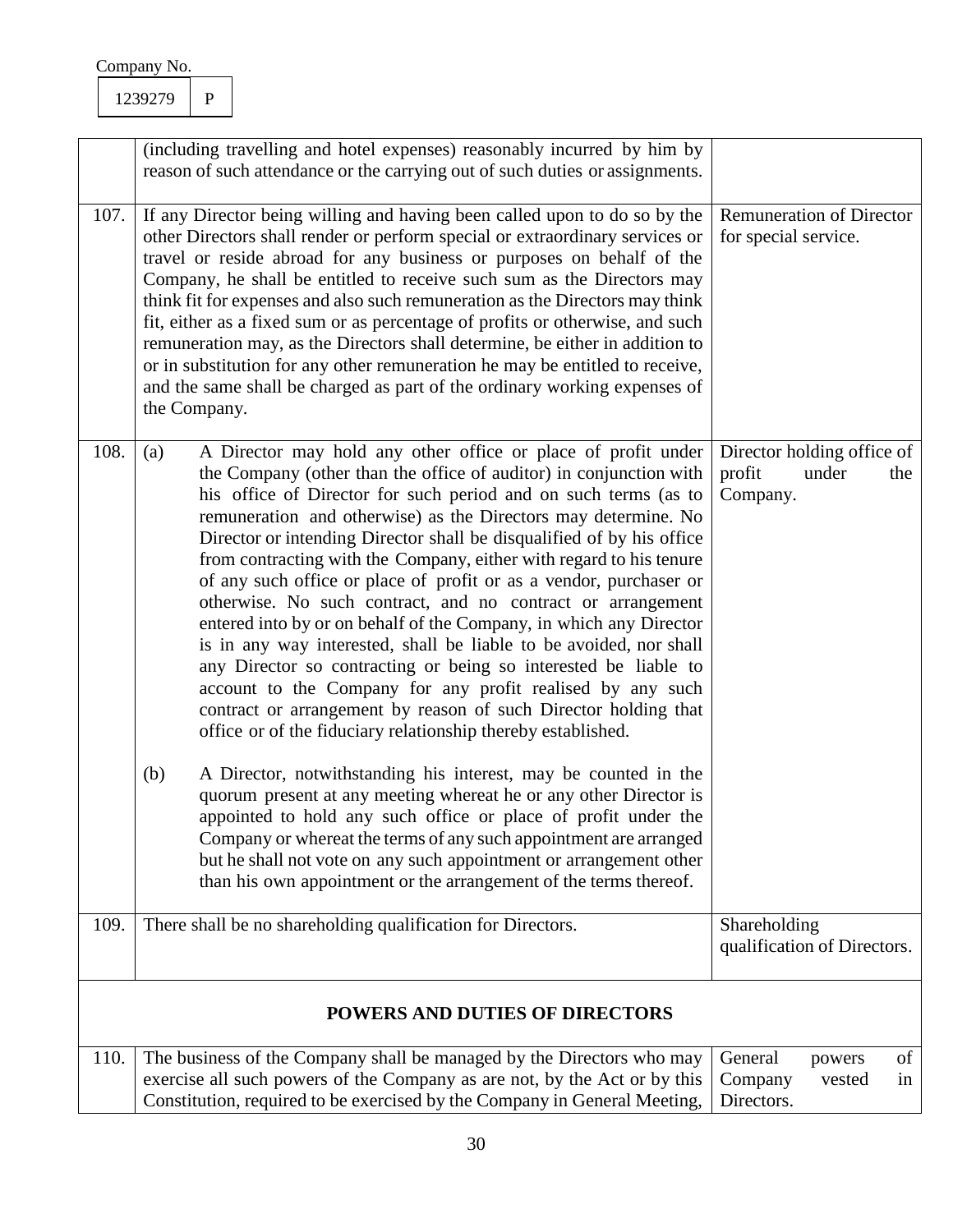|      | (including travelling and hotel expenses) reasonably incurred by him by<br>reason of such attendance or the carrying out of such duties or assignments.                                                                                                                                                                                                                                                                                                                                                                                                                                                                                                                                                                                                                                                                                                                                                                                                                                                                                                                                                                                                                                                                                                                                                                                          |                                                                  |
|------|--------------------------------------------------------------------------------------------------------------------------------------------------------------------------------------------------------------------------------------------------------------------------------------------------------------------------------------------------------------------------------------------------------------------------------------------------------------------------------------------------------------------------------------------------------------------------------------------------------------------------------------------------------------------------------------------------------------------------------------------------------------------------------------------------------------------------------------------------------------------------------------------------------------------------------------------------------------------------------------------------------------------------------------------------------------------------------------------------------------------------------------------------------------------------------------------------------------------------------------------------------------------------------------------------------------------------------------------------|------------------------------------------------------------------|
| 107. | If any Director being willing and having been called upon to do so by the<br>other Directors shall render or perform special or extraordinary services or<br>travel or reside abroad for any business or purposes on behalf of the<br>Company, he shall be entitled to receive such sum as the Directors may<br>think fit for expenses and also such remuneration as the Directors may think<br>fit, either as a fixed sum or as percentage of profits or otherwise, and such<br>remuneration may, as the Directors shall determine, be either in addition to<br>or in substitution for any other remuneration he may be entitled to receive,<br>and the same shall be charged as part of the ordinary working expenses of<br>the Company.                                                                                                                                                                                                                                                                                                                                                                                                                                                                                                                                                                                                       | <b>Remuneration of Director</b><br>for special service.          |
| 108. | A Director may hold any other office or place of profit under<br>(a)<br>the Company (other than the office of auditor) in conjunction with<br>his office of Director for such period and on such terms (as to<br>remuneration and otherwise) as the Directors may determine. No<br>Director or intending Director shall be disqualified of by his office<br>from contracting with the Company, either with regard to his tenure<br>of any such office or place of profit or as a vendor, purchaser or<br>otherwise. No such contract, and no contract or arrangement<br>entered into by or on behalf of the Company, in which any Director<br>is in any way interested, shall be liable to be avoided, nor shall<br>any Director so contracting or being so interested be liable to<br>account to the Company for any profit realised by any such<br>contract or arrangement by reason of such Director holding that<br>office or of the fiduciary relationship thereby established.<br>(b)<br>A Director, notwithstanding his interest, may be counted in the<br>quorum present at any meeting whereat he or any other Director is<br>appointed to hold any such office or place of profit under the<br>Company or whereat the terms of any such appointment are arranged<br>but he shall not vote on any such appointment or arrangement other | Director holding office of<br>profit<br>under<br>the<br>Company. |
|      | than his own appointment or the arrangement of the terms thereof.                                                                                                                                                                                                                                                                                                                                                                                                                                                                                                                                                                                                                                                                                                                                                                                                                                                                                                                                                                                                                                                                                                                                                                                                                                                                                |                                                                  |
| 109. | There shall be no shareholding qualification for Directors.                                                                                                                                                                                                                                                                                                                                                                                                                                                                                                                                                                                                                                                                                                                                                                                                                                                                                                                                                                                                                                                                                                                                                                                                                                                                                      | Shareholding<br>qualification of Directors.                      |
|      | <b>POWERS AND DUTIES OF DIRECTORS</b>                                                                                                                                                                                                                                                                                                                                                                                                                                                                                                                                                                                                                                                                                                                                                                                                                                                                                                                                                                                                                                                                                                                                                                                                                                                                                                            |                                                                  |
| 110. | The business of the Company shall be managed by the Directors who may<br>exercise all such powers of the Company as are not, by the Act or by this<br>Constitution, required to be exercised by the Company in General Meeting,                                                                                                                                                                                                                                                                                                                                                                                                                                                                                                                                                                                                                                                                                                                                                                                                                                                                                                                                                                                                                                                                                                                  | General<br>of<br>powers<br>Company<br>vested<br>in<br>Directors. |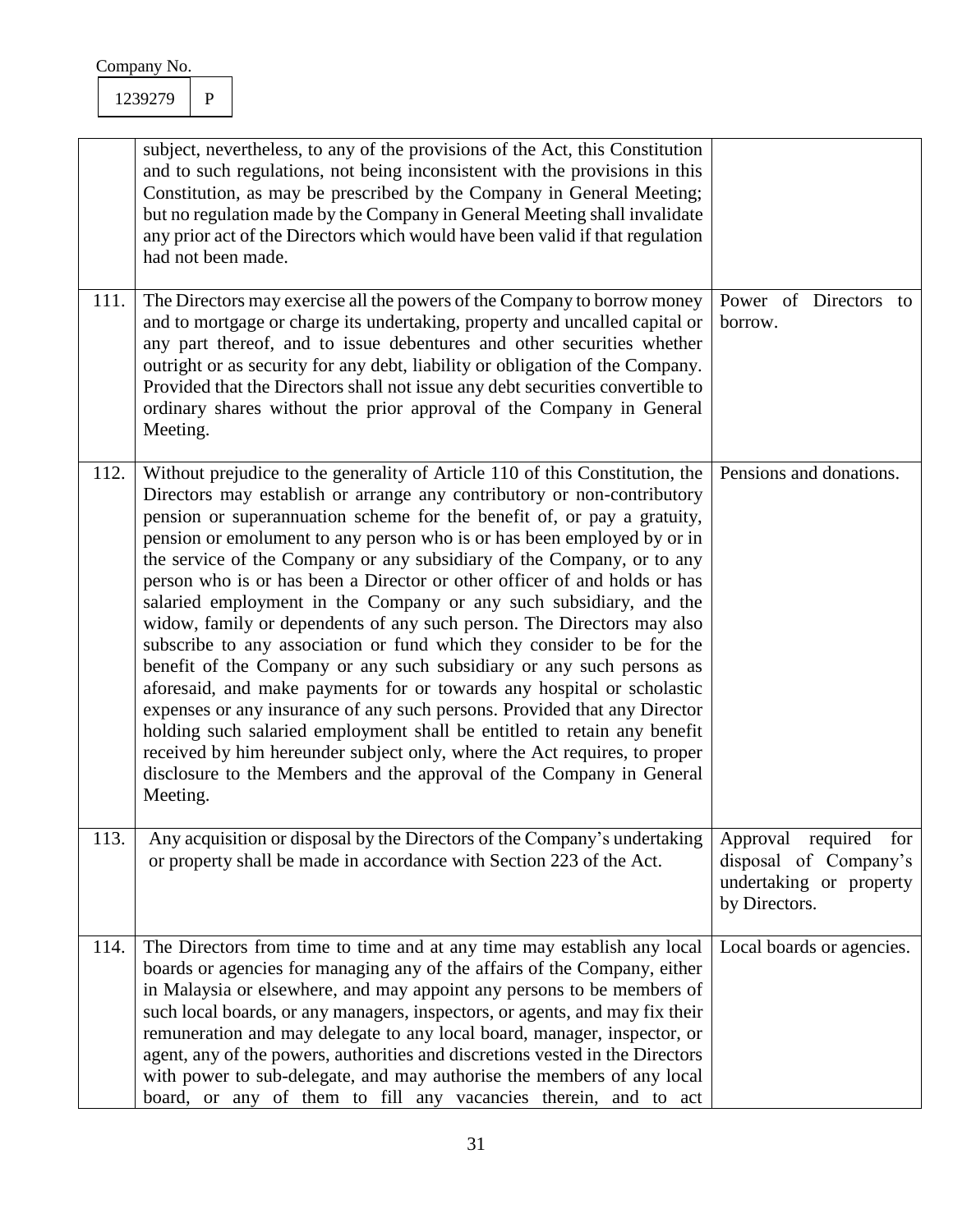| Company No. |  |
|-------------|--|
|             |  |

|      | subject, nevertheless, to any of the provisions of the Act, this Constitution<br>and to such regulations, not being inconsistent with the provisions in this<br>Constitution, as may be prescribed by the Company in General Meeting;<br>but no regulation made by the Company in General Meeting shall invalidate<br>any prior act of the Directors which would have been valid if that regulation<br>had not been made.                                                                                                                                                                                                                                                                                                                                                                                                                                                                                                                                                                                                                                                                                                                                                  |                                                                                            |
|------|----------------------------------------------------------------------------------------------------------------------------------------------------------------------------------------------------------------------------------------------------------------------------------------------------------------------------------------------------------------------------------------------------------------------------------------------------------------------------------------------------------------------------------------------------------------------------------------------------------------------------------------------------------------------------------------------------------------------------------------------------------------------------------------------------------------------------------------------------------------------------------------------------------------------------------------------------------------------------------------------------------------------------------------------------------------------------------------------------------------------------------------------------------------------------|--------------------------------------------------------------------------------------------|
| 111. | The Directors may exercise all the powers of the Company to borrow money<br>and to mortgage or charge its undertaking, property and uncalled capital or<br>any part thereof, and to issue debentures and other securities whether<br>outright or as security for any debt, liability or obligation of the Company.<br>Provided that the Directors shall not issue any debt securities convertible to<br>ordinary shares without the prior approval of the Company in General<br>Meeting.                                                                                                                                                                                                                                                                                                                                                                                                                                                                                                                                                                                                                                                                                   | Power of Directors to<br>borrow.                                                           |
| 112. | Without prejudice to the generality of Article 110 of this Constitution, the<br>Directors may establish or arrange any contributory or non-contributory<br>pension or superannuation scheme for the benefit of, or pay a gratuity,<br>pension or emolument to any person who is or has been employed by or in<br>the service of the Company or any subsidiary of the Company, or to any<br>person who is or has been a Director or other officer of and holds or has<br>salaried employment in the Company or any such subsidiary, and the<br>widow, family or dependents of any such person. The Directors may also<br>subscribe to any association or fund which they consider to be for the<br>benefit of the Company or any such subsidiary or any such persons as<br>aforesaid, and make payments for or towards any hospital or scholastic<br>expenses or any insurance of any such persons. Provided that any Director<br>holding such salaried employment shall be entitled to retain any benefit<br>received by him hereunder subject only, where the Act requires, to proper<br>disclosure to the Members and the approval of the Company in General<br>Meeting. | Pensions and donations.                                                                    |
| 113. | Any acquisition or disposal by the Directors of the Company's undertaking<br>or property shall be made in accordance with Section 223 of the Act.                                                                                                                                                                                                                                                                                                                                                                                                                                                                                                                                                                                                                                                                                                                                                                                                                                                                                                                                                                                                                          | Approval required for<br>disposal of Company's<br>undertaking or property<br>by Directors. |
| 114. | The Directors from time to time and at any time may establish any local<br>boards or agencies for managing any of the affairs of the Company, either<br>in Malaysia or elsewhere, and may appoint any persons to be members of<br>such local boards, or any managers, inspectors, or agents, and may fix their<br>remuneration and may delegate to any local board, manager, inspector, or<br>agent, any of the powers, authorities and discretions vested in the Directors<br>with power to sub-delegate, and may authorise the members of any local<br>board, or any of them to fill any vacancies therein, and to act                                                                                                                                                                                                                                                                                                                                                                                                                                                                                                                                                   | Local boards or agencies.                                                                  |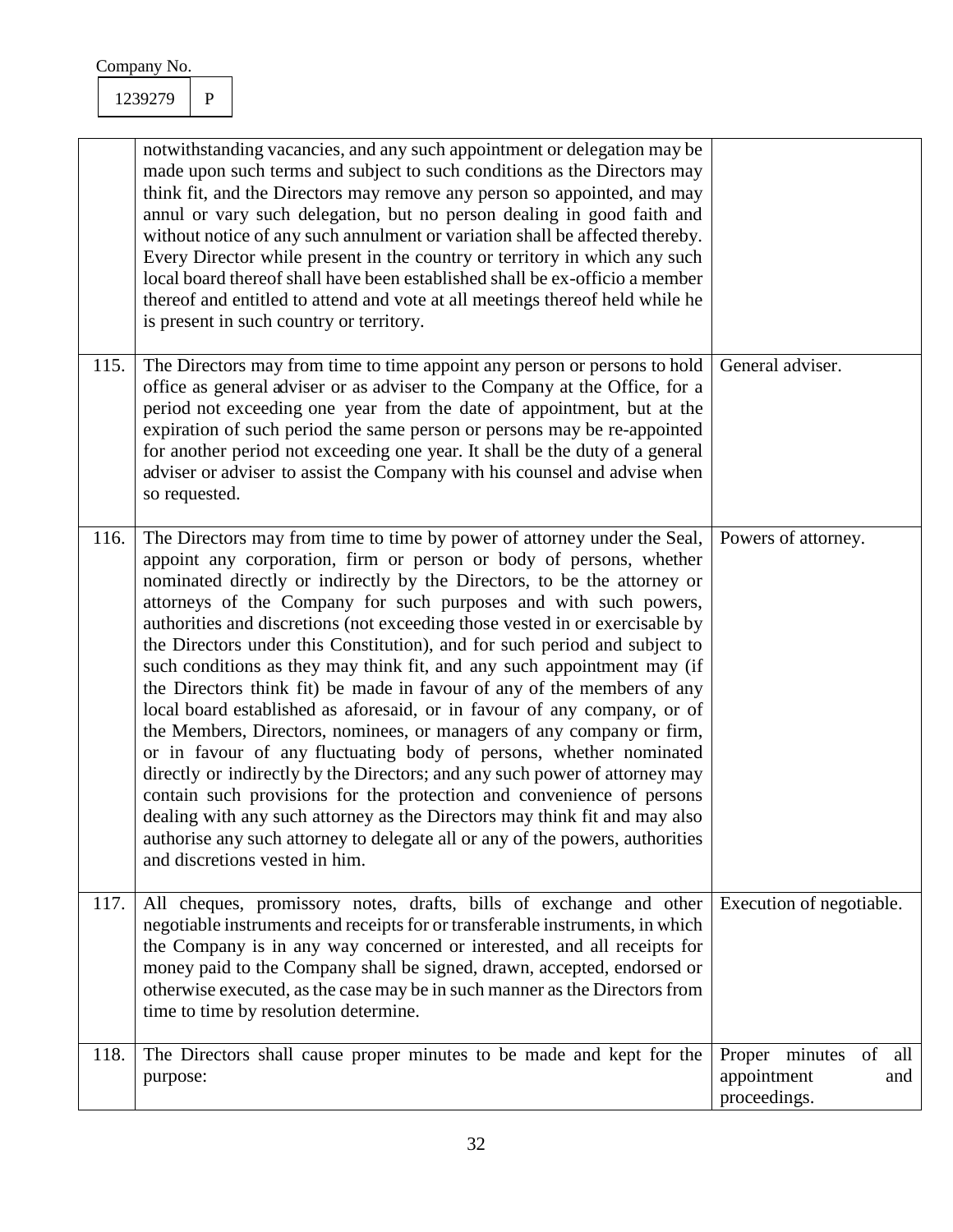|      | notwithstanding vacancies, and any such appointment or delegation may be<br>made upon such terms and subject to such conditions as the Directors may<br>think fit, and the Directors may remove any person so appointed, and may<br>annul or vary such delegation, but no person dealing in good faith and<br>without notice of any such annulment or variation shall be affected thereby.<br>Every Director while present in the country or territory in which any such<br>local board thereof shall have been established shall be ex-officio a member<br>thereof and entitled to attend and vote at all meetings thereof held while he<br>is present in such country or territory.                                                                                                                                                                                                                                                                                                                                                                                                                                                                                                                   |                                                                |
|------|---------------------------------------------------------------------------------------------------------------------------------------------------------------------------------------------------------------------------------------------------------------------------------------------------------------------------------------------------------------------------------------------------------------------------------------------------------------------------------------------------------------------------------------------------------------------------------------------------------------------------------------------------------------------------------------------------------------------------------------------------------------------------------------------------------------------------------------------------------------------------------------------------------------------------------------------------------------------------------------------------------------------------------------------------------------------------------------------------------------------------------------------------------------------------------------------------------|----------------------------------------------------------------|
| 115. | The Directors may from time to time appoint any person or persons to hold<br>office as general adviser or as adviser to the Company at the Office, for a<br>period not exceeding one year from the date of appointment, but at the<br>expiration of such period the same person or persons may be re-appointed<br>for another period not exceeding one year. It shall be the duty of a general<br>adviser or adviser to assist the Company with his counsel and advise when<br>so requested.                                                                                                                                                                                                                                                                                                                                                                                                                                                                                                                                                                                                                                                                                                            | General adviser.                                               |
| 116. | The Directors may from time to time by power of attorney under the Seal,<br>appoint any corporation, firm or person or body of persons, whether<br>nominated directly or indirectly by the Directors, to be the attorney or<br>attorneys of the Company for such purposes and with such powers,<br>authorities and discretions (not exceeding those vested in or exercisable by<br>the Directors under this Constitution), and for such period and subject to<br>such conditions as they may think fit, and any such appointment may (if<br>the Directors think fit) be made in favour of any of the members of any<br>local board established as aforesaid, or in favour of any company, or of<br>the Members, Directors, nominees, or managers of any company or firm,<br>or in favour of any fluctuating body of persons, whether nominated<br>directly or indirectly by the Directors; and any such power of attorney may<br>contain such provisions for the protection and convenience of persons<br>dealing with any such attorney as the Directors may think fit and may also<br>authorise any such attorney to delegate all or any of the powers, authorities<br>and discretions vested in him. | Powers of attorney.                                            |
| 117. | All cheques, promissory notes, drafts, bills of exchange and other<br>negotiable instruments and receipts for or transferable instruments, in which<br>the Company is in any way concerned or interested, and all receipts for<br>money paid to the Company shall be signed, drawn, accepted, endorsed or<br>otherwise executed, as the case may be in such manner as the Directors from<br>time to time by resolution determine.                                                                                                                                                                                                                                                                                                                                                                                                                                                                                                                                                                                                                                                                                                                                                                       | Execution of negotiable.                                       |
| 118. | The Directors shall cause proper minutes to be made and kept for the<br>purpose:                                                                                                                                                                                                                                                                                                                                                                                                                                                                                                                                                                                                                                                                                                                                                                                                                                                                                                                                                                                                                                                                                                                        | of all<br>Proper minutes<br>appointment<br>and<br>proceedings. |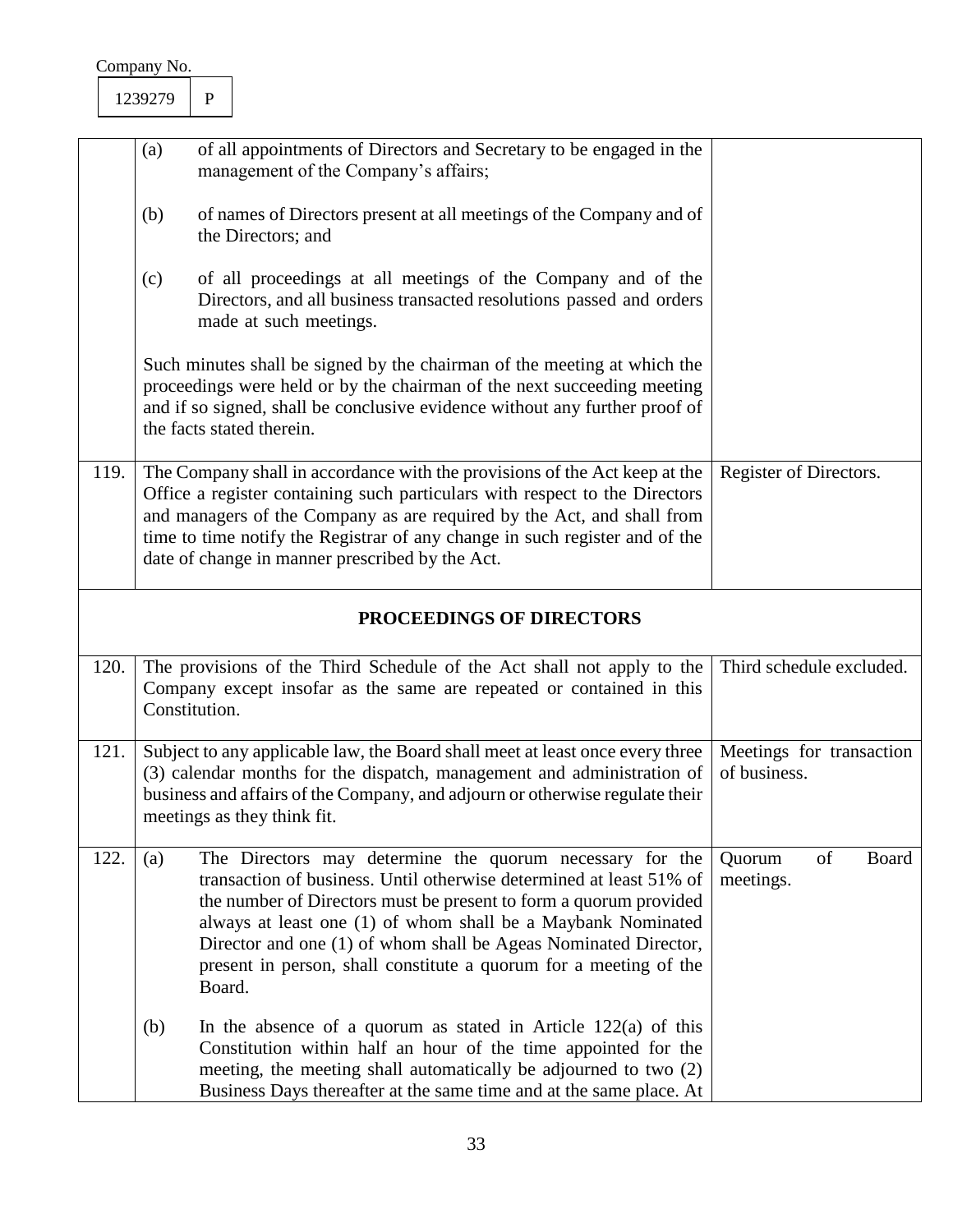|                          | (a) | of all appointments of Directors and Secretary to be engaged in the<br>management of the Company's affairs;                                                                                                                                                                                                                                                                                                            |                                           |  |  |
|--------------------------|-----|------------------------------------------------------------------------------------------------------------------------------------------------------------------------------------------------------------------------------------------------------------------------------------------------------------------------------------------------------------------------------------------------------------------------|-------------------------------------------|--|--|
|                          | (b) | of names of Directors present at all meetings of the Company and of<br>the Directors; and                                                                                                                                                                                                                                                                                                                              |                                           |  |  |
|                          | (c) | of all proceedings at all meetings of the Company and of the<br>Directors, and all business transacted resolutions passed and orders<br>made at such meetings.                                                                                                                                                                                                                                                         |                                           |  |  |
|                          |     | Such minutes shall be signed by the chairman of the meeting at which the<br>proceedings were held or by the chairman of the next succeeding meeting<br>and if so signed, shall be conclusive evidence without any further proof of<br>the facts stated therein.                                                                                                                                                        |                                           |  |  |
| 119.                     |     | The Company shall in accordance with the provisions of the Act keep at the<br>Office a register containing such particulars with respect to the Directors<br>and managers of the Company as are required by the Act, and shall from<br>time to time notify the Registrar of any change in such register and of the<br>date of change in manner prescribed by the Act.                                                  | Register of Directors.                    |  |  |
| PROCEEDINGS OF DIRECTORS |     |                                                                                                                                                                                                                                                                                                                                                                                                                        |                                           |  |  |
| 120.                     |     | The provisions of the Third Schedule of the Act shall not apply to the<br>Company except insofar as the same are repeated or contained in this<br>Constitution.                                                                                                                                                                                                                                                        | Third schedule excluded.                  |  |  |
| 121.                     |     | Subject to any applicable law, the Board shall meet at least once every three<br>(3) calendar months for the dispatch, management and administration of<br>business and affairs of the Company, and adjourn or otherwise regulate their<br>meetings as they think fit.                                                                                                                                                 | Meetings for transaction<br>of business.  |  |  |
| 122.                     | (a) | The Directors may determine the quorum necessary for the<br>transaction of business. Until otherwise determined at least 51% of<br>the number of Directors must be present to form a quorum provided<br>always at least one (1) of whom shall be a Maybank Nominated<br>Director and one (1) of whom shall be Ageas Nominated Director,<br>present in person, shall constitute a quorum for a meeting of the<br>Board. | of<br><b>Board</b><br>Quorum<br>meetings. |  |  |
|                          | (b) | In the absence of a quorum as stated in Article $122(a)$ of this<br>Constitution within half an hour of the time appointed for the<br>meeting, the meeting shall automatically be adjourned to two (2)<br>Business Days thereafter at the same time and at the same place. At                                                                                                                                          |                                           |  |  |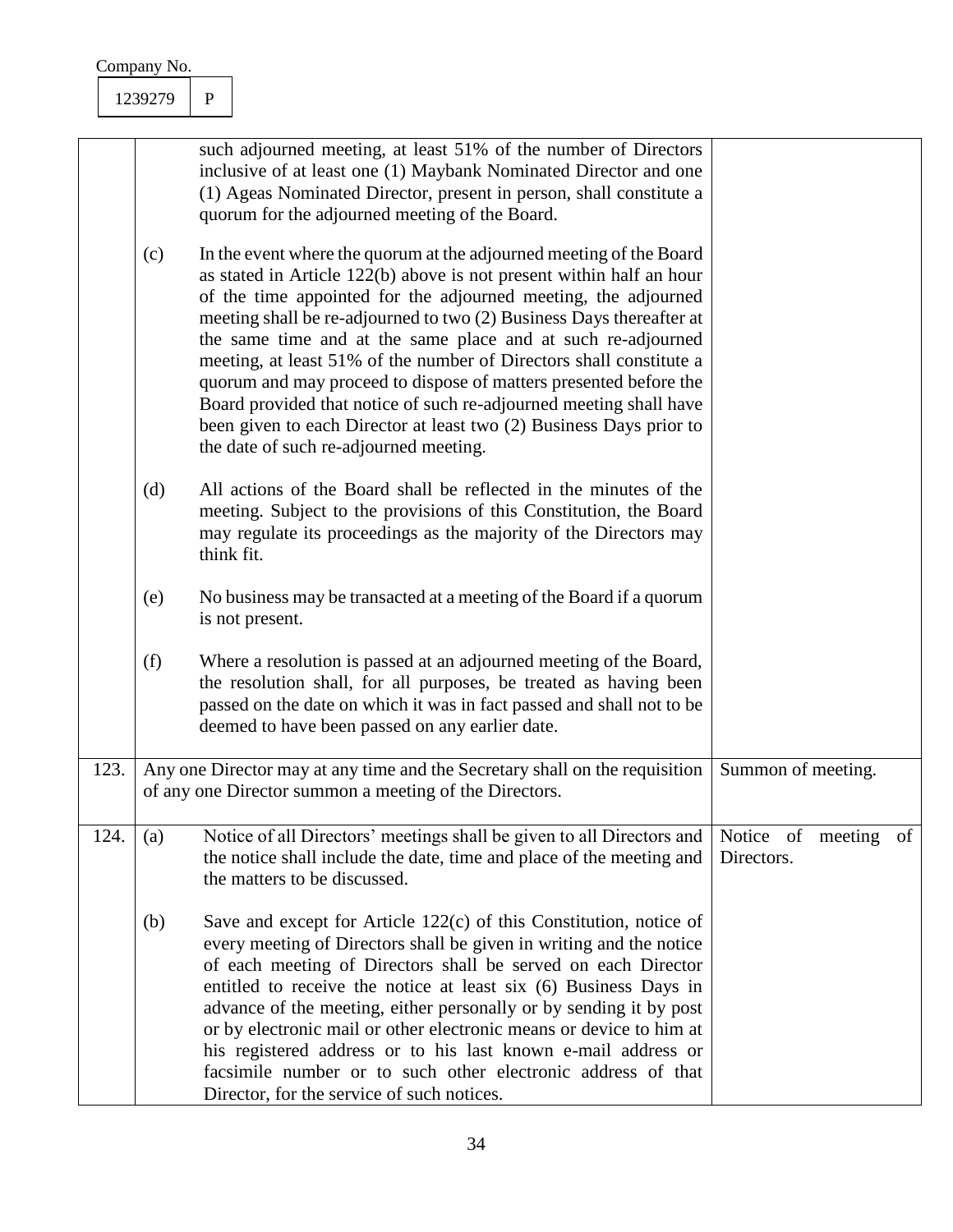|     |      | 1239279                                                                                                                                                                                                                                                      | $\mathbf{P}$                                                                                                                                                                                                                                                                                                                                                                                                                                                                                                                                                                                                                                                                             |                                                                                                                                                                                                                                                                                                                                                                                                                                                                                                                                                                                                              |                                 |    |
|-----|------|--------------------------------------------------------------------------------------------------------------------------------------------------------------------------------------------------------------------------------------------------------------|------------------------------------------------------------------------------------------------------------------------------------------------------------------------------------------------------------------------------------------------------------------------------------------------------------------------------------------------------------------------------------------------------------------------------------------------------------------------------------------------------------------------------------------------------------------------------------------------------------------------------------------------------------------------------------------|--------------------------------------------------------------------------------------------------------------------------------------------------------------------------------------------------------------------------------------------------------------------------------------------------------------------------------------------------------------------------------------------------------------------------------------------------------------------------------------------------------------------------------------------------------------------------------------------------------------|---------------------------------|----|
|     |      | such adjourned meeting, at least 51% of the number of Directors<br>inclusive of at least one (1) Maybank Nominated Director and one<br>(1) Ageas Nominated Director, present in person, shall constitute a<br>quorum for the adjourned meeting of the Board. |                                                                                                                                                                                                                                                                                                                                                                                                                                                                                                                                                                                                                                                                                          |                                                                                                                                                                                                                                                                                                                                                                                                                                                                                                                                                                                                              |                                 |    |
| (c) |      |                                                                                                                                                                                                                                                              | In the event where the quorum at the adjourned meeting of the Board<br>as stated in Article 122(b) above is not present within half an hour<br>of the time appointed for the adjourned meeting, the adjourned<br>meeting shall be re-adjourned to two (2) Business Days thereafter at<br>the same time and at the same place and at such re-adjourned<br>meeting, at least 51% of the number of Directors shall constitute a<br>quorum and may proceed to dispose of matters presented before the<br>Board provided that notice of such re-adjourned meeting shall have<br>been given to each Director at least two (2) Business Days prior to<br>the date of such re-adjourned meeting. |                                                                                                                                                                                                                                                                                                                                                                                                                                                                                                                                                                                                              |                                 |    |
| (d) |      |                                                                                                                                                                                                                                                              | think fit.                                                                                                                                                                                                                                                                                                                                                                                                                                                                                                                                                                                                                                                                               | All actions of the Board shall be reflected in the minutes of the<br>meeting. Subject to the provisions of this Constitution, the Board<br>may regulate its proceedings as the majority of the Directors may                                                                                                                                                                                                                                                                                                                                                                                                 |                                 |    |
|     |      | (e)                                                                                                                                                                                                                                                          |                                                                                                                                                                                                                                                                                                                                                                                                                                                                                                                                                                                                                                                                                          | No business may be transacted at a meeting of the Board if a quorum<br>is not present.                                                                                                                                                                                                                                                                                                                                                                                                                                                                                                                       |                                 |    |
|     |      | (f)                                                                                                                                                                                                                                                          |                                                                                                                                                                                                                                                                                                                                                                                                                                                                                                                                                                                                                                                                                          | Where a resolution is passed at an adjourned meeting of the Board,<br>the resolution shall, for all purposes, be treated as having been<br>passed on the date on which it was in fact passed and shall not to be<br>deemed to have been passed on any earlier date.                                                                                                                                                                                                                                                                                                                                          |                                 |    |
|     | 123. |                                                                                                                                                                                                                                                              |                                                                                                                                                                                                                                                                                                                                                                                                                                                                                                                                                                                                                                                                                          | Any one Director may at any time and the Secretary shall on the requisition<br>of any one Director summon a meeting of the Directors.                                                                                                                                                                                                                                                                                                                                                                                                                                                                        | Summon of meeting.              |    |
|     | 124. | (a)                                                                                                                                                                                                                                                          |                                                                                                                                                                                                                                                                                                                                                                                                                                                                                                                                                                                                                                                                                          | Notice of all Directors' meetings shall be given to all Directors and<br>the notice shall include the date, time and place of the meeting and<br>the matters to be discussed.                                                                                                                                                                                                                                                                                                                                                                                                                                | Notice of meeting<br>Directors. | of |
|     |      | (b)                                                                                                                                                                                                                                                          |                                                                                                                                                                                                                                                                                                                                                                                                                                                                                                                                                                                                                                                                                          | Save and except for Article $122(c)$ of this Constitution, notice of<br>every meeting of Directors shall be given in writing and the notice<br>of each meeting of Directors shall be served on each Director<br>entitled to receive the notice at least six (6) Business Days in<br>advance of the meeting, either personally or by sending it by post<br>or by electronic mail or other electronic means or device to him at<br>his registered address or to his last known e-mail address or<br>facsimile number or to such other electronic address of that<br>Director, for the service of such notices. |                                 |    |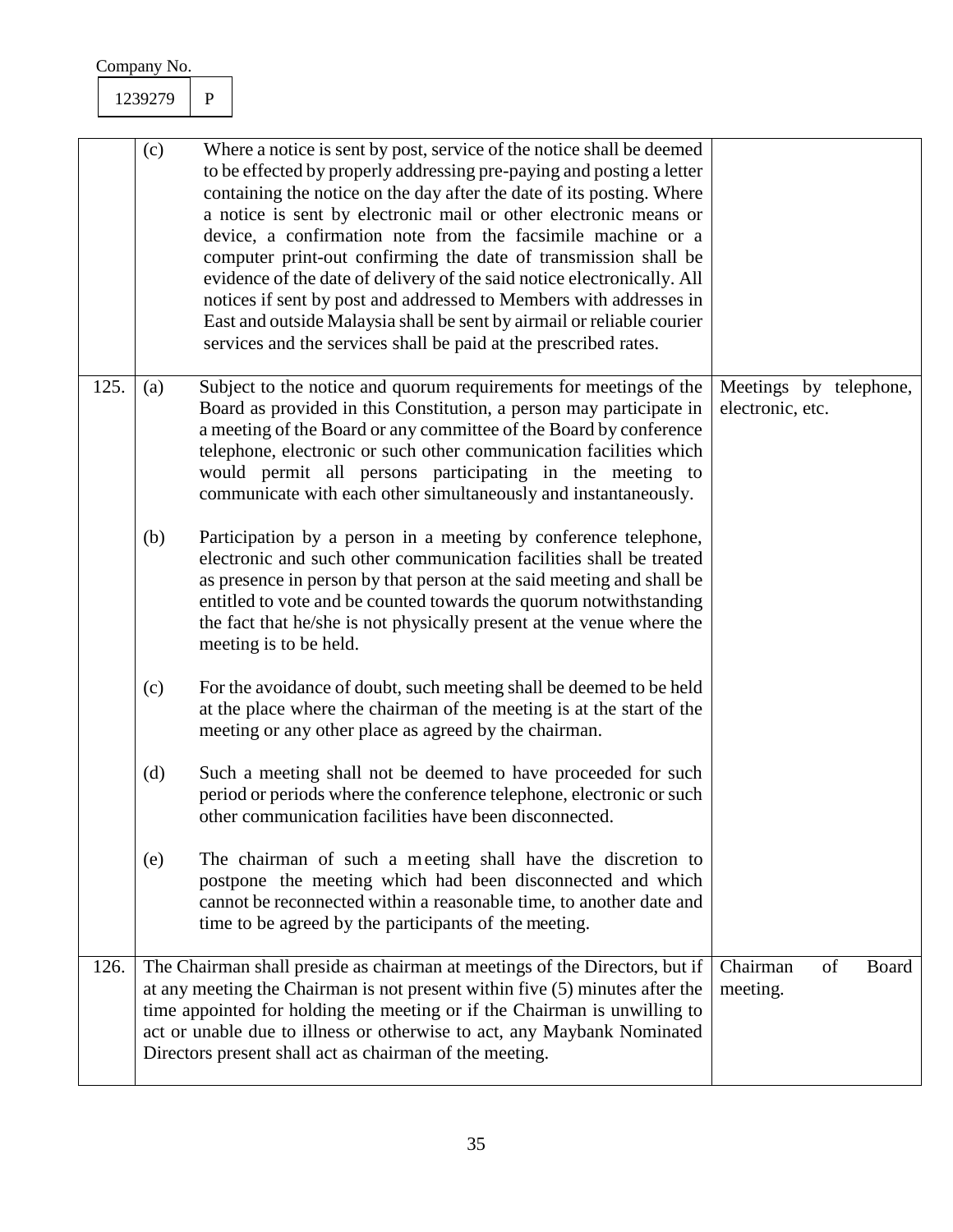|      | (c) | Where a notice is sent by post, service of the notice shall be deemed<br>to be effected by properly addressing pre-paying and posting a letter<br>containing the notice on the day after the date of its posting. Where<br>a notice is sent by electronic mail or other electronic means or<br>device, a confirmation note from the facsimile machine or a<br>computer print-out confirming the date of transmission shall be<br>evidence of the date of delivery of the said notice electronically. All<br>notices if sent by post and addressed to Members with addresses in<br>East and outside Malaysia shall be sent by airmail or reliable courier<br>services and the services shall be paid at the prescribed rates. |                                            |       |
|------|-----|------------------------------------------------------------------------------------------------------------------------------------------------------------------------------------------------------------------------------------------------------------------------------------------------------------------------------------------------------------------------------------------------------------------------------------------------------------------------------------------------------------------------------------------------------------------------------------------------------------------------------------------------------------------------------------------------------------------------------|--------------------------------------------|-------|
| 125. | (a) | Subject to the notice and quorum requirements for meetings of the<br>Board as provided in this Constitution, a person may participate in<br>a meeting of the Board or any committee of the Board by conference<br>telephone, electronic or such other communication facilities which<br>would permit all persons participating in the meeting to<br>communicate with each other simultaneously and instantaneously.                                                                                                                                                                                                                                                                                                          | Meetings by telephone,<br>electronic, etc. |       |
|      | (b) | Participation by a person in a meeting by conference telephone,<br>electronic and such other communication facilities shall be treated<br>as presence in person by that person at the said meeting and shall be<br>entitled to vote and be counted towards the quorum notwithstanding<br>the fact that he/she is not physically present at the venue where the<br>meeting is to be held.                                                                                                                                                                                                                                                                                                                                     |                                            |       |
|      | (c) | For the avoidance of doubt, such meeting shall be deemed to be held<br>at the place where the chairman of the meeting is at the start of the<br>meeting or any other place as agreed by the chairman.                                                                                                                                                                                                                                                                                                                                                                                                                                                                                                                        |                                            |       |
|      | (d) | Such a meeting shall not be deemed to have proceeded for such<br>period or periods where the conference telephone, electronic or such<br>other communication facilities have been disconnected.                                                                                                                                                                                                                                                                                                                                                                                                                                                                                                                              |                                            |       |
|      | (e) | The chairman of such a meeting shall have the discretion to<br>postpone the meeting which had been disconnected and which<br>cannot be reconnected within a reasonable time, to another date and<br>time to be agreed by the participants of the meeting.                                                                                                                                                                                                                                                                                                                                                                                                                                                                    |                                            |       |
| 126. |     | The Chairman shall preside as chairman at meetings of the Directors, but if<br>at any meeting the Chairman is not present within five (5) minutes after the<br>time appointed for holding the meeting or if the Chairman is unwilling to<br>act or unable due to illness or otherwise to act, any Maybank Nominated<br>Directors present shall act as chairman of the meeting.                                                                                                                                                                                                                                                                                                                                               | Chairman<br>of<br>meeting.                 | Board |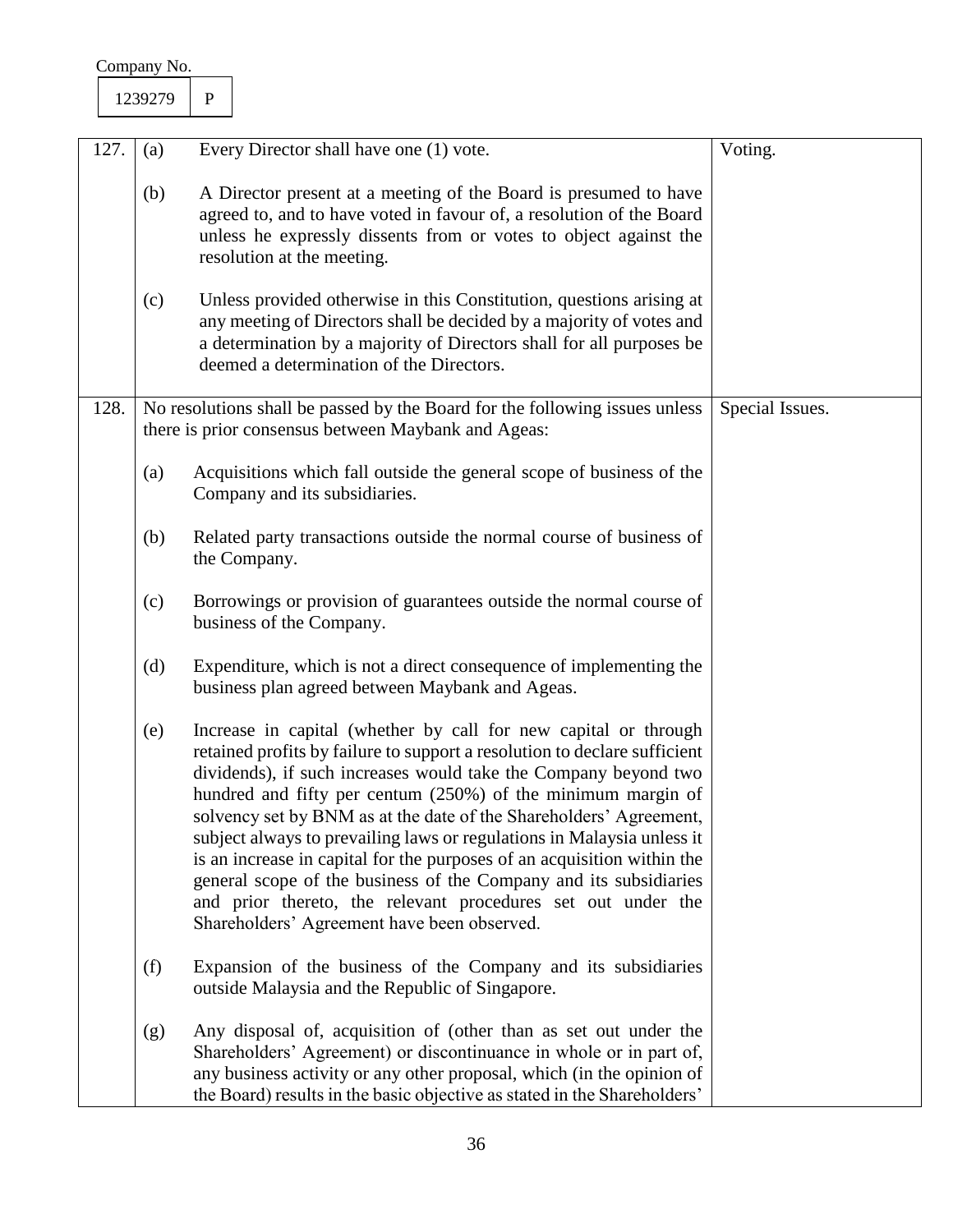|                                                                                                                              | Company No. |                                                                                                                                                                                                                                                                                                                                                                                                                                                                                                                                                                              |  |
|------------------------------------------------------------------------------------------------------------------------------|-------------|------------------------------------------------------------------------------------------------------------------------------------------------------------------------------------------------------------------------------------------------------------------------------------------------------------------------------------------------------------------------------------------------------------------------------------------------------------------------------------------------------------------------------------------------------------------------------|--|
|                                                                                                                              | 1239279     | $\mathbf{P}$                                                                                                                                                                                                                                                                                                                                                                                                                                                                                                                                                                 |  |
|                                                                                                                              |             |                                                                                                                                                                                                                                                                                                                                                                                                                                                                                                                                                                              |  |
| 127.                                                                                                                         | (a)         | Every Director shall have one (1) vote.<br>Voting.                                                                                                                                                                                                                                                                                                                                                                                                                                                                                                                           |  |
|                                                                                                                              | (b)         | A Director present at a meeting of the Board is presumed to have<br>agreed to, and to have voted in favour of, a resolution of the Board<br>unless he expressly dissents from or votes to object against the<br>resolution at the meeting.                                                                                                                                                                                                                                                                                                                                   |  |
|                                                                                                                              | (c)         | Unless provided otherwise in this Constitution, questions arising at<br>any meeting of Directors shall be decided by a majority of votes and<br>a determination by a majority of Directors shall for all purposes be<br>deemed a determination of the Directors.                                                                                                                                                                                                                                                                                                             |  |
| 128.                                                                                                                         |             | No resolutions shall be passed by the Board for the following issues unless<br>Special Issues.<br>there is prior consensus between Maybank and Ageas:                                                                                                                                                                                                                                                                                                                                                                                                                        |  |
|                                                                                                                              | (a)         | Acquisitions which fall outside the general scope of business of the<br>Company and its subsidiaries.                                                                                                                                                                                                                                                                                                                                                                                                                                                                        |  |
|                                                                                                                              | (b)         | Related party transactions outside the normal course of business of<br>the Company.                                                                                                                                                                                                                                                                                                                                                                                                                                                                                          |  |
|                                                                                                                              | (c)         | Borrowings or provision of guarantees outside the normal course of<br>business of the Company.                                                                                                                                                                                                                                                                                                                                                                                                                                                                               |  |
| Expenditure, which is not a direct consequence of implementing the<br>(d)<br>business plan agreed between Maybank and Ageas. |             |                                                                                                                                                                                                                                                                                                                                                                                                                                                                                                                                                                              |  |
| Increase in capital (whether by call for new capital or through<br>(e)<br>Shareholders' Agreement have been observed.        |             | retained profits by failure to support a resolution to declare sufficient<br>dividends), if such increases would take the Company beyond two<br>hundred and fifty per centum (250%) of the minimum margin of<br>solvency set by BNM as at the date of the Shareholders' Agreement,<br>subject always to prevailing laws or regulations in Malaysia unless it<br>is an increase in capital for the purposes of an acquisition within the<br>general scope of the business of the Company and its subsidiaries<br>and prior thereto, the relevant procedures set out under the |  |
|                                                                                                                              | (f)         | Expansion of the business of the Company and its subsidiaries<br>outside Malaysia and the Republic of Singapore.                                                                                                                                                                                                                                                                                                                                                                                                                                                             |  |
|                                                                                                                              | (g)         | Any disposal of, acquisition of (other than as set out under the<br>Shareholders' Agreement) or discontinuance in whole or in part of,<br>any business activity or any other proposal, which (in the opinion of<br>the Board) results in the basic objective as stated in the Shareholders'                                                                                                                                                                                                                                                                                  |  |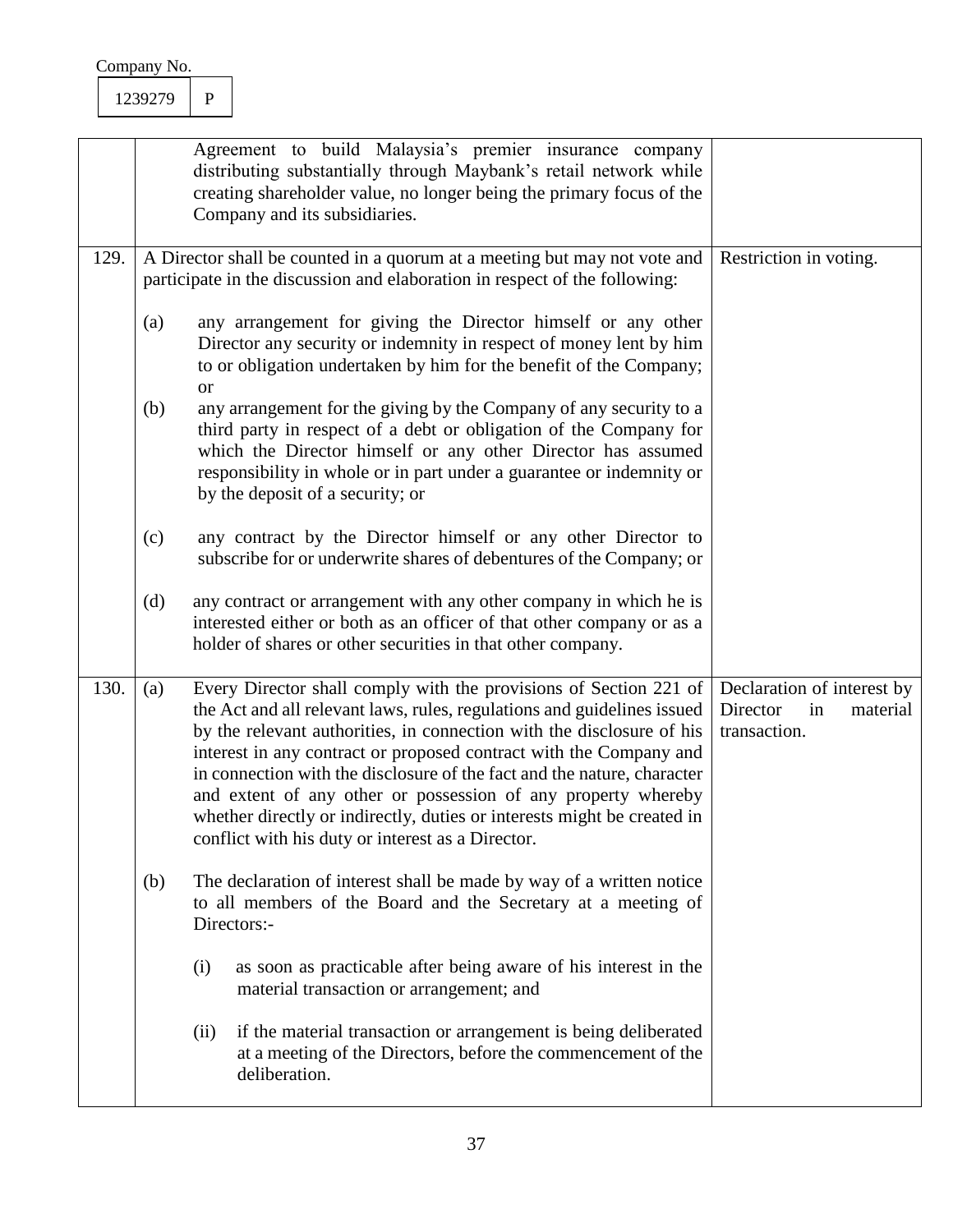|      |     | Agreement to build Malaysia's premier insurance company<br>distributing substantially through Maybank's retail network while<br>creating shareholder value, no longer being the primary focus of the<br>Company and its subsidiaries.                                                                                                                                                                                                                                                                                                                                   |                                                                          |  |
|------|-----|-------------------------------------------------------------------------------------------------------------------------------------------------------------------------------------------------------------------------------------------------------------------------------------------------------------------------------------------------------------------------------------------------------------------------------------------------------------------------------------------------------------------------------------------------------------------------|--------------------------------------------------------------------------|--|
| 129. |     | A Director shall be counted in a quorum at a meeting but may not vote and<br>participate in the discussion and elaboration in respect of the following:                                                                                                                                                                                                                                                                                                                                                                                                                 | Restriction in voting.                                                   |  |
|      | (a) | any arrangement for giving the Director himself or any other<br>Director any security or indemnity in respect of money lent by him<br>to or obligation undertaken by him for the benefit of the Company;<br><sub>or</sub>                                                                                                                                                                                                                                                                                                                                               |                                                                          |  |
|      | (b) | any arrangement for the giving by the Company of any security to a<br>third party in respect of a debt or obligation of the Company for<br>which the Director himself or any other Director has assumed<br>responsibility in whole or in part under a guarantee or indemnity or<br>by the deposit of a security; or                                                                                                                                                                                                                                                     |                                                                          |  |
|      | (c) | any contract by the Director himself or any other Director to<br>subscribe for or underwrite shares of debentures of the Company; or                                                                                                                                                                                                                                                                                                                                                                                                                                    |                                                                          |  |
|      | (d) | any contract or arrangement with any other company in which he is<br>interested either or both as an officer of that other company or as a<br>holder of shares or other securities in that other company.                                                                                                                                                                                                                                                                                                                                                               |                                                                          |  |
| 130. | (a) | Every Director shall comply with the provisions of Section 221 of<br>the Act and all relevant laws, rules, regulations and guidelines issued<br>by the relevant authorities, in connection with the disclosure of his<br>interest in any contract or proposed contract with the Company and<br>in connection with the disclosure of the fact and the nature, character<br>and extent of any other or possession of any property whereby<br>whether directly or indirectly, duties or interests might be created in<br>conflict with his duty or interest as a Director. | Declaration of interest by<br>Director<br>in<br>material<br>transaction. |  |
|      | (b) | The declaration of interest shall be made by way of a written notice<br>to all members of the Board and the Secretary at a meeting of<br>Directors:-                                                                                                                                                                                                                                                                                                                                                                                                                    |                                                                          |  |
|      |     | as soon as practicable after being aware of his interest in the<br>(i)<br>material transaction or arrangement; and                                                                                                                                                                                                                                                                                                                                                                                                                                                      |                                                                          |  |
|      |     | if the material transaction or arrangement is being deliberated<br>(ii)<br>at a meeting of the Directors, before the commencement of the<br>deliberation.                                                                                                                                                                                                                                                                                                                                                                                                               |                                                                          |  |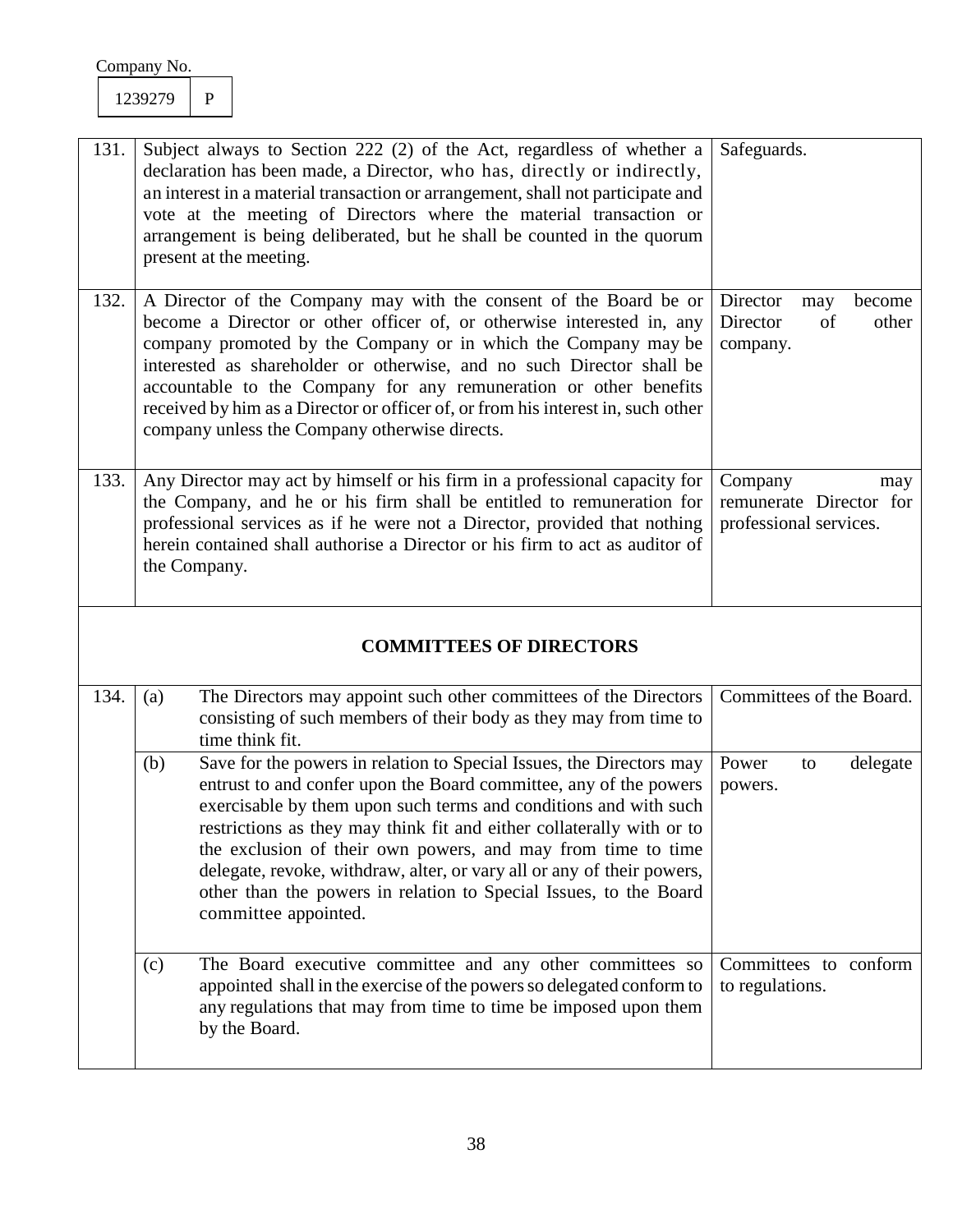| 131. | Subject always to Section 222 (2) of the Act, regardless of whether a<br>declaration has been made, a Director, who has, directly or indirectly,<br>an interest in a material transaction or arrangement, shall not participate and<br>vote at the meeting of Directors where the material transaction or<br>arrangement is being deliberated, but he shall be counted in the quorum<br>present at the meeting.                                                                                  | Safeguards.                                                         |
|------|--------------------------------------------------------------------------------------------------------------------------------------------------------------------------------------------------------------------------------------------------------------------------------------------------------------------------------------------------------------------------------------------------------------------------------------------------------------------------------------------------|---------------------------------------------------------------------|
| 132. | A Director of the Company may with the consent of the Board be or<br>become a Director or other officer of, or otherwise interested in, any<br>company promoted by the Company or in which the Company may be<br>interested as shareholder or otherwise, and no such Director shall be<br>accountable to the Company for any remuneration or other benefits<br>received by him as a Director or officer of, or from his interest in, such other<br>company unless the Company otherwise directs. | Director<br>become<br>may<br>Director<br>of<br>other<br>company.    |
| 133. | Any Director may act by himself or his firm in a professional capacity for<br>the Company, and he or his firm shall be entitled to remuneration for<br>professional services as if he were not a Director, provided that nothing<br>herein contained shall authorise a Director or his firm to act as auditor of<br>the Company.                                                                                                                                                                 | Company<br>may<br>remunerate Director for<br>professional services. |

# **COMMITTEES OF DIRECTORS**

| 134. | (a) | The Directors may appoint such other committees of the Directors<br>consisting of such members of their body as they may from time to<br>time think fit.                                                                                                                                                                                                                                                                                                                                                                      | Committees of the Board.                 |          |  |
|------|-----|-------------------------------------------------------------------------------------------------------------------------------------------------------------------------------------------------------------------------------------------------------------------------------------------------------------------------------------------------------------------------------------------------------------------------------------------------------------------------------------------------------------------------------|------------------------------------------|----------|--|
|      | (b) | Save for the powers in relation to Special Issues, the Directors may<br>entrust to and confer upon the Board committee, any of the powers<br>exercisable by them upon such terms and conditions and with such<br>restrictions as they may think fit and either collaterally with or to<br>the exclusion of their own powers, and may from time to time<br>delegate, revoke, withdraw, alter, or vary all or any of their powers,<br>other than the powers in relation to Special Issues, to the Board<br>committee appointed. | Power<br>to<br>powers.                   | delegate |  |
|      | (c) | The Board executive committee and any other committees so<br>appointed shall in the exercise of the powers so delegated conform to<br>any regulations that may from time to time be imposed upon them<br>by the Board.                                                                                                                                                                                                                                                                                                        | Committees to conform<br>to regulations. |          |  |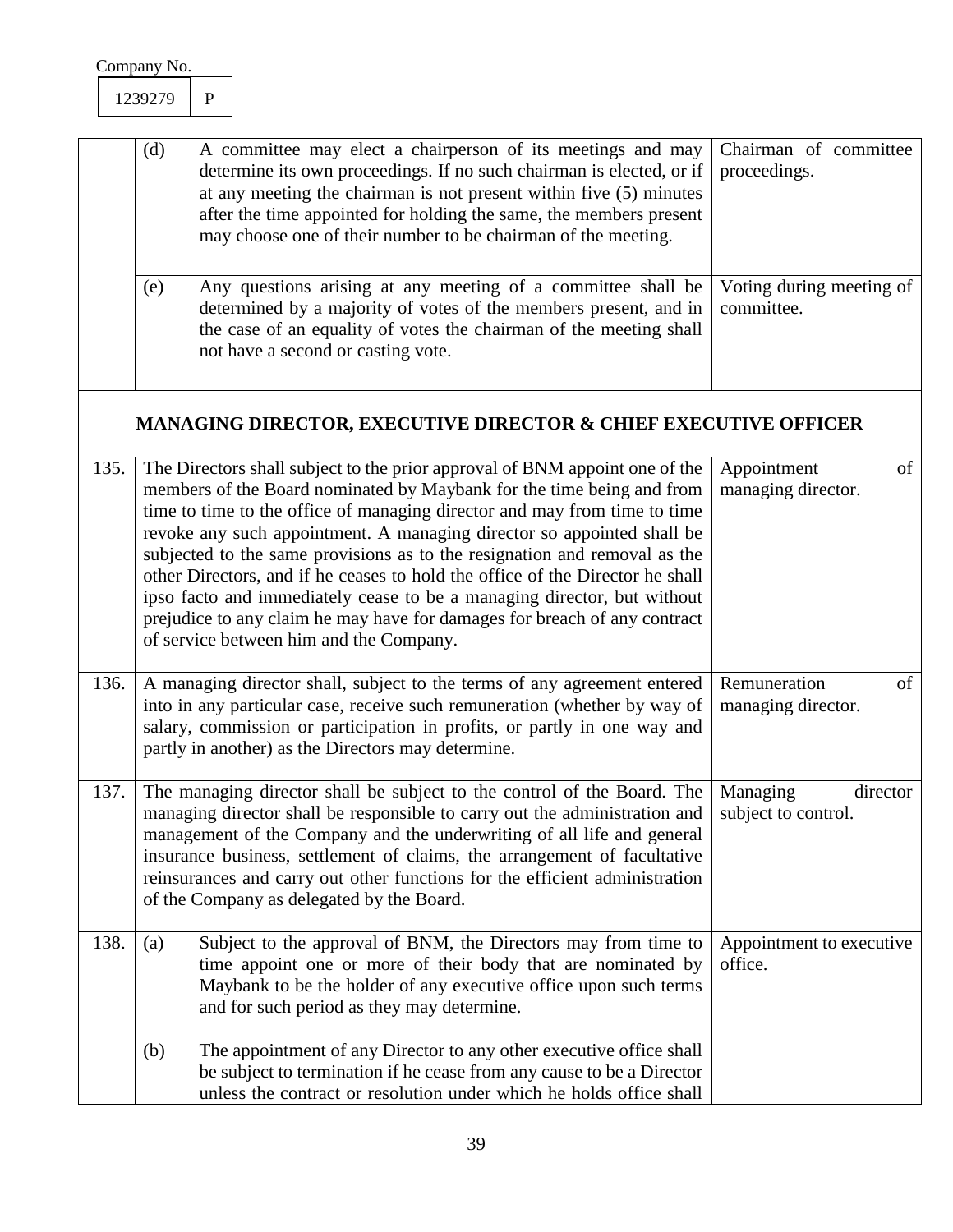| (d) | A committee may elect a chairperson of its meetings and may   Chairman of committee<br>determine its own proceedings. If no such chairman is elected, or if<br>at any meeting the chairman is not present within five (5) minutes<br>after the time appointed for holding the same, the members present<br>may choose one of their number to be chairman of the meeting. | proceedings.                           |
|-----|--------------------------------------------------------------------------------------------------------------------------------------------------------------------------------------------------------------------------------------------------------------------------------------------------------------------------------------------------------------------------|----------------------------------------|
| (e) | Any questions arising at any meeting of a committee shall be<br>determined by a majority of votes of the members present, and in<br>the case of an equality of votes the chairman of the meeting shall<br>not have a second or casting vote.                                                                                                                             | Voting during meeting of<br>committee. |

# **MANAGING DIRECTOR, EXECUTIVE DIRECTOR & CHIEF EXECUTIVE OFFICER**

| 135. | The Directors shall subject to the prior approval of BNM appoint one of the<br>members of the Board nominated by Maybank for the time being and from<br>time to time to the office of managing director and may from time to time<br>revoke any such appointment. A managing director so appointed shall be<br>subjected to the same provisions as to the resignation and removal as the<br>other Directors, and if he ceases to hold the office of the Director he shall<br>ipso facto and immediately cease to be a managing director, but without<br>prejudice to any claim he may have for damages for breach of any contract<br>of service between him and the Company. | of<br>Appointment<br>managing director.     |
|------|------------------------------------------------------------------------------------------------------------------------------------------------------------------------------------------------------------------------------------------------------------------------------------------------------------------------------------------------------------------------------------------------------------------------------------------------------------------------------------------------------------------------------------------------------------------------------------------------------------------------------------------------------------------------------|---------------------------------------------|
| 136. | A managing director shall, subject to the terms of any agreement entered<br>into in any particular case, receive such remuneration (whether by way of<br>salary, commission or participation in profits, or partly in one way and<br>partly in another) as the Directors may determine.                                                                                                                                                                                                                                                                                                                                                                                      | Remuneration<br>of<br>managing director.    |
| 137. | The managing director shall be subject to the control of the Board. The<br>managing director shall be responsible to carry out the administration and<br>management of the Company and the underwriting of all life and general<br>insurance business, settlement of claims, the arrangement of facultative<br>reinsurances and carry out other functions for the efficient administration<br>of the Company as delegated by the Board.                                                                                                                                                                                                                                      | Managing<br>director<br>subject to control. |
| 138. | Subject to the approval of BNM, the Directors may from time to<br>(a)<br>time appoint one or more of their body that are nominated by<br>Maybank to be the holder of any executive office upon such terms<br>and for such period as they may determine.                                                                                                                                                                                                                                                                                                                                                                                                                      | Appointment to executive<br>office.         |
|      | The appointment of any Director to any other executive office shall<br>(b)<br>be subject to termination if he cease from any cause to be a Director<br>unless the contract or resolution under which he holds office shall                                                                                                                                                                                                                                                                                                                                                                                                                                                   |                                             |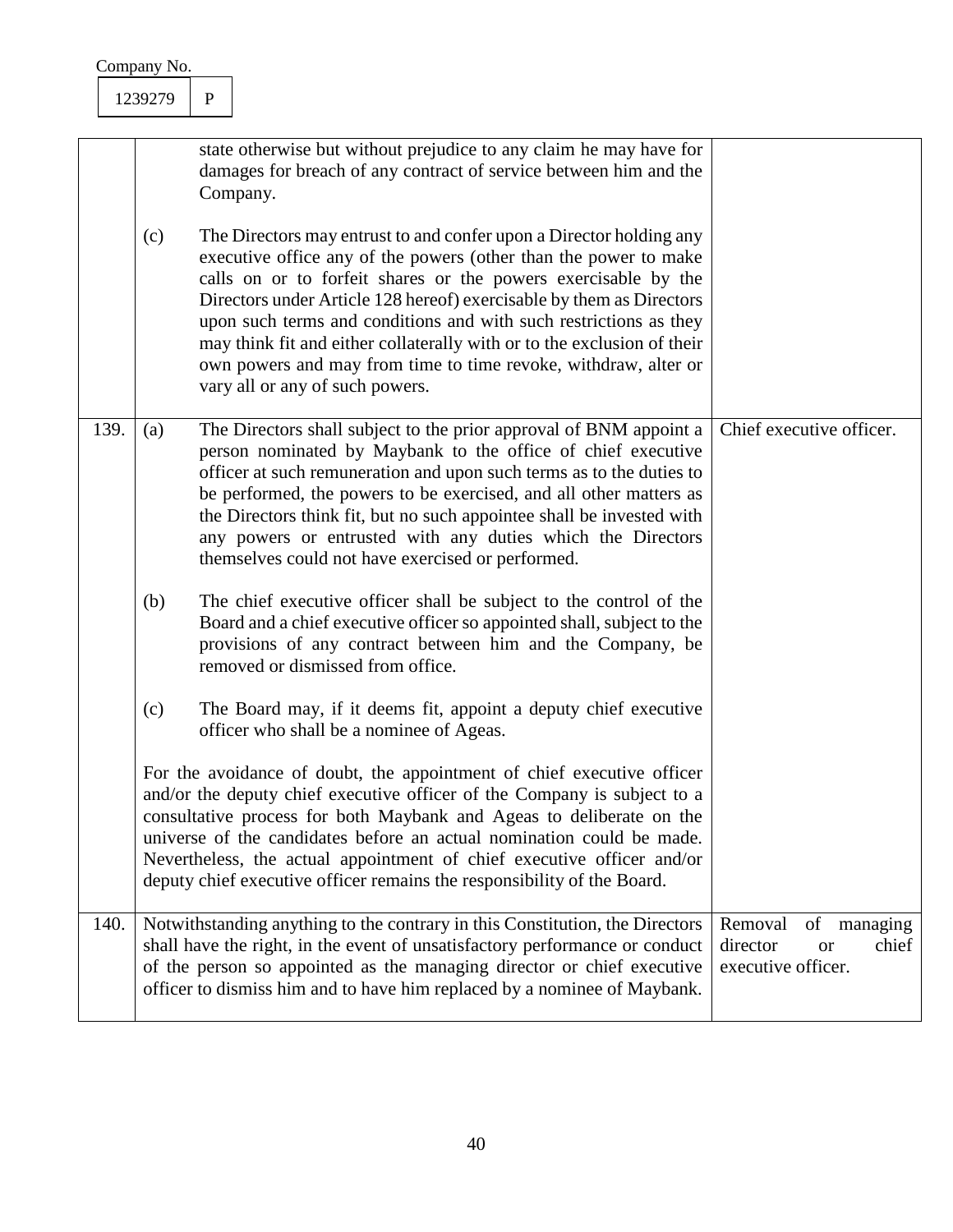|  |      | Company No.                                                                                                                                                                                                                                                                                                       |                                                                                                                                                                                                                                                                                                                                                                                                                                                          |                                                                                                                                                                                                                                                                                                                                                                                                                                                                                                                                         |                          |
|--|------|-------------------------------------------------------------------------------------------------------------------------------------------------------------------------------------------------------------------------------------------------------------------------------------------------------------------|----------------------------------------------------------------------------------------------------------------------------------------------------------------------------------------------------------------------------------------------------------------------------------------------------------------------------------------------------------------------------------------------------------------------------------------------------------|-----------------------------------------------------------------------------------------------------------------------------------------------------------------------------------------------------------------------------------------------------------------------------------------------------------------------------------------------------------------------------------------------------------------------------------------------------------------------------------------------------------------------------------------|--------------------------|
|  |      | 1239279                                                                                                                                                                                                                                                                                                           | $\mathbf{P}$                                                                                                                                                                                                                                                                                                                                                                                                                                             |                                                                                                                                                                                                                                                                                                                                                                                                                                                                                                                                         |                          |
|  |      | state otherwise but without prejudice to any claim he may have for<br>damages for breach of any contract of service between him and the<br>Company.                                                                                                                                                               |                                                                                                                                                                                                                                                                                                                                                                                                                                                          |                                                                                                                                                                                                                                                                                                                                                                                                                                                                                                                                         |                          |
|  |      | (c)                                                                                                                                                                                                                                                                                                               |                                                                                                                                                                                                                                                                                                                                                                                                                                                          | The Directors may entrust to and confer upon a Director holding any<br>executive office any of the powers (other than the power to make<br>calls on or to forfeit shares or the powers exercisable by the<br>Directors under Article 128 hereof) exercisable by them as Directors<br>upon such terms and conditions and with such restrictions as they<br>may think fit and either collaterally with or to the exclusion of their<br>own powers and may from time to time revoke, withdraw, alter or<br>vary all or any of such powers. |                          |
|  | 139. | (a)                                                                                                                                                                                                                                                                                                               |                                                                                                                                                                                                                                                                                                                                                                                                                                                          | The Directors shall subject to the prior approval of BNM appoint a<br>person nominated by Maybank to the office of chief executive<br>officer at such remuneration and upon such terms as to the duties to<br>be performed, the powers to be exercised, and all other matters as<br>the Directors think fit, but no such appointee shall be invested with<br>any powers or entrusted with any duties which the Directors<br>themselves could not have exercised or performed.                                                           | Chief executive officer. |
|  |      | (b)                                                                                                                                                                                                                                                                                                               |                                                                                                                                                                                                                                                                                                                                                                                                                                                          | The chief executive officer shall be subject to the control of the<br>Board and a chief executive officer so appointed shall, subject to the<br>provisions of any contract between him and the Company, be<br>removed or dismissed from office.                                                                                                                                                                                                                                                                                         |                          |
|  |      | (c)                                                                                                                                                                                                                                                                                                               |                                                                                                                                                                                                                                                                                                                                                                                                                                                          | The Board may, if it deems fit, appoint a deputy chief executive<br>officer who shall be a nominee of Ageas.                                                                                                                                                                                                                                                                                                                                                                                                                            |                          |
|  |      |                                                                                                                                                                                                                                                                                                                   | For the avoidance of doubt, the appointment of chief executive officer<br>and/or the deputy chief executive officer of the Company is subject to a<br>consultative process for both Maybank and Ageas to deliberate on the<br>universe of the candidates before an actual nomination could be made.<br>Nevertheless, the actual appointment of chief executive officer and/or<br>deputy chief executive officer remains the responsibility of the Board. |                                                                                                                                                                                                                                                                                                                                                                                                                                                                                                                                         |                          |
|  | 140. | Notwithstanding anything to the contrary in this Constitution, the Directors<br>shall have the right, in the event of unsatisfactory performance or conduct<br>of the person so appointed as the managing director or chief executive<br>officer to dismiss him and to have him replaced by a nominee of Maybank. |                                                                                                                                                                                                                                                                                                                                                                                                                                                          | of managing<br>Removal<br>director<br>chief<br><b>or</b><br>executive officer.                                                                                                                                                                                                                                                                                                                                                                                                                                                          |                          |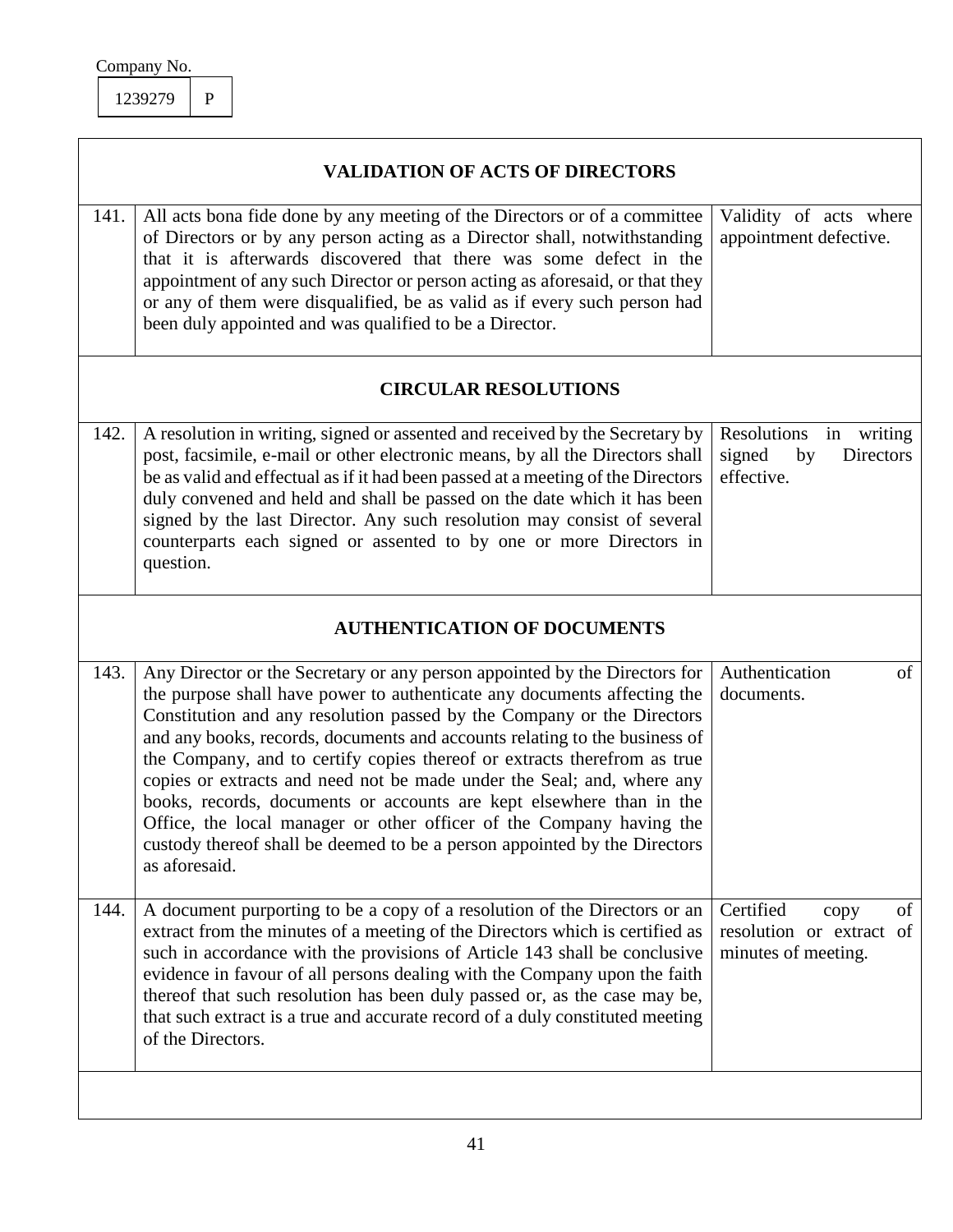| Company No. |  |
|-------------|--|
|             |  |

 $\mathbf{I}$ 

|      | <b>VALIDATION OF ACTS OF DIRECTORS</b>                                                                                                                                                                                                                                                                                                                                                                                                                                                                                                                                                                                                                                                                             |                                                                            |  |  |  |
|------|--------------------------------------------------------------------------------------------------------------------------------------------------------------------------------------------------------------------------------------------------------------------------------------------------------------------------------------------------------------------------------------------------------------------------------------------------------------------------------------------------------------------------------------------------------------------------------------------------------------------------------------------------------------------------------------------------------------------|----------------------------------------------------------------------------|--|--|--|
| 141. | All acts bona fide done by any meeting of the Directors or of a committee<br>of Directors or by any person acting as a Director shall, notwithstanding<br>that it is afterwards discovered that there was some defect in the<br>appointment of any such Director or person acting as aforesaid, or that they<br>or any of them were disqualified, be as valid as if every such person had<br>been duly appointed and was qualified to be a Director.                                                                                                                                                                                                                                                               | Validity of acts where<br>appointment defective.                           |  |  |  |
|      | <b>CIRCULAR RESOLUTIONS</b>                                                                                                                                                                                                                                                                                                                                                                                                                                                                                                                                                                                                                                                                                        |                                                                            |  |  |  |
| 142. | A resolution in writing, signed or assented and received by the Secretary by<br>post, facsimile, e-mail or other electronic means, by all the Directors shall<br>be as valid and effectual as if it had been passed at a meeting of the Directors<br>duly convened and held and shall be passed on the date which it has been<br>signed by the last Director. Any such resolution may consist of several<br>counterparts each signed or assented to by one or more Directors in<br>question.                                                                                                                                                                                                                       | Resolutions<br>in writing<br>signed<br>by<br>Directors<br>effective.       |  |  |  |
|      | <b>AUTHENTICATION OF DOCUMENTS</b>                                                                                                                                                                                                                                                                                                                                                                                                                                                                                                                                                                                                                                                                                 |                                                                            |  |  |  |
| 143. | Any Director or the Secretary or any person appointed by the Directors for<br>the purpose shall have power to authenticate any documents affecting the<br>Constitution and any resolution passed by the Company or the Directors<br>and any books, records, documents and accounts relating to the business of<br>the Company, and to certify copies thereof or extracts therefrom as true<br>copies or extracts and need not be made under the Seal; and, where any<br>books, records, documents or accounts are kept elsewhere than in the<br>Office, the local manager or other officer of the Company having the<br>custody thereof shall be deemed to be a person appointed by the Directors<br>as aforesaid. | Authentication<br>of<br>documents.                                         |  |  |  |
| 144. | A document purporting to be a copy of a resolution of the Directors or an<br>extract from the minutes of a meeting of the Directors which is certified as<br>such in accordance with the provisions of Article 143 shall be conclusive<br>evidence in favour of all persons dealing with the Company upon the faith<br>thereof that such resolution has been duly passed or, as the case may be,<br>that such extract is a true and accurate record of a duly constituted meeting<br>of the Directors.                                                                                                                                                                                                             | Certified<br>of<br>copy<br>resolution or extract of<br>minutes of meeting. |  |  |  |
|      |                                                                                                                                                                                                                                                                                                                                                                                                                                                                                                                                                                                                                                                                                                                    |                                                                            |  |  |  |

## 41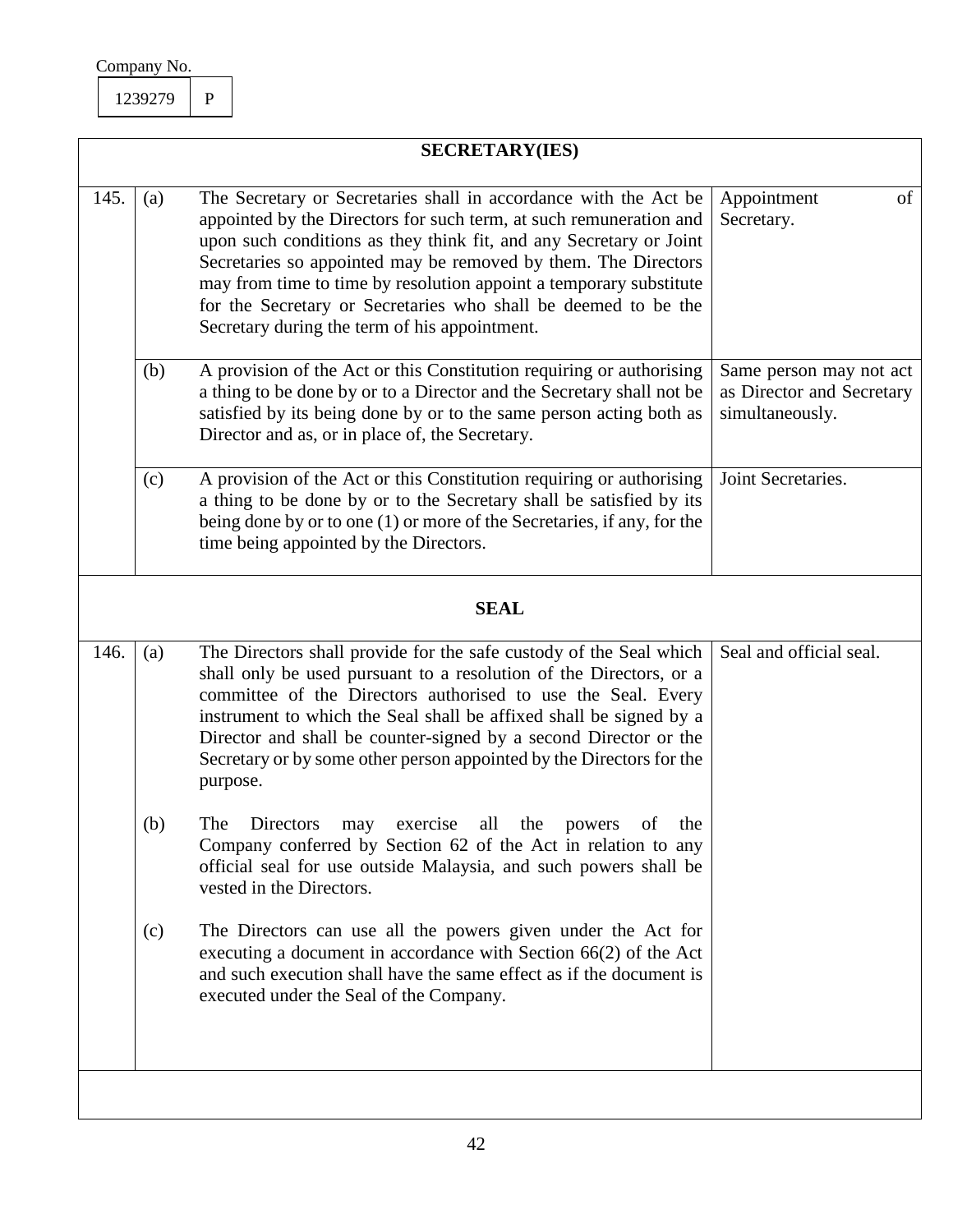|      |             | <b>SECRETARY(IES)</b>                                                                                                                                                                                                                                                                                                                                                                                                                                                   |                                                                         |  |  |
|------|-------------|-------------------------------------------------------------------------------------------------------------------------------------------------------------------------------------------------------------------------------------------------------------------------------------------------------------------------------------------------------------------------------------------------------------------------------------------------------------------------|-------------------------------------------------------------------------|--|--|
| 145. | (a)         | The Secretary or Secretaries shall in accordance with the Act be<br>appointed by the Directors for such term, at such remuneration and<br>upon such conditions as they think fit, and any Secretary or Joint<br>Secretaries so appointed may be removed by them. The Directors<br>may from time to time by resolution appoint a temporary substitute<br>for the Secretary or Secretaries who shall be deemed to be the<br>Secretary during the term of his appointment. | Appointment<br>of<br>Secretary.                                         |  |  |
|      | (b)         | A provision of the Act or this Constitution requiring or authorising<br>a thing to be done by or to a Director and the Secretary shall not be<br>satisfied by its being done by or to the same person acting both as<br>Director and as, or in place of, the Secretary.                                                                                                                                                                                                 | Same person may not act<br>as Director and Secretary<br>simultaneously. |  |  |
|      | (c)         | A provision of the Act or this Constitution requiring or authorising<br>a thing to be done by or to the Secretary shall be satisfied by its<br>being done by or to one (1) or more of the Secretaries, if any, for the<br>time being appointed by the Directors.                                                                                                                                                                                                        | Joint Secretaries.                                                      |  |  |
|      | <b>SEAL</b> |                                                                                                                                                                                                                                                                                                                                                                                                                                                                         |                                                                         |  |  |
| 146. | (a)         | The Directors shall provide for the safe custody of the Seal which<br>shall only be used pursuant to a resolution of the Directors, or a<br>committee of the Directors authorised to use the Seal. Every<br>instrument to which the Seal shall be affixed shall be signed by a<br>Director and shall be counter-signed by a second Director or the<br>Secretary or by some other person appointed by the Directors for the<br>purpose.                                  | Seal and official seal.                                                 |  |  |
|      | (b)         | The<br>Directors<br>all<br>of<br>the<br>exercise<br>the<br>powers<br>may<br>Company conferred by Section 62 of the Act in relation to any<br>official seal for use outside Malaysia, and such powers shall be<br>vested in the Directors.                                                                                                                                                                                                                               |                                                                         |  |  |
|      | (c)         | The Directors can use all the powers given under the Act for<br>executing a document in accordance with Section $66(2)$ of the Act<br>and such execution shall have the same effect as if the document is<br>executed under the Seal of the Company.                                                                                                                                                                                                                    |                                                                         |  |  |
|      |             |                                                                                                                                                                                                                                                                                                                                                                                                                                                                         |                                                                         |  |  |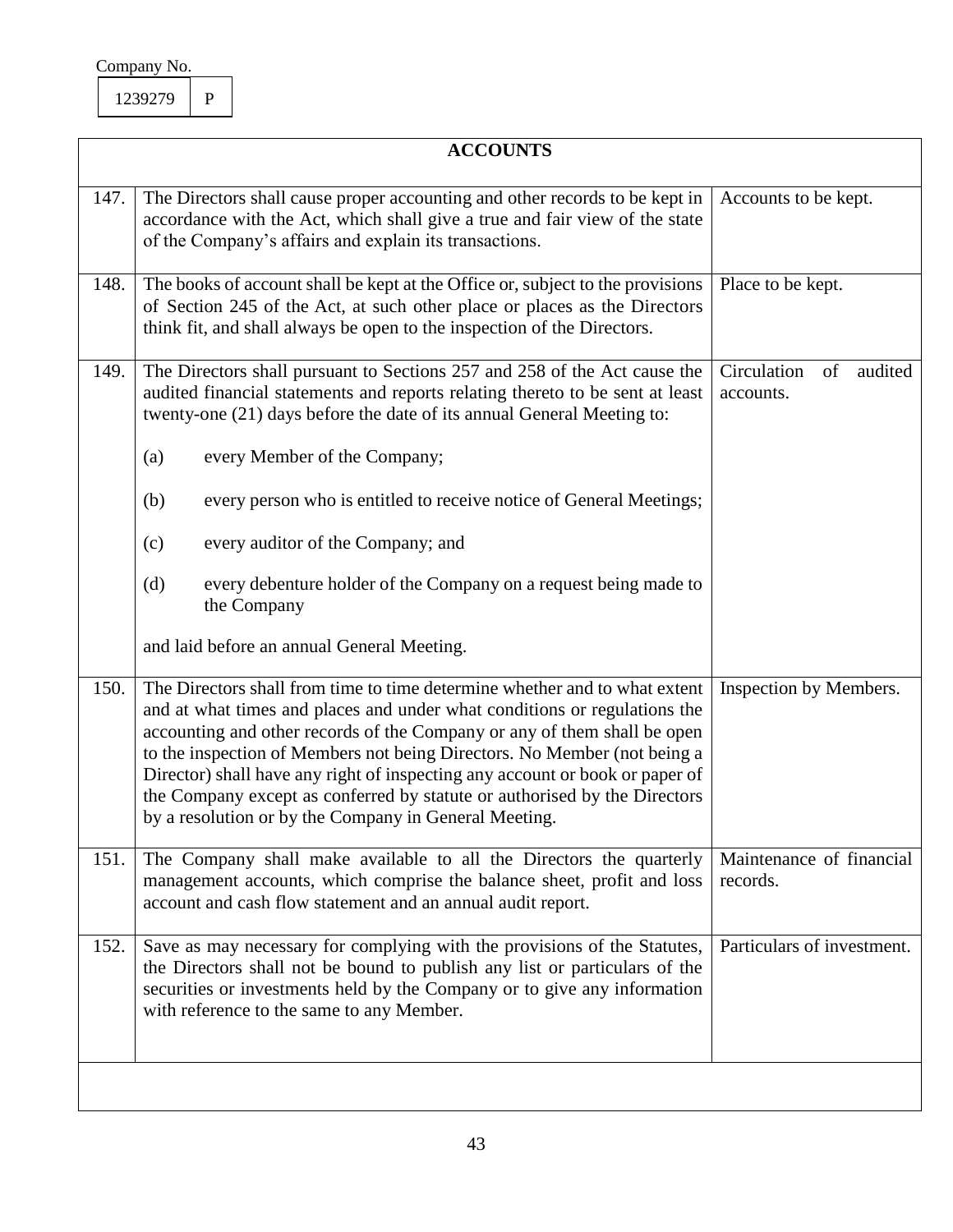$\mathsf{l}$ 

|      | <b>ACCOUNTS</b>                                                                                                                                                                                                                                                                                                                                                                                                                                                                                                                               |                                           |  |  |
|------|-----------------------------------------------------------------------------------------------------------------------------------------------------------------------------------------------------------------------------------------------------------------------------------------------------------------------------------------------------------------------------------------------------------------------------------------------------------------------------------------------------------------------------------------------|-------------------------------------------|--|--|
| 147. | The Directors shall cause proper accounting and other records to be kept in<br>accordance with the Act, which shall give a true and fair view of the state<br>of the Company's affairs and explain its transactions.                                                                                                                                                                                                                                                                                                                          | Accounts to be kept.                      |  |  |
| 148. | The books of account shall be kept at the Office or, subject to the provisions<br>of Section 245 of the Act, at such other place or places as the Directors<br>think fit, and shall always be open to the inspection of the Directors.                                                                                                                                                                                                                                                                                                        | Place to be kept.                         |  |  |
| 149. | The Directors shall pursuant to Sections 257 and 258 of the Act cause the<br>audited financial statements and reports relating thereto to be sent at least<br>twenty-one (21) days before the date of its annual General Meeting to:<br>every Member of the Company;<br>(a)<br>every person who is entitled to receive notice of General Meetings;<br>(b)<br>every auditor of the Company; and<br>(c)<br>(d)<br>every debenture holder of the Company on a request being made to<br>the Company<br>and laid before an annual General Meeting. | Circulation<br>of<br>audited<br>accounts. |  |  |
| 150. | The Directors shall from time to time determine whether and to what extent<br>and at what times and places and under what conditions or regulations the<br>accounting and other records of the Company or any of them shall be open<br>to the inspection of Members not being Directors. No Member (not being a<br>Director) shall have any right of inspecting any account or book or paper of<br>the Company except as conferred by statute or authorised by the Directors<br>by a resolution or by the Company in General Meeting.         | Inspection by Members.                    |  |  |
| 151. | The Company shall make available to all the Directors the quarterly<br>management accounts, which comprise the balance sheet, profit and loss<br>account and cash flow statement and an annual audit report.                                                                                                                                                                                                                                                                                                                                  | Maintenance of financial<br>records.      |  |  |
| 152. | Save as may necessary for complying with the provisions of the Statutes,<br>the Directors shall not be bound to publish any list or particulars of the<br>securities or investments held by the Company or to give any information<br>with reference to the same to any Member.                                                                                                                                                                                                                                                               | Particulars of investment.                |  |  |
|      |                                                                                                                                                                                                                                                                                                                                                                                                                                                                                                                                               |                                           |  |  |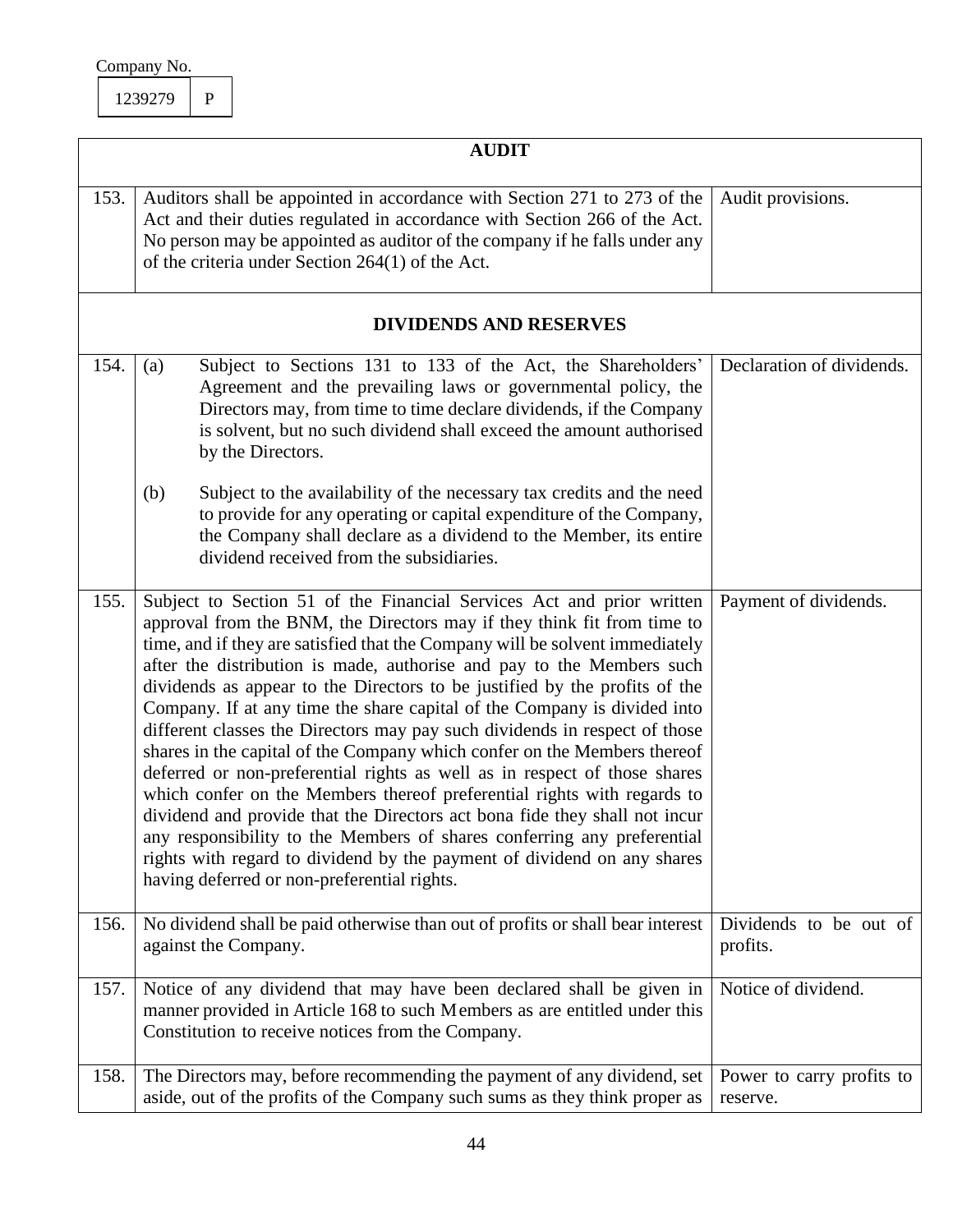|      | <b>AUDIT</b>                                                                                                                                                                                                                                                                                                                                                                                                                                                                                                                                                                                                                                                                                                                                                                                                                                                                                                                                                                                                                                                             |                                       |
|------|--------------------------------------------------------------------------------------------------------------------------------------------------------------------------------------------------------------------------------------------------------------------------------------------------------------------------------------------------------------------------------------------------------------------------------------------------------------------------------------------------------------------------------------------------------------------------------------------------------------------------------------------------------------------------------------------------------------------------------------------------------------------------------------------------------------------------------------------------------------------------------------------------------------------------------------------------------------------------------------------------------------------------------------------------------------------------|---------------------------------------|
| 153. | Auditors shall be appointed in accordance with Section 271 to 273 of the<br>Act and their duties regulated in accordance with Section 266 of the Act.<br>No person may be appointed as auditor of the company if he falls under any<br>of the criteria under Section 264(1) of the Act.                                                                                                                                                                                                                                                                                                                                                                                                                                                                                                                                                                                                                                                                                                                                                                                  | Audit provisions.                     |
|      | <b>DIVIDENDS AND RESERVES</b>                                                                                                                                                                                                                                                                                                                                                                                                                                                                                                                                                                                                                                                                                                                                                                                                                                                                                                                                                                                                                                            |                                       |
| 154. | Subject to Sections 131 to 133 of the Act, the Shareholders'<br>(a)<br>Agreement and the prevailing laws or governmental policy, the<br>Directors may, from time to time declare dividends, if the Company<br>is solvent, but no such dividend shall exceed the amount authorised<br>by the Directors.<br>Subject to the availability of the necessary tax credits and the need<br>(b)                                                                                                                                                                                                                                                                                                                                                                                                                                                                                                                                                                                                                                                                                   | Declaration of dividends.             |
|      | to provide for any operating or capital expenditure of the Company,<br>the Company shall declare as a dividend to the Member, its entire<br>dividend received from the subsidiaries.                                                                                                                                                                                                                                                                                                                                                                                                                                                                                                                                                                                                                                                                                                                                                                                                                                                                                     |                                       |
| 155. | Subject to Section 51 of the Financial Services Act and prior written<br>approval from the BNM, the Directors may if they think fit from time to<br>time, and if they are satisfied that the Company will be solvent immediately<br>after the distribution is made, authorise and pay to the Members such<br>dividends as appear to the Directors to be justified by the profits of the<br>Company. If at any time the share capital of the Company is divided into<br>different classes the Directors may pay such dividends in respect of those<br>shares in the capital of the Company which confer on the Members thereof<br>deferred or non-preferential rights as well as in respect of those shares<br>which confer on the Members thereof preferential rights with regards to<br>dividend and provide that the Directors act bona fide they shall not incur<br>any responsibility to the Members of shares conferring any preferential<br>rights with regard to dividend by the payment of dividend on any shares<br>having deferred or non-preferential rights. | Payment of dividends.                 |
| 156. | No dividend shall be paid otherwise than out of profits or shall bear interest<br>against the Company.                                                                                                                                                                                                                                                                                                                                                                                                                                                                                                                                                                                                                                                                                                                                                                                                                                                                                                                                                                   | Dividends to be out of<br>profits.    |
| 157. | Notice of any dividend that may have been declared shall be given in<br>manner provided in Article 168 to such Members as are entitled under this<br>Constitution to receive notices from the Company.                                                                                                                                                                                                                                                                                                                                                                                                                                                                                                                                                                                                                                                                                                                                                                                                                                                                   | Notice of dividend.                   |
| 158. | The Directors may, before recommending the payment of any dividend, set<br>aside, out of the profits of the Company such sums as they think proper as                                                                                                                                                                                                                                                                                                                                                                                                                                                                                                                                                                                                                                                                                                                                                                                                                                                                                                                    | Power to carry profits to<br>reserve. |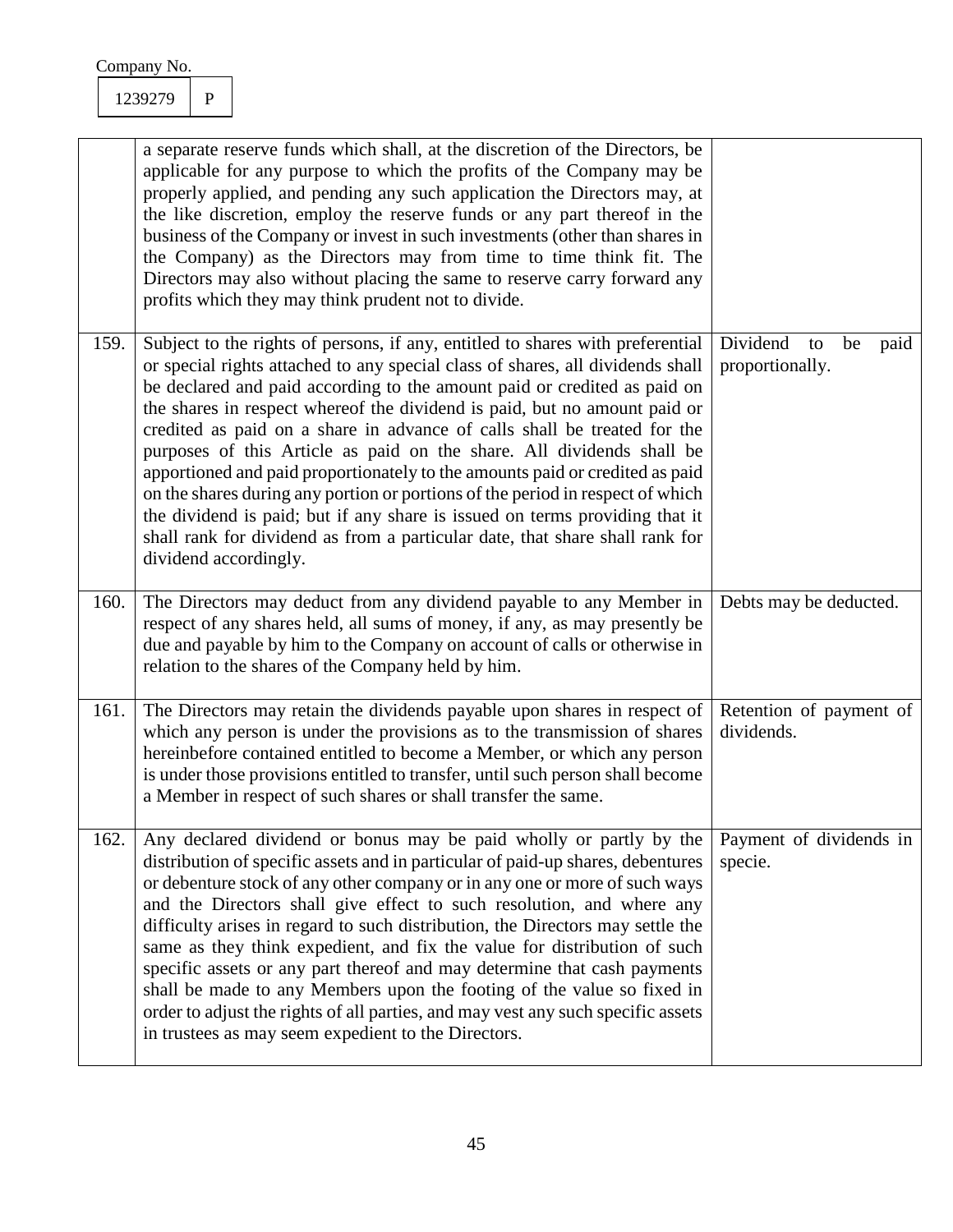|      | a separate reserve funds which shall, at the discretion of the Directors, be<br>applicable for any purpose to which the profits of the Company may be<br>properly applied, and pending any such application the Directors may, at<br>the like discretion, employ the reserve funds or any part thereof in the<br>business of the Company or invest in such investments (other than shares in<br>the Company) as the Directors may from time to time think fit. The<br>Directors may also without placing the same to reserve carry forward any<br>profits which they may think prudent not to divide.                                                                                                                                                                                                                                    |                                                 |
|------|------------------------------------------------------------------------------------------------------------------------------------------------------------------------------------------------------------------------------------------------------------------------------------------------------------------------------------------------------------------------------------------------------------------------------------------------------------------------------------------------------------------------------------------------------------------------------------------------------------------------------------------------------------------------------------------------------------------------------------------------------------------------------------------------------------------------------------------|-------------------------------------------------|
| 159. | Subject to the rights of persons, if any, entitled to shares with preferential<br>or special rights attached to any special class of shares, all dividends shall<br>be declared and paid according to the amount paid or credited as paid on<br>the shares in respect whereof the dividend is paid, but no amount paid or<br>credited as paid on a share in advance of calls shall be treated for the<br>purposes of this Article as paid on the share. All dividends shall be<br>apportioned and paid proportionately to the amounts paid or credited as paid<br>on the shares during any portion or portions of the period in respect of which<br>the dividend is paid; but if any share is issued on terms providing that it<br>shall rank for dividend as from a particular date, that share shall rank for<br>dividend accordingly. | Dividend<br>to<br>be<br>paid<br>proportionally. |
| 160. | The Directors may deduct from any dividend payable to any Member in<br>respect of any shares held, all sums of money, if any, as may presently be<br>due and payable by him to the Company on account of calls or otherwise in<br>relation to the shares of the Company held by him.                                                                                                                                                                                                                                                                                                                                                                                                                                                                                                                                                     | Debts may be deducted.                          |
| 161. | The Directors may retain the dividends payable upon shares in respect of<br>which any person is under the provisions as to the transmission of shares<br>hereinbefore contained entitled to become a Member, or which any person<br>is under those provisions entitled to transfer, until such person shall become<br>a Member in respect of such shares or shall transfer the same.                                                                                                                                                                                                                                                                                                                                                                                                                                                     | Retention of payment of<br>dividends.           |
| 162. | Any declared dividend or bonus may be paid wholly or partly by the<br>distribution of specific assets and in particular of paid-up shares, debentures<br>or debenture stock of any other company or in any one or more of such ways<br>and the Directors shall give effect to such resolution, and where any<br>difficulty arises in regard to such distribution, the Directors may settle the<br>same as they think expedient, and fix the value for distribution of such<br>specific assets or any part thereof and may determine that cash payments<br>shall be made to any Members upon the footing of the value so fixed in<br>order to adjust the rights of all parties, and may vest any such specific assets<br>in trustees as may seem expedient to the Directors.                                                              | Payment of dividends in<br>specie.              |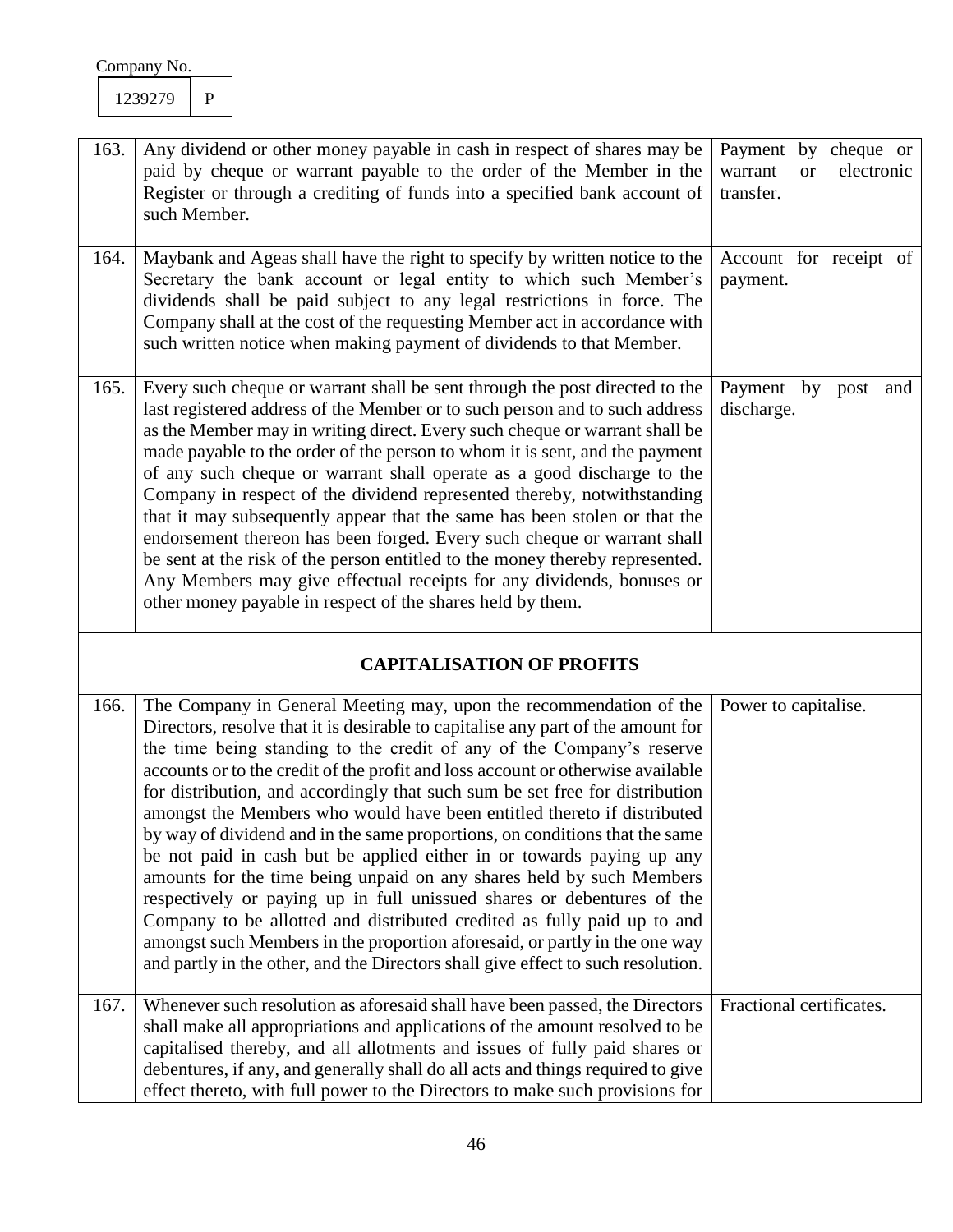| 163. | Any dividend or other money payable in cash in respect of shares may be<br>paid by cheque or warrant payable to the order of the Member in the<br>Register or through a crediting of funds into a specified bank account of<br>such Member.                                                                                                                                                                                                                                                                                                                                                                                                                                                                                                                                                                                                                                                                                                                                                                                          | Payment by cheque or<br>electronic<br>warrant<br><b>or</b><br>transfer. |
|------|--------------------------------------------------------------------------------------------------------------------------------------------------------------------------------------------------------------------------------------------------------------------------------------------------------------------------------------------------------------------------------------------------------------------------------------------------------------------------------------------------------------------------------------------------------------------------------------------------------------------------------------------------------------------------------------------------------------------------------------------------------------------------------------------------------------------------------------------------------------------------------------------------------------------------------------------------------------------------------------------------------------------------------------|-------------------------------------------------------------------------|
| 164. | Maybank and Ageas shall have the right to specify by written notice to the<br>Secretary the bank account or legal entity to which such Member's<br>dividends shall be paid subject to any legal restrictions in force. The<br>Company shall at the cost of the requesting Member act in accordance with<br>such written notice when making payment of dividends to that Member.                                                                                                                                                                                                                                                                                                                                                                                                                                                                                                                                                                                                                                                      | Account for receipt of<br>payment.                                      |
| 165. | Every such cheque or warrant shall be sent through the post directed to the<br>last registered address of the Member or to such person and to such address<br>as the Member may in writing direct. Every such cheque or warrant shall be<br>made payable to the order of the person to whom it is sent, and the payment<br>of any such cheque or warrant shall operate as a good discharge to the<br>Company in respect of the dividend represented thereby, notwithstanding<br>that it may subsequently appear that the same has been stolen or that the<br>endorsement thereon has been forged. Every such cheque or warrant shall<br>be sent at the risk of the person entitled to the money thereby represented.<br>Any Members may give effectual receipts for any dividends, bonuses or<br>other money payable in respect of the shares held by them.                                                                                                                                                                          | Payment by<br>post<br>and<br>discharge.                                 |
|      | <b>CAPITALISATION OF PROFITS</b>                                                                                                                                                                                                                                                                                                                                                                                                                                                                                                                                                                                                                                                                                                                                                                                                                                                                                                                                                                                                     |                                                                         |
| 166. | The Company in General Meeting may, upon the recommendation of the<br>Directors, resolve that it is desirable to capitalise any part of the amount for<br>the time being standing to the credit of any of the Company's reserve<br>accounts or to the credit of the profit and loss account or otherwise available<br>for distribution, and accordingly that such sum be set free for distribution<br>amongst the Members who would have been entitled thereto if distributed<br>by way of dividend and in the same proportions, on conditions that the same<br>be not paid in cash but be applied either in or towards paying up any<br>amounts for the time being unpaid on any shares held by such Members<br>respectively or paying up in full unissued shares or debentures of the<br>Company to be allotted and distributed credited as fully paid up to and<br>amongst such Members in the proportion aforesaid, or partly in the one way<br>and partly in the other, and the Directors shall give effect to such resolution. | Power to capitalise.                                                    |
| 167. | Whenever such resolution as aforesaid shall have been passed, the Directors<br>shall make all appropriations and applications of the amount resolved to be<br>capitalised thereby, and all allotments and issues of fully paid shares or<br>debentures, if any, and generally shall do all acts and things required to give<br>effect thereto, with full power to the Directors to make such provisions for                                                                                                                                                                                                                                                                                                                                                                                                                                                                                                                                                                                                                          | Fractional certificates.                                                |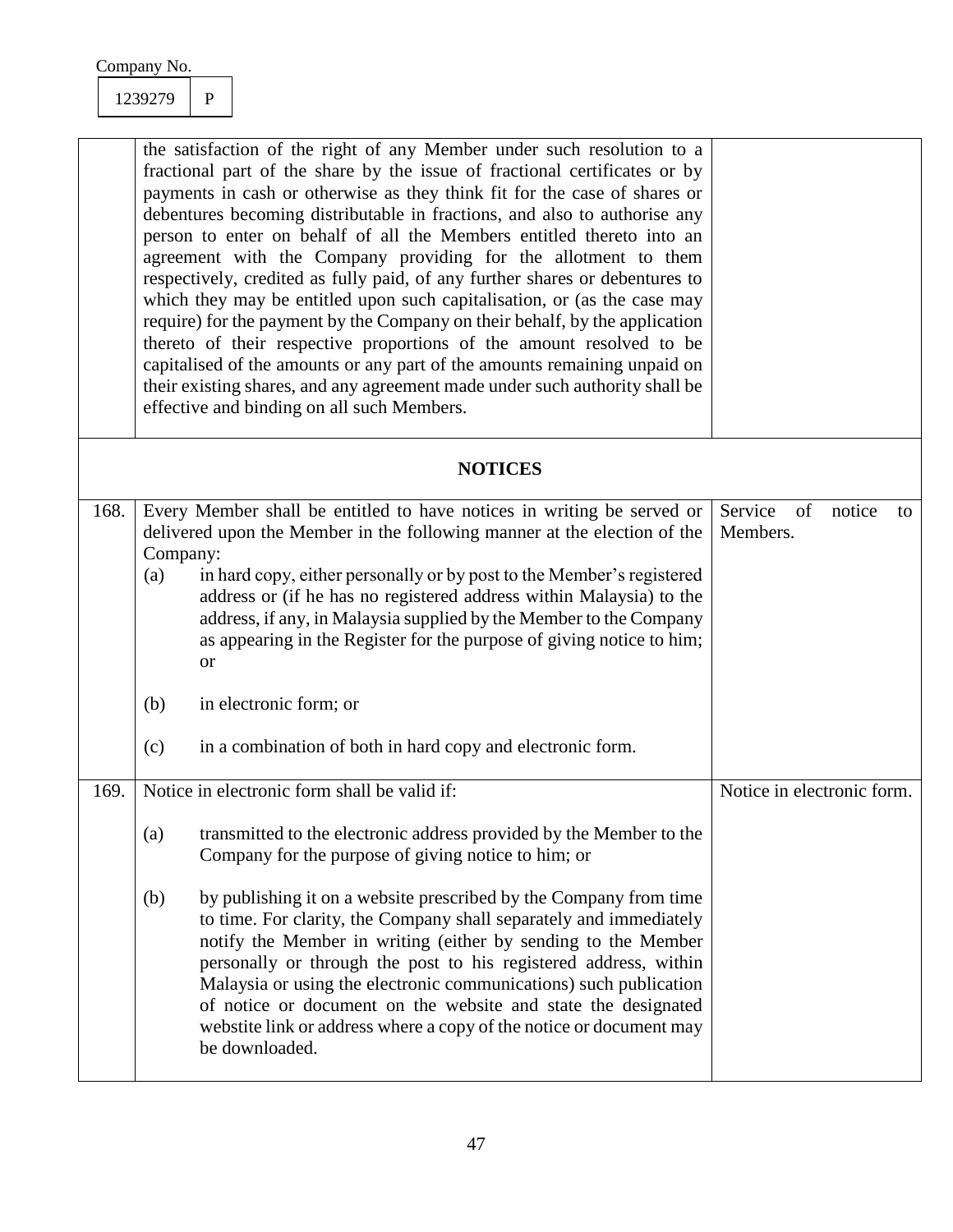1239279 P

| the satisfaction of the right of any Member under such resolution to a       |  |
|------------------------------------------------------------------------------|--|
| fractional part of the share by the issue of fractional certificates or by   |  |
| payments in cash or otherwise as they think fit for the case of shares or    |  |
| debentures becoming distributable in fractions, and also to authorise any    |  |
| person to enter on behalf of all the Members entitled thereto into an        |  |
| agreement with the Company providing for the allotment to them               |  |
| respectively, credited as fully paid, of any further shares or debentures to |  |
| which they may be entitled upon such capitalisation, or (as the case may     |  |
| require) for the payment by the Company on their behalf, by the application  |  |
| thereto of their respective proportions of the amount resolved to be         |  |
| capitalised of the amounts or any part of the amounts remaining unpaid on    |  |
| their existing shares, and any agreement made under such authority shall be  |  |
| effective and binding on all such Members.                                   |  |
|                                                                              |  |

### **NOTICES**

| 168. |                                                                          | Every Member shall be entitled to have notices in writing be served or                                                                                                                                                                                                                                                                                                                                                                                                                                      | Service<br>of<br>Members.  | notice | to |
|------|--------------------------------------------------------------------------|-------------------------------------------------------------------------------------------------------------------------------------------------------------------------------------------------------------------------------------------------------------------------------------------------------------------------------------------------------------------------------------------------------------------------------------------------------------------------------------------------------------|----------------------------|--------|----|
|      | delivered upon the Member in the following manner at the election of the |                                                                                                                                                                                                                                                                                                                                                                                                                                                                                                             |                            |        |    |
|      | Company:                                                                 |                                                                                                                                                                                                                                                                                                                                                                                                                                                                                                             |                            |        |    |
|      | (a)                                                                      | in hard copy, either personally or by post to the Member's registered<br>address or (if he has no registered address within Malaysia) to the<br>address, if any, in Malaysia supplied by the Member to the Company<br>as appearing in the Register for the purpose of giving notice to him;<br><b>or</b>                                                                                                                                                                                                    |                            |        |    |
|      | (b)                                                                      | in electronic form; or                                                                                                                                                                                                                                                                                                                                                                                                                                                                                      |                            |        |    |
|      | (c)                                                                      | in a combination of both in hard copy and electronic form.                                                                                                                                                                                                                                                                                                                                                                                                                                                  |                            |        |    |
| 169. |                                                                          | Notice in electronic form shall be valid if:                                                                                                                                                                                                                                                                                                                                                                                                                                                                | Notice in electronic form. |        |    |
|      |                                                                          |                                                                                                                                                                                                                                                                                                                                                                                                                                                                                                             |                            |        |    |
|      | (a)                                                                      | transmitted to the electronic address provided by the Member to the<br>Company for the purpose of giving notice to him; or                                                                                                                                                                                                                                                                                                                                                                                  |                            |        |    |
|      | (b)                                                                      | by publishing it on a website prescribed by the Company from time<br>to time. For clarity, the Company shall separately and immediately<br>notify the Member in writing (either by sending to the Member<br>personally or through the post to his registered address, within<br>Malaysia or using the electronic communications) such publication<br>of notice or document on the website and state the designated<br>webstite link or address where a copy of the notice or document may<br>be downloaded. |                            |        |    |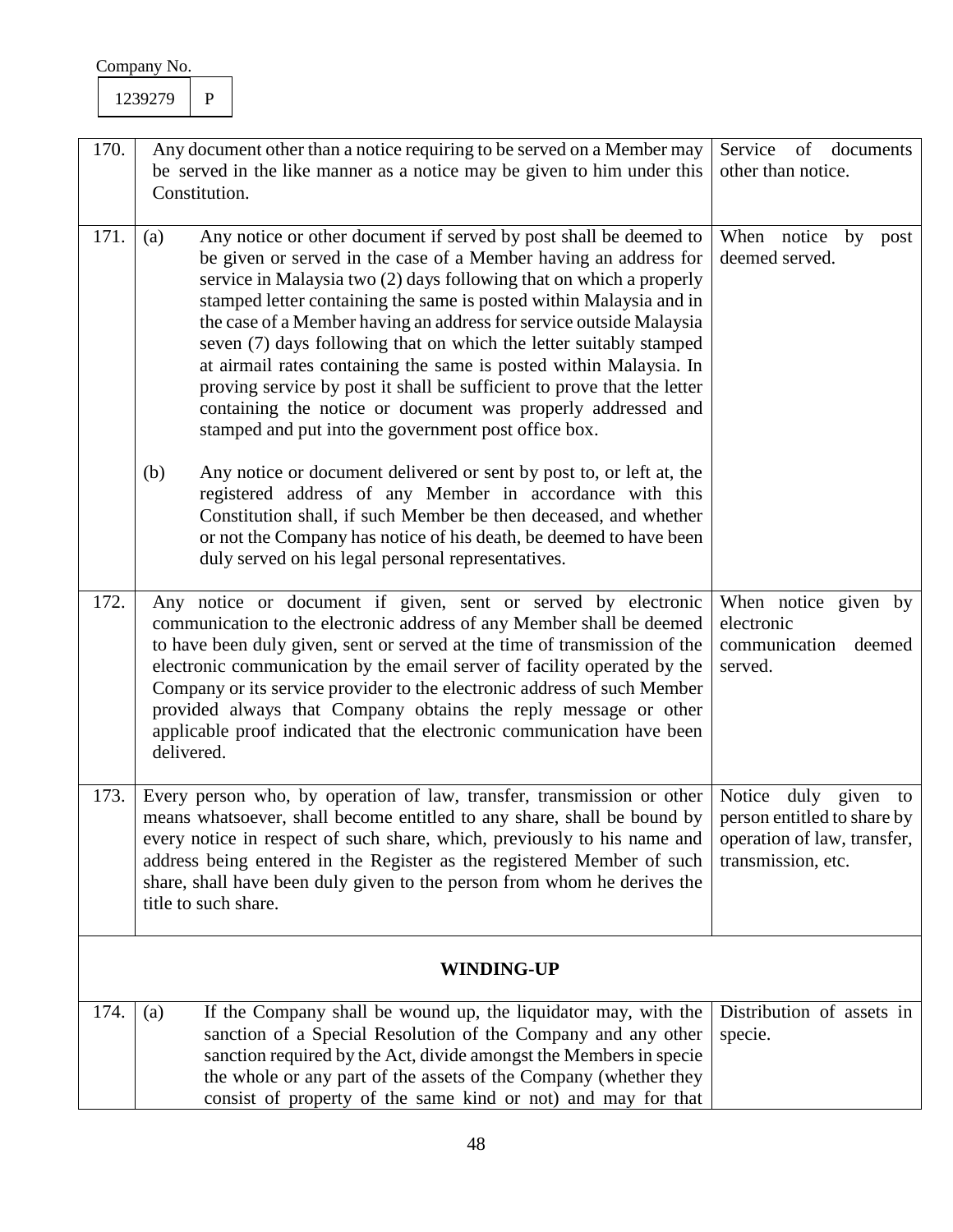| 170. | Any document other than a notice requiring to be served on a Member may<br>be served in the like manner as a notice may be given to him under this<br>Constitution.                                                                                                                                                                                                                                                                                                                                                                                                                                                                                                                                                                                                                             | Service<br>of<br>documents<br>other than notice.                                                         |
|------|-------------------------------------------------------------------------------------------------------------------------------------------------------------------------------------------------------------------------------------------------------------------------------------------------------------------------------------------------------------------------------------------------------------------------------------------------------------------------------------------------------------------------------------------------------------------------------------------------------------------------------------------------------------------------------------------------------------------------------------------------------------------------------------------------|----------------------------------------------------------------------------------------------------------|
| 171. | Any notice or other document if served by post shall be deemed to<br>(a)<br>be given or served in the case of a Member having an address for<br>service in Malaysia two (2) days following that on which a properly<br>stamped letter containing the same is posted within Malaysia and in<br>the case of a Member having an address for service outside Malaysia<br>seven (7) days following that on which the letter suitably stamped<br>at airmail rates containing the same is posted within Malaysia. In<br>proving service by post it shall be sufficient to prove that the letter<br>containing the notice or document was properly addressed and<br>stamped and put into the government post office box.<br>(b)<br>Any notice or document delivered or sent by post to, or left at, the | When notice<br>by<br>post<br>deemed served.                                                              |
|      | registered address of any Member in accordance with this<br>Constitution shall, if such Member be then deceased, and whether<br>or not the Company has notice of his death, be deemed to have been<br>duly served on his legal personal representatives.                                                                                                                                                                                                                                                                                                                                                                                                                                                                                                                                        |                                                                                                          |
| 172. | Any notice or document if given, sent or served by electronic<br>communication to the electronic address of any Member shall be deemed<br>to have been duly given, sent or served at the time of transmission of the<br>electronic communication by the email server of facility operated by the<br>Company or its service provider to the electronic address of such Member<br>provided always that Company obtains the reply message or other<br>applicable proof indicated that the electronic communication have been<br>delivered.                                                                                                                                                                                                                                                         | When notice given by<br>electronic<br>communication<br>deemed<br>served.                                 |
| 173. | Every person who, by operation of law, transfer, transmission or other<br>means whatsoever, shall become entitled to any share, shall be bound by<br>every notice in respect of such share, which, previously to his name and<br>address being entered in the Register as the registered Member of such<br>share, shall have been duly given to the person from whom he derives the<br>title to such share.                                                                                                                                                                                                                                                                                                                                                                                     | Notice duly given to<br>person entitled to share by<br>operation of law, transfer,<br>transmission, etc. |
|      | <b>WINDING-UP</b>                                                                                                                                                                                                                                                                                                                                                                                                                                                                                                                                                                                                                                                                                                                                                                               |                                                                                                          |
| 174. | If the Company shall be wound up, the liquidator may, with the<br>(a)<br>sanction of a Special Resolution of the Company and any other<br>sanction required by the Act, divide amongst the Members in specie<br>the whole or any part of the assets of the Company (whether they<br>consist of property of the same kind or not) and may for that                                                                                                                                                                                                                                                                                                                                                                                                                                               | Distribution of assets in<br>specie.                                                                     |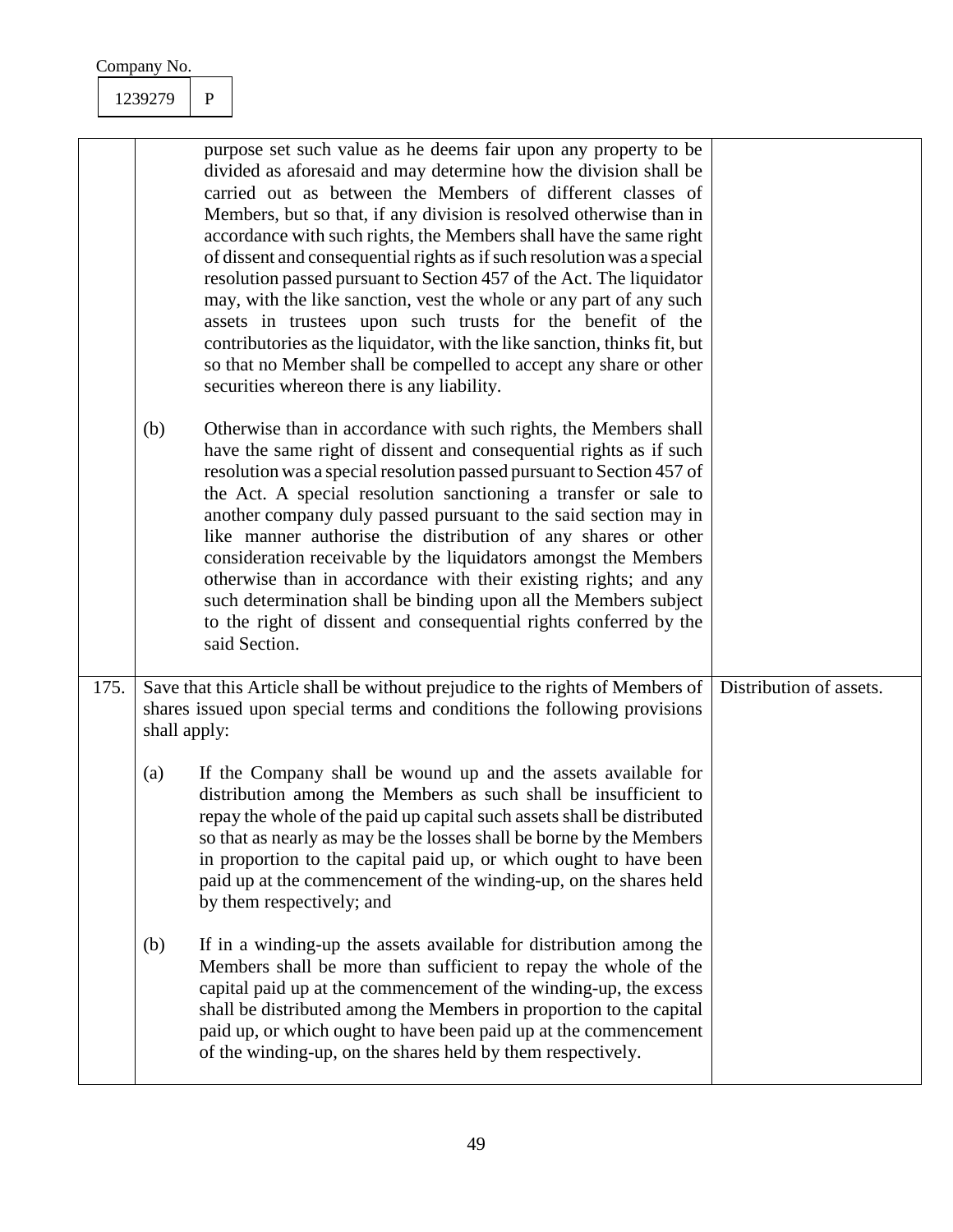| Company No. |  |
|-------------|--|
|             |  |

|      | (b)          | purpose set such value as he deems fair upon any property to be<br>divided as aforesaid and may determine how the division shall be<br>carried out as between the Members of different classes of<br>Members, but so that, if any division is resolved otherwise than in<br>accordance with such rights, the Members shall have the same right<br>of dissent and consequential rights as if such resolution was a special<br>resolution passed pursuant to Section 457 of the Act. The liquidator<br>may, with the like sanction, vest the whole or any part of any such<br>assets in trustees upon such trusts for the benefit of the<br>contributories as the liquidator, with the like sanction, thinks fit, but<br>so that no Member shall be compelled to accept any share or other<br>securities whereon there is any liability.<br>Otherwise than in accordance with such rights, the Members shall<br>have the same right of dissent and consequential rights as if such<br>resolution was a special resolution passed pursuant to Section 457 of<br>the Act. A special resolution sanctioning a transfer or sale to<br>another company duly passed pursuant to the said section may in<br>like manner authorise the distribution of any shares or other<br>consideration receivable by the liquidators amongst the Members<br>otherwise than in accordance with their existing rights; and any<br>such determination shall be binding upon all the Members subject<br>to the right of dissent and consequential rights conferred by the<br>said Section. |                         |
|------|--------------|-------------------------------------------------------------------------------------------------------------------------------------------------------------------------------------------------------------------------------------------------------------------------------------------------------------------------------------------------------------------------------------------------------------------------------------------------------------------------------------------------------------------------------------------------------------------------------------------------------------------------------------------------------------------------------------------------------------------------------------------------------------------------------------------------------------------------------------------------------------------------------------------------------------------------------------------------------------------------------------------------------------------------------------------------------------------------------------------------------------------------------------------------------------------------------------------------------------------------------------------------------------------------------------------------------------------------------------------------------------------------------------------------------------------------------------------------------------------------------------------------------------------------------------------------------------------|-------------------------|
| 175. | shall apply: | Save that this Article shall be without prejudice to the rights of Members of<br>shares issued upon special terms and conditions the following provisions                                                                                                                                                                                                                                                                                                                                                                                                                                                                                                                                                                                                                                                                                                                                                                                                                                                                                                                                                                                                                                                                                                                                                                                                                                                                                                                                                                                                         | Distribution of assets. |
|      | (a)          | If the Company shall be wound up and the assets available for<br>distribution among the Members as such shall be insufficient to<br>repay the whole of the paid up capital such assets shall be distributed<br>so that as nearly as may be the losses shall be borne by the Members<br>in proportion to the capital paid up, or which ought to have been<br>paid up at the commencement of the winding-up, on the shares held<br>by them respectively; and                                                                                                                                                                                                                                                                                                                                                                                                                                                                                                                                                                                                                                                                                                                                                                                                                                                                                                                                                                                                                                                                                                        |                         |
|      | (b)          | If in a winding-up the assets available for distribution among the<br>Members shall be more than sufficient to repay the whole of the<br>capital paid up at the commencement of the winding-up, the excess<br>shall be distributed among the Members in proportion to the capital<br>paid up, or which ought to have been paid up at the commencement<br>of the winding-up, on the shares held by them respectively.                                                                                                                                                                                                                                                                                                                                                                                                                                                                                                                                                                                                                                                                                                                                                                                                                                                                                                                                                                                                                                                                                                                                              |                         |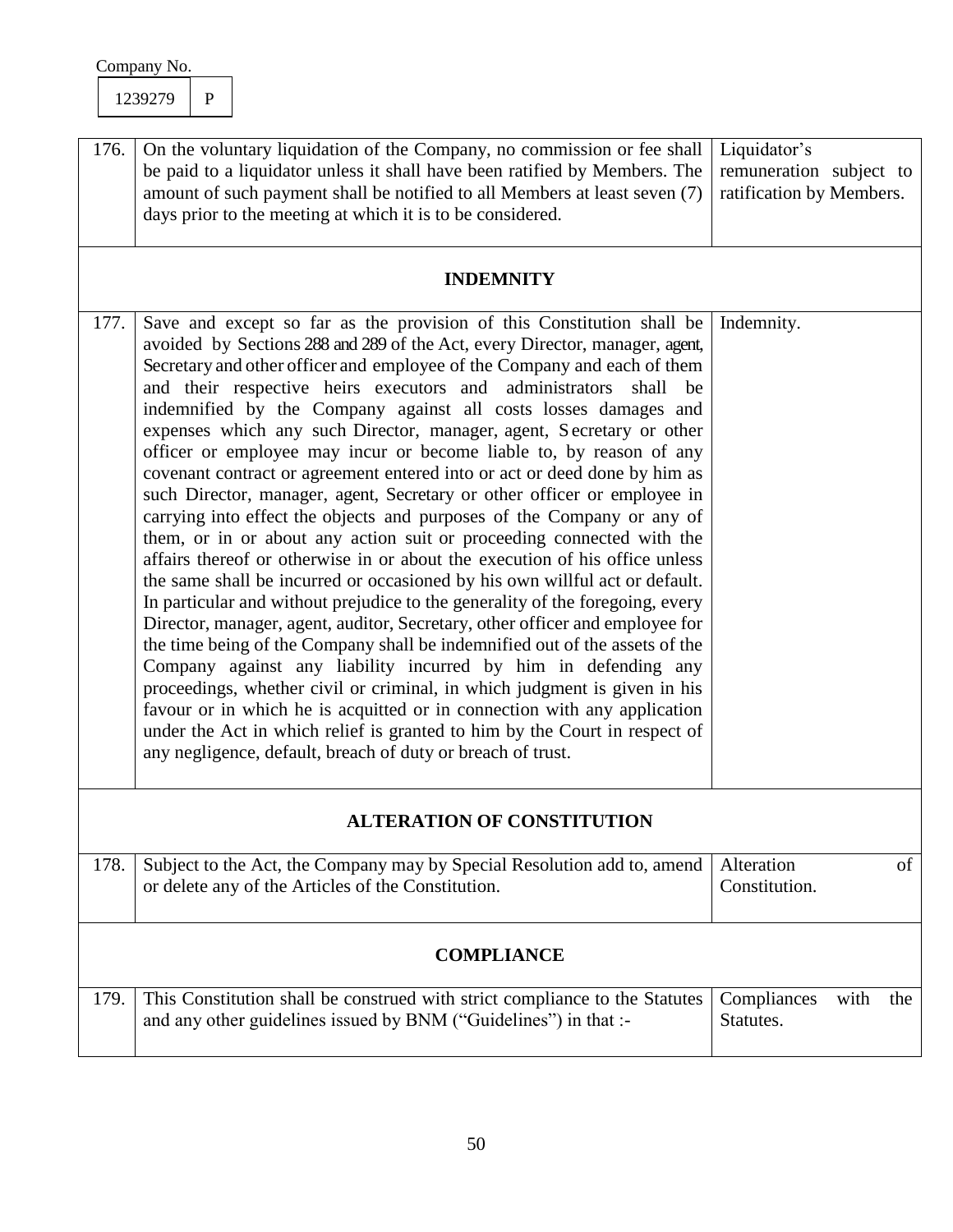| Company No.                                                                                                                                                                                                                                                                                                                                                                                                                                                                                                                                                                                                                                                                                                                                                                                                                                                                                                                                                                                                                                                                                                                                                                                                                                                                                                                                                                                                                                                                                                                                                                                                                            |                                                                     |  |  |  |
|----------------------------------------------------------------------------------------------------------------------------------------------------------------------------------------------------------------------------------------------------------------------------------------------------------------------------------------------------------------------------------------------------------------------------------------------------------------------------------------------------------------------------------------------------------------------------------------------------------------------------------------------------------------------------------------------------------------------------------------------------------------------------------------------------------------------------------------------------------------------------------------------------------------------------------------------------------------------------------------------------------------------------------------------------------------------------------------------------------------------------------------------------------------------------------------------------------------------------------------------------------------------------------------------------------------------------------------------------------------------------------------------------------------------------------------------------------------------------------------------------------------------------------------------------------------------------------------------------------------------------------------|---------------------------------------------------------------------|--|--|--|
| 1239279<br>$\mathbf{P}$                                                                                                                                                                                                                                                                                                                                                                                                                                                                                                                                                                                                                                                                                                                                                                                                                                                                                                                                                                                                                                                                                                                                                                                                                                                                                                                                                                                                                                                                                                                                                                                                                |                                                                     |  |  |  |
| 176.<br>On the voluntary liquidation of the Company, no commission or fee shall<br>be paid to a liquidator unless it shall have been ratified by Members. The<br>amount of such payment shall be notified to all Members at least seven (7)<br>days prior to the meeting at which it is to be considered.                                                                                                                                                                                                                                                                                                                                                                                                                                                                                                                                                                                                                                                                                                                                                                                                                                                                                                                                                                                                                                                                                                                                                                                                                                                                                                                              | Liquidator's<br>remuneration subject to<br>ratification by Members. |  |  |  |
| <b>INDEMNITY</b>                                                                                                                                                                                                                                                                                                                                                                                                                                                                                                                                                                                                                                                                                                                                                                                                                                                                                                                                                                                                                                                                                                                                                                                                                                                                                                                                                                                                                                                                                                                                                                                                                       |                                                                     |  |  |  |
| Save and except so far as the provision of this Constitution shall be<br>177.<br>avoided by Sections 288 and 289 of the Act, every Director, manager, agent,<br>Secretary and other officer and employee of the Company and each of them<br>and their respective heirs executors and administrators<br>shall<br>be<br>indemnified by the Company against all costs losses damages and<br>expenses which any such Director, manager, agent, Secretary or other<br>officer or employee may incur or become liable to, by reason of any<br>covenant contract or agreement entered into or act or deed done by him as<br>such Director, manager, agent, Secretary or other officer or employee in<br>carrying into effect the objects and purposes of the Company or any of<br>them, or in or about any action suit or proceeding connected with the<br>affairs thereof or otherwise in or about the execution of his office unless<br>the same shall be incurred or occasioned by his own willful act or default.<br>In particular and without prejudice to the generality of the foregoing, every<br>Director, manager, agent, auditor, Secretary, other officer and employee for<br>the time being of the Company shall be indemnified out of the assets of the<br>Company against any liability incurred by him in defending any<br>proceedings, whether civil or criminal, in which judgment is given in his<br>favour or in which he is acquitted or in connection with any application<br>under the Act in which relief is granted to him by the Court in respect of<br>any negligence, default, breach of duty or breach of trust. | Indemnity.                                                          |  |  |  |
| <b>ALTERATION OF CONSTITUTION</b>                                                                                                                                                                                                                                                                                                                                                                                                                                                                                                                                                                                                                                                                                                                                                                                                                                                                                                                                                                                                                                                                                                                                                                                                                                                                                                                                                                                                                                                                                                                                                                                                      |                                                                     |  |  |  |
| Subject to the Act, the Company may by Special Resolution add to, amend<br>178.<br>or delete any of the Articles of the Constitution.                                                                                                                                                                                                                                                                                                                                                                                                                                                                                                                                                                                                                                                                                                                                                                                                                                                                                                                                                                                                                                                                                                                                                                                                                                                                                                                                                                                                                                                                                                  | Alteration<br>of<br>Constitution.                                   |  |  |  |
| <b>COMPLIANCE</b>                                                                                                                                                                                                                                                                                                                                                                                                                                                                                                                                                                                                                                                                                                                                                                                                                                                                                                                                                                                                                                                                                                                                                                                                                                                                                                                                                                                                                                                                                                                                                                                                                      |                                                                     |  |  |  |
| This Constitution shall be construed with strict compliance to the Statutes<br>179.<br>and any other guidelines issued by BNM ("Guidelines") in that :-                                                                                                                                                                                                                                                                                                                                                                                                                                                                                                                                                                                                                                                                                                                                                                                                                                                                                                                                                                                                                                                                                                                                                                                                                                                                                                                                                                                                                                                                                | Compliances<br>with<br>the<br>Statutes.                             |  |  |  |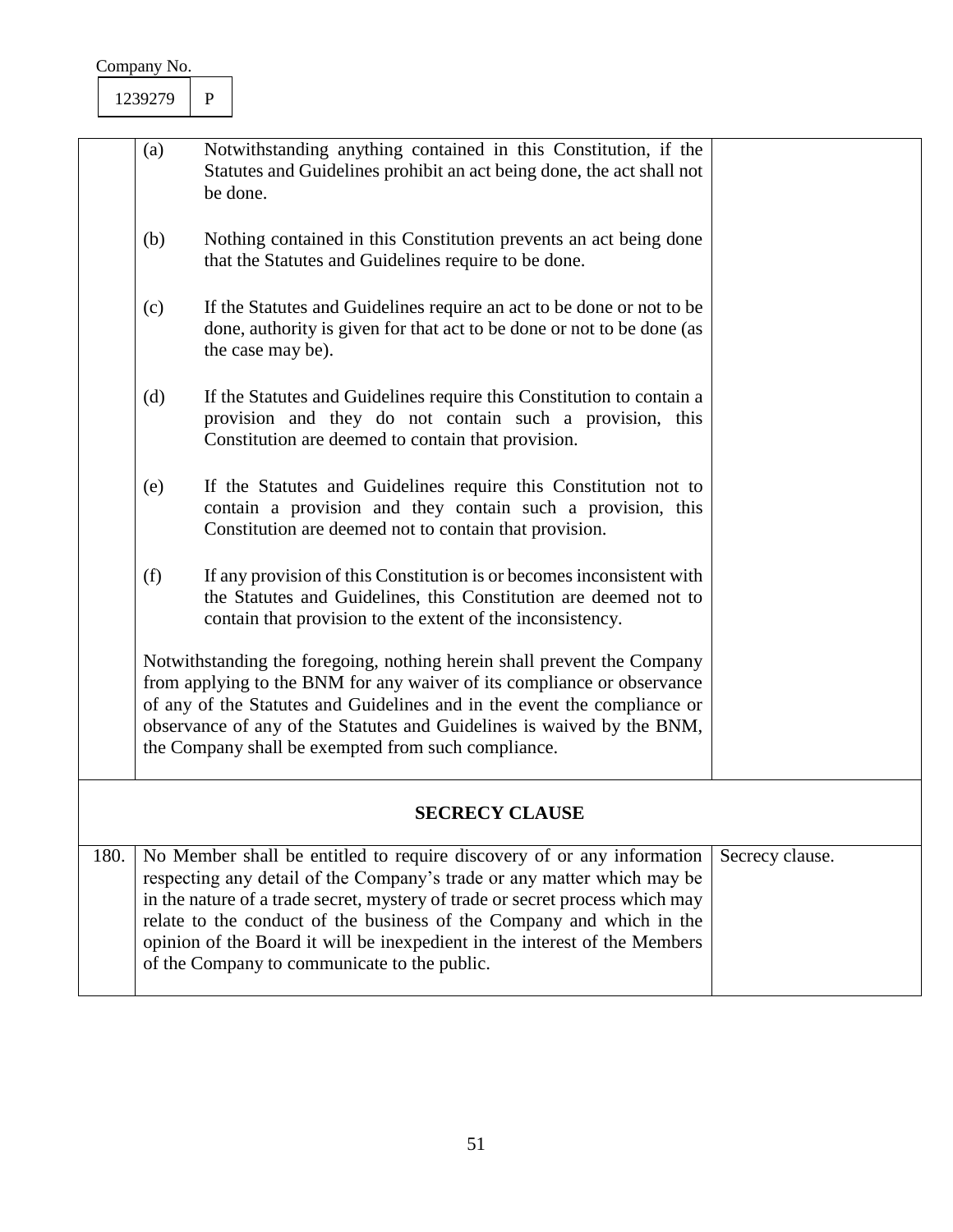|                       | (a) | Notwithstanding anything contained in this Constitution, if the<br>Statutes and Guidelines prohibit an act being done, the act shall not<br>be done.                                                                                                                                                                                                                                                                                      |                 |  |
|-----------------------|-----|-------------------------------------------------------------------------------------------------------------------------------------------------------------------------------------------------------------------------------------------------------------------------------------------------------------------------------------------------------------------------------------------------------------------------------------------|-----------------|--|
|                       | (b) | Nothing contained in this Constitution prevents an act being done<br>that the Statutes and Guidelines require to be done.                                                                                                                                                                                                                                                                                                                 |                 |  |
|                       | (c) | If the Statutes and Guidelines require an act to be done or not to be<br>done, authority is given for that act to be done or not to be done (as<br>the case may be).                                                                                                                                                                                                                                                                      |                 |  |
|                       | (d) | If the Statutes and Guidelines require this Constitution to contain a<br>provision and they do not contain such a provision, this<br>Constitution are deemed to contain that provision.                                                                                                                                                                                                                                                   |                 |  |
|                       | (e) | If the Statutes and Guidelines require this Constitution not to<br>contain a provision and they contain such a provision, this<br>Constitution are deemed not to contain that provision.                                                                                                                                                                                                                                                  |                 |  |
|                       | (f) | If any provision of this Constitution is or becomes inconsistent with<br>the Statutes and Guidelines, this Constitution are deemed not to<br>contain that provision to the extent of the inconsistency.                                                                                                                                                                                                                                   |                 |  |
|                       |     | Notwithstanding the foregoing, nothing herein shall prevent the Company<br>from applying to the BNM for any waiver of its compliance or observance<br>of any of the Statutes and Guidelines and in the event the compliance or<br>observance of any of the Statutes and Guidelines is waived by the BNM,<br>the Company shall be exempted from such compliance.                                                                           |                 |  |
| <b>SECRECY CLAUSE</b> |     |                                                                                                                                                                                                                                                                                                                                                                                                                                           |                 |  |
| 180.                  |     | No Member shall be entitled to require discovery of or any information<br>respecting any detail of the Company's trade or any matter which may be<br>in the nature of a trade secret, mystery of trade or secret process which may<br>relate to the conduct of the business of the Company and which in the<br>opinion of the Board it will be inexpedient in the interest of the Members<br>of the Company to communicate to the public. | Secrecy clause. |  |